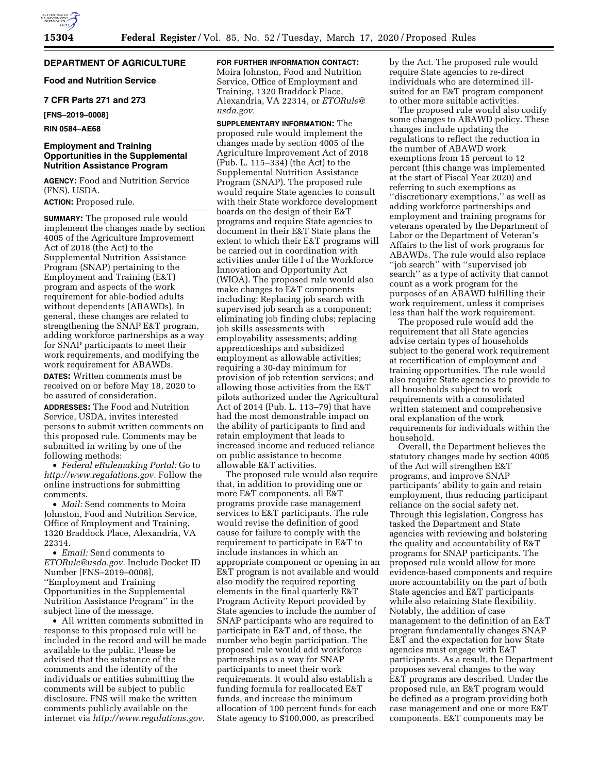# **DEPARTMENT OF AGRICULTURE**

**Food and Nutrition Service** 

## **7 CFR Parts 271 and 273**

**[FNS–2019–0008]** 

# **RIN 0584–AE68**

### **Employment and Training Opportunities in the Supplemental Nutrition Assistance Program**

**AGENCY:** Food and Nutrition Service (FNS), USDA.

**ACTION:** Proposed rule.

**SUMMARY:** The proposed rule would implement the changes made by section 4005 of the Agriculture Improvement Act of 2018 (the Act) to the Supplemental Nutrition Assistance Program (SNAP) pertaining to the Employment and Training (E&T) program and aspects of the work requirement for able-bodied adults without dependents (ABAWDs). In general, these changes are related to strengthening the SNAP E&T program, adding workforce partnerships as a way for SNAP participants to meet their work requirements, and modifying the work requirement for ABAWDs.

**DATES:** Written comments must be received on or before May 18, 2020 to be assured of consideration.

**ADDRESSES:** The Food and Nutrition Service, USDA, invites interested persons to submit written comments on this proposed rule. Comments may be submitted in writing by one of the following methods:

• *Federal eRulemaking Portal:* Go to *[http://www.regulations.gov.](http://www.regulations.gov)* Follow the online instructions for submitting comments.

• *Mail:* Send comments to Moira Johnston, Food and Nutrition Service, Office of Employment and Training, 1320 Braddock Place, Alexandria, VA 22314.

• *Email:* Send comments to *[ETORule@usda.gov.](mailto:ETORule@usda.gov)* Include Docket ID Number [FNS–2019–0008], ''Employment and Training Opportunities in the Supplemental Nutrition Assistance Program'' in the subject line of the message.

• All written comments submitted in response to this proposed rule will be included in the record and will be made available to the public. Please be advised that the substance of the comments and the identity of the individuals or entities submitting the comments will be subject to public disclosure. FNS will make the written comments publicly available on the internet via *[http://www.regulations.gov.](http://www.regulations.gov)* 

**FOR FURTHER INFORMATION CONTACT:**  Moira Johnston, Food and Nutrition

Service, Office of Employment and Training, 1320 Braddock Place, Alexandria, VA 22314, or *[ETORule@](mailto:ETORule@usda.gov) [usda.gov.](mailto:ETORule@usda.gov)* 

**SUPPLEMENTARY INFORMATION:** The proposed rule would implement the changes made by section 4005 of the Agriculture Improvement Act of 2018 (Pub. L. 115–334) (the Act) to the Supplemental Nutrition Assistance Program (SNAP). The proposed rule would require State agencies to consult with their State workforce development boards on the design of their E&T programs and require State agencies to document in their E&T State plans the extent to which their E&T programs will be carried out in coordination with activities under title I of the Workforce Innovation and Opportunity Act (WIOA). The proposed rule would also make changes to E&T components including: Replacing job search with supervised job search as a component; eliminating job finding clubs; replacing job skills assessments with employability assessments; adding apprenticeships and subsidized employment as allowable activities; requiring a 30-day minimum for provision of job retention services; and allowing those activities from the E&T pilots authorized under the Agricultural Act of 2014 (Pub. L. 113–79) that have had the most demonstrable impact on the ability of participants to find and retain employment that leads to increased income and reduced reliance on public assistance to become allowable E&T activities.

The proposed rule would also require that, in addition to providing one or more E&T components, all E&T programs provide case management services to E&T participants. The rule would revise the definition of good cause for failure to comply with the requirement to participate in E&T to include instances in which an appropriate component or opening in an E&T program is not available and would also modify the required reporting elements in the final quarterly E&T Program Activity Report provided by State agencies to include the number of SNAP participants who are required to participate in E&T and, of those, the number who begin participation. The proposed rule would add workforce partnerships as a way for SNAP participants to meet their work requirements. It would also establish a funding formula for reallocated E&T funds, and increase the minimum allocation of 100 percent funds for each State agency to \$100,000, as prescribed

by the Act. The proposed rule would require State agencies to re-direct individuals who are determined illsuited for an E&T program component to other more suitable activities.

The proposed rule would also codify some changes to ABAWD policy. These changes include updating the regulations to reflect the reduction in the number of ABAWD work exemptions from 15 percent to 12 percent (this change was implemented at the start of Fiscal Year 2020) and referring to such exemptions as ''discretionary exemptions,'' as well as adding workforce partnerships and employment and training programs for veterans operated by the Department of Labor or the Department of Veteran's Affairs to the list of work programs for ABAWDs. The rule would also replace ''job search'' with ''supervised job search'' as a type of activity that cannot count as a work program for the purposes of an ABAWD fulfilling their work requirement, unless it comprises less than half the work requirement.

The proposed rule would add the requirement that all State agencies advise certain types of households subject to the general work requirement at recertification of employment and training opportunities. The rule would also require State agencies to provide to all households subject to work requirements with a consolidated written statement and comprehensive oral explanation of the work requirements for individuals within the household.

Overall, the Department believes the statutory changes made by section 4005 of the Act will strengthen E&T programs, and improve SNAP participants' ability to gain and retain employment, thus reducing participant reliance on the social safety net. Through this legislation, Congress has tasked the Department and State agencies with reviewing and bolstering the quality and accountability of E&T programs for SNAP participants. The proposed rule would allow for more evidence-based components and require more accountability on the part of both State agencies and E&T participants while also retaining State flexibility. Notably, the addition of case management to the definition of an E&T program fundamentally changes SNAP E&T and the expectation for how State agencies must engage with E&T participants. As a result, the Department proposes several changes to the way E&T programs are described. Under the proposed rule, an E&T program would be defined as a program providing both case management and one or more E&T components. E&T components may be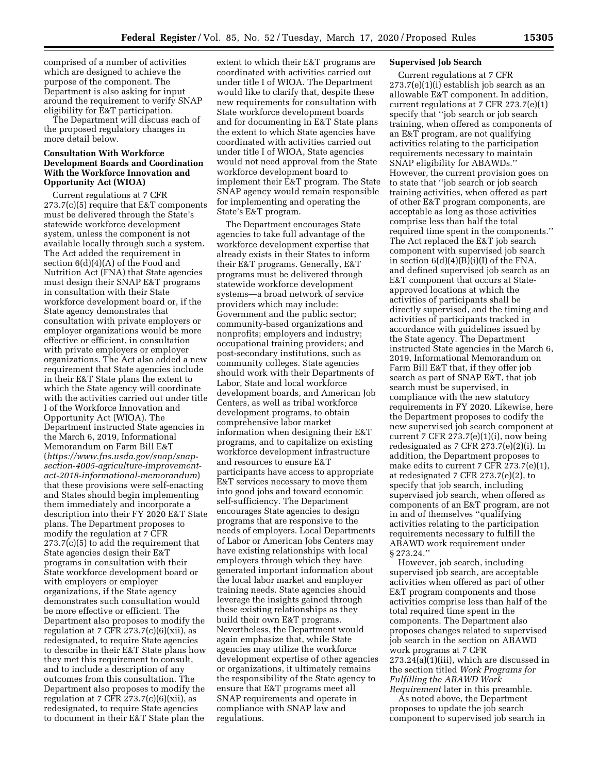comprised of a number of activities which are designed to achieve the purpose of the component. The Department is also asking for input around the requirement to verify SNAP eligibility for E&T participation.

The Department will discuss each of the proposed regulatory changes in more detail below.

## **Consultation With Workforce Development Boards and Coordination With the Workforce Innovation and Opportunity Act (WIOA)**

Current regulations at 7 CFR 273.7(c)(5) require that E&T components must be delivered through the State's statewide workforce development system, unless the component is not available locally through such a system. The Act added the requirement in section 6(d)(4)(A) of the Food and Nutrition Act (FNA) that State agencies must design their SNAP E&T programs in consultation with their State workforce development board or, if the State agency demonstrates that consultation with private employers or employer organizations would be more effective or efficient, in consultation with private employers or employer organizations. The Act also added a new requirement that State agencies include in their E&T State plans the extent to which the State agency will coordinate with the activities carried out under title I of the Workforce Innovation and Opportunity Act (WIOA). The Department instructed State agencies in the March 6, 2019, Informational Memorandum on Farm Bill E&T (*[https://www.fns.usda.gov/snap/snap](https://www.fns.usda.gov/snap/snap-section-4005-agriculture-improvement-act-2018-informational-memorandum)[section-4005-agriculture-improvement](https://www.fns.usda.gov/snap/snap-section-4005-agriculture-improvement-act-2018-informational-memorandum)[act-2018-informational-memorandum](https://www.fns.usda.gov/snap/snap-section-4005-agriculture-improvement-act-2018-informational-memorandum)*) that these provisions were self-enacting and States should begin implementing them immediately and incorporate a description into their FY 2020 E&T State plans. The Department proposes to modify the regulation at 7 CFR 273.7(c)(5) to add the requirement that State agencies design their E&T programs in consultation with their State workforce development board or with employers or employer organizations, if the State agency demonstrates such consultation would be more effective or efficient. The Department also proposes to modify the regulation at 7 CFR  $273.7(c)(6)(xii)$ , as redesignated, to require State agencies to describe in their E&T State plans how they met this requirement to consult, and to include a description of any outcomes from this consultation. The Department also proposes to modify the regulation at 7 CFR  $273.7(c)(6)(xii)$ , as redesignated, to require State agencies to document in their E&T State plan the

extent to which their E&T programs are coordinated with activities carried out under title I of WIOA. The Department would like to clarify that, despite these new requirements for consultation with State workforce development boards and for documenting in E&T State plans the extent to which State agencies have coordinated with activities carried out under title I of WIOA, State agencies would not need approval from the State workforce development board to implement their E&T program. The State SNAP agency would remain responsible for implementing and operating the State's E&T program.

The Department encourages State agencies to take full advantage of the workforce development expertise that already exists in their States to inform their E&T programs. Generally, E&T programs must be delivered through statewide workforce development systems—a broad network of service providers which may include: Government and the public sector; community-based organizations and nonprofits; employers and industry; occupational training providers; and post-secondary institutions, such as community colleges. State agencies should work with their Departments of Labor, State and local workforce development boards, and American Job Centers, as well as tribal workforce development programs, to obtain comprehensive labor market information when designing their E&T programs, and to capitalize on existing workforce development infrastructure and resources to ensure E&T participants have access to appropriate E&T services necessary to move them into good jobs and toward economic self-sufficiency. The Department encourages State agencies to design programs that are responsive to the needs of employers. Local Departments of Labor or American Jobs Centers may have existing relationships with local employers through which they have generated important information about the local labor market and employer training needs. State agencies should leverage the insights gained through these existing relationships as they build their own E&T programs. Nevertheless, the Department would again emphasize that, while State agencies may utilize the workforce development expertise of other agencies or organizations, it ultimately remains the responsibility of the State agency to ensure that E&T programs meet all SNAP requirements and operate in compliance with SNAP law and regulations.

## **Supervised Job Search**

Current regulations at 7 CFR 273.7(e)(1)(i) establish job search as an allowable E&T component. In addition, current regulations at 7 CFR 273.7(e)(1) specify that ''job search or job search training, when offered as components of an E&T program, are not qualifying activities relating to the participation requirements necessary to maintain SNAP eligibility for ABAWDs.'' However, the current provision goes on to state that ''job search or job search training activities, when offered as part of other E&T program components, are acceptable as long as those activities comprise less than half the total required time spent in the components.'' The Act replaced the E&T job search component with supervised job search in section  $6(d)(4)(B)(i)(I)$  of the FNA, and defined supervised job search as an E&T component that occurs at Stateapproved locations at which the activities of participants shall be directly supervised, and the timing and activities of participants tracked in accordance with guidelines issued by the State agency. The Department instructed State agencies in the March 6, 2019, Informational Memorandum on Farm Bill E&T that, if they offer job search as part of SNAP E&T, that job search must be supervised, in compliance with the new statutory requirements in FY 2020. Likewise, here the Department proposes to codify the new supervised job search component at current 7 CFR  $273.7(e)(1)(i)$ , now being redesignated as 7 CFR 273.7(e)(2)(i). In addition, the Department proposes to make edits to current 7 CFR 273.7(e)(1), at redesignated 7 CFR 273.7(e)(2), to specify that job search, including supervised job search, when offered as components of an E&T program, are not in and of themselves ''qualifying activities relating to the participation requirements necessary to fulfill the ABAWD work requirement under § 273.24.''

However, job search, including supervised job search, are acceptable activities when offered as part of other E&T program components and those activities comprise less than half of the total required time spent in the components. The Department also proposes changes related to supervised job search in the section on ABAWD work programs at 7 CFR 273.24(a)(1)(iii), which are discussed in the section titled *Work Programs for Fulfilling the ABAWD Work Requirement* later in this preamble.

As noted above, the Department proposes to update the job search component to supervised job search in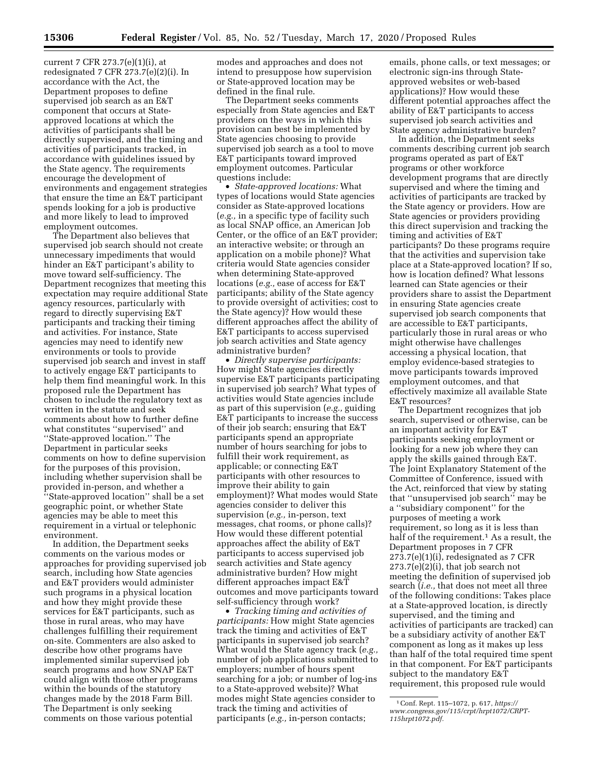current 7 CFR 273.7(e)(1)(i), at redesignated 7 CFR 273.7(e)(2)(i). In accordance with the Act, the Department proposes to define supervised job search as an E&T component that occurs at Stateapproved locations at which the activities of participants shall be directly supervised, and the timing and activities of participants tracked, in accordance with guidelines issued by the State agency. The requirements encourage the development of environments and engagement strategies that ensure the time an E&T participant spends looking for a job is productive and more likely to lead to improved employment outcomes.

The Department also believes that supervised job search should not create unnecessary impediments that would hinder an E&T participant's ability to move toward self-sufficiency. The Department recognizes that meeting this expectation may require additional State agency resources, particularly with regard to directly supervising E&T participants and tracking their timing and activities. For instance, State agencies may need to identify new environments or tools to provide supervised job search and invest in staff to actively engage E&T participants to help them find meaningful work. In this proposed rule the Department has chosen to include the regulatory text as written in the statute and seek comments about how to further define what constitutes ''supervised'' and ''State-approved location.'' The Department in particular seeks comments on how to define supervision for the purposes of this provision, including whether supervision shall be provided in-person, and whether a ''State-approved location'' shall be a set geographic point, or whether State agencies may be able to meet this requirement in a virtual or telephonic environment.

In addition, the Department seeks comments on the various modes or approaches for providing supervised job search, including how State agencies and E&T providers would administer such programs in a physical location and how they might provide these services for E&T participants, such as those in rural areas, who may have challenges fulfilling their requirement on-site. Commenters are also asked to describe how other programs have implemented similar supervised job search programs and how SNAP E&T could align with those other programs within the bounds of the statutory changes made by the 2018 Farm Bill. The Department is only seeking comments on those various potential

modes and approaches and does not intend to presuppose how supervision or State-approved location may be defined in the final rule.

The Department seeks comments especially from State agencies and E&T providers on the ways in which this provision can best be implemented by State agencies choosing to provide supervised job search as a tool to move E&T participants toward improved employment outcomes. Particular questions include:

• *State-approved locations:* What types of locations would State agencies consider as State-approved locations (*e.g.,* in a specific type of facility such as local SNAP office, an American Job Center, or the office of an E&T provider; an interactive website; or through an application on a mobile phone)? What criteria would State agencies consider when determining State-approved locations (*e.g.,* ease of access for E&T participants; ability of the State agency to provide oversight of activities; cost to the State agency)? How would these different approaches affect the ability of E&T participants to access supervised job search activities and State agency administrative burden?

• *Directly supervise participants:*  How might State agencies directly supervise E&T participants participating in supervised job search? What types of activities would State agencies include as part of this supervision (*e.g.,* guiding E&T participants to increase the success of their job search; ensuring that E&T participants spend an appropriate number of hours searching for jobs to fulfill their work requirement, as applicable; or connecting E&T participants with other resources to improve their ability to gain employment)? What modes would State agencies consider to deliver this supervision (*e.g.,* in-person, text messages, chat rooms, or phone calls)? How would these different potential approaches affect the ability of E&T participants to access supervised job search activities and State agency administrative burden? How might different approaches impact E&T outcomes and move participants toward self-sufficiency through work?

• *Tracking timing and activities of participants:* How might State agencies track the timing and activities of E&T participants in supervised job search? What would the State agency track (*e.g.,*  number of job applications submitted to employers; number of hours spent searching for a job; or number of log-ins to a State-approved website)? What modes might State agencies consider to track the timing and activities of participants (*e.g.,* in-person contacts;

emails, phone calls, or text messages; or electronic sign-ins through Stateapproved websites or web-based applications)? How would these different potential approaches affect the ability of E&T participants to access supervised job search activities and State agency administrative burden?

In addition, the Department seeks comments describing current job search programs operated as part of E&T programs or other workforce development programs that are directly supervised and where the timing and activities of participants are tracked by the State agency or providers. How are State agencies or providers providing this direct supervision and tracking the timing and activities of E&T participants? Do these programs require that the activities and supervision take place at a State-approved location? If so, how is location defined? What lessons learned can State agencies or their providers share to assist the Department in ensuring State agencies create supervised job search components that are accessible to E&T participants, particularly those in rural areas or who might otherwise have challenges accessing a physical location, that employ evidence-based strategies to move participants towards improved employment outcomes, and that effectively maximize all available State E&T resources?

The Department recognizes that job search, supervised or otherwise, can be an important activity for E&T participants seeking employment or looking for a new job where they can apply the skills gained through E&T. The Joint Explanatory Statement of the Committee of Conference, issued with the Act, reinforced that view by stating that ''unsupervised job search'' may be a ''subsidiary component'' for the purposes of meeting a work requirement, so long as it is less than half of the requirement.<sup>1</sup> As a result, the Department proposes in 7 CFR 273.7(e)(1)(i), redesignated as 7 CFR 273.7(e)(2)(i), that job search not meeting the definition of supervised job search (*i.e.,* that does not meet all three of the following conditions: Takes place at a State-approved location, is directly supervised, and the timing and activities of participants are tracked) can be a subsidiary activity of another E&T component as long as it makes up less than half of the total required time spent in that component. For E&T participants subject to the mandatory E&T requirement, this proposed rule would

<sup>1</sup>Conf. Rept. 115–1072, p. 617, *[https://](https://www.congress.gov/115/crpt/hrpt1072/CRPT-115hrpt1072.pdf) [www.congress.gov/115/crpt/hrpt1072/CRPT-](https://www.congress.gov/115/crpt/hrpt1072/CRPT-115hrpt1072.pdf)[115hrpt1072.pdf.](https://www.congress.gov/115/crpt/hrpt1072/CRPT-115hrpt1072.pdf)*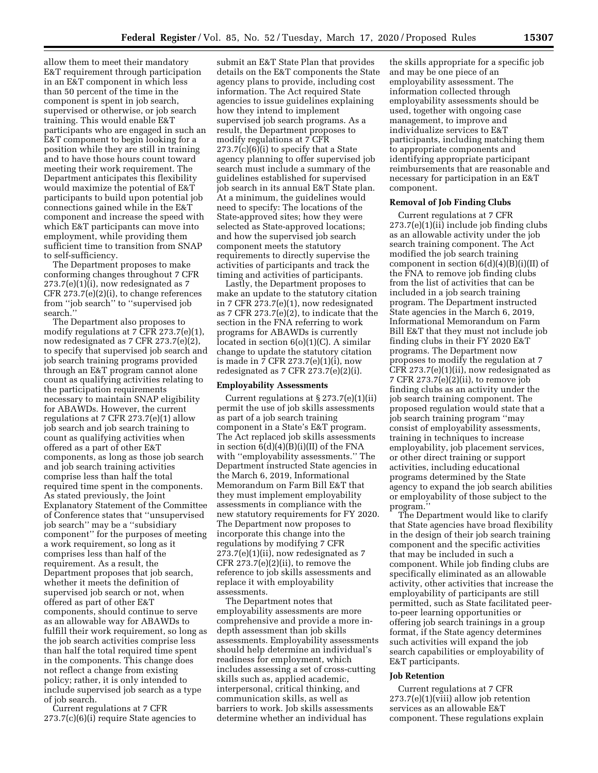allow them to meet their mandatory E&T requirement through participation in an E&T component in which less than 50 percent of the time in the component is spent in job search, supervised or otherwise, or job search training. This would enable E&T participants who are engaged in such an E&T component to begin looking for a position while they are still in training and to have those hours count toward meeting their work requirement. The Department anticipates this flexibility would maximize the potential of E&T participants to build upon potential job connections gained while in the E&T component and increase the speed with which E&T participants can move into employment, while providing them sufficient time to transition from SNAP to self-sufficiency.

The Department proposes to make conforming changes throughout 7 CFR 273.7(e)(1)(i), now redesignated as 7 CFR 273.7(e)(2)(i), to change references from ''job search'' to ''supervised job search.''

The Department also proposes to modify regulations at 7 CFR 273.7(e)(1), now redesignated as 7 CFR 273.7(e)(2), to specify that supervised job search and job search training programs provided through an E&T program cannot alone count as qualifying activities relating to the participation requirements necessary to maintain SNAP eligibility for ABAWDs. However, the current regulations at 7 CFR 273.7(e)(1) allow job search and job search training to count as qualifying activities when offered as a part of other E&T components, as long as those job search and job search training activities comprise less than half the total required time spent in the components. As stated previously, the Joint Explanatory Statement of the Committee of Conference states that ''unsupervised job search'' may be a ''subsidiary component'' for the purposes of meeting a work requirement, so long as it comprises less than half of the requirement. As a result, the Department proposes that job search, whether it meets the definition of supervised job search or not, when offered as part of other E&T components, should continue to serve as an allowable way for ABAWDs to fulfill their work requirement, so long as the job search activities comprise less than half the total required time spent in the components. This change does not reflect a change from existing policy; rather, it is only intended to include supervised job search as a type of job search.

Current regulations at 7 CFR 273.7(c)(6)(i) require State agencies to

submit an E&T State Plan that provides details on the E&T components the State agency plans to provide, including cost information. The Act required State agencies to issue guidelines explaining how they intend to implement supervised job search programs. As a result, the Department proposes to modify regulations at 7 CFR  $273.7(c)(6)(i)$  to specify that a State agency planning to offer supervised job search must include a summary of the guidelines established for supervised job search in its annual E&T State plan. At a minimum, the guidelines would need to specify: The locations of the State-approved sites; how they were selected as State-approved locations; and how the supervised job search component meets the statutory requirements to directly supervise the activities of participants and track the timing and activities of participants.

Lastly, the Department proposes to make an update to the statutory citation in 7 CFR 273.7(e)(1), now redesignated as 7 CFR 273.7(e)(2), to indicate that the section in the FNA referring to work programs for ABAWDs is currently located in section 6(o)(1)(C). A similar change to update the statutory citation is made in 7 CFR 273.7(e)(1)(i), now redesignated as 7 CFR  $273.7(e)(2)(i)$ .

### **Employability Assessments**

Current regulations at § 273.7(e)(1)(ii) permit the use of job skills assessments as part of a job search training component in a State's E&T program. The Act replaced job skills assessments in section 6(d)(4)(B)(i)(II) of the FNA with ''employability assessments.'' The Department instructed State agencies in the March 6, 2019, Informational Memorandum on Farm Bill E&T that they must implement employability assessments in compliance with the new statutory requirements for FY 2020. The Department now proposes to incorporate this change into the regulations by modifying 7 CFR 273.7(e)(1)(ii), now redesignated as 7 CFR 273.7(e)(2)(ii), to remove the reference to job skills assessments and replace it with employability assessments.

The Department notes that employability assessments are more comprehensive and provide a more indepth assessment than job skills assessments. Employability assessments should help determine an individual's readiness for employment, which includes assessing a set of cross-cutting skills such as, applied academic, interpersonal, critical thinking, and communication skills, as well as barriers to work. Job skills assessments determine whether an individual has

the skills appropriate for a specific job and may be one piece of an employability assessment. The information collected through employability assessments should be used, together with ongoing case management, to improve and individualize services to E&T participants, including matching them to appropriate components and identifying appropriate participant reimbursements that are reasonable and necessary for participation in an E&T component.

## **Removal of Job Finding Clubs**

Current regulations at 7 CFR 273.7(e)(1)(ii) include job finding clubs as an allowable activity under the job search training component. The Act modified the job search training component in section  $6(d)(4)(B)(i)(II)$  of the FNA to remove job finding clubs from the list of activities that can be included in a job search training program. The Department instructed State agencies in the March 6, 2019, Informational Memorandum on Farm Bill E&T that they must not include job finding clubs in their FY 2020 E&T programs. The Department now proposes to modify the regulation at 7 CFR 273.7(e)(1)(ii), now redesignated as 7 CFR 273.7(e)(2)(ii), to remove job finding clubs as an activity under the job search training component. The proposed regulation would state that a job search training program ''may consist of employability assessments, training in techniques to increase employability, job placement services, or other direct training or support activities, including educational programs determined by the State agency to expand the job search abilities or employability of those subject to the program.''

The Department would like to clarify that State agencies have broad flexibility in the design of their job search training component and the specific activities that may be included in such a component. While job finding clubs are specifically eliminated as an allowable activity, other activities that increase the employability of participants are still permitted, such as State facilitated peerto-peer learning opportunities or offering job search trainings in a group format, if the State agency determines such activities will expand the job search capabilities or employability of E&T participants.

#### **Job Retention**

Current regulations at 7 CFR 273.7(e)(1)(viii) allow job retention services as an allowable E&T component. These regulations explain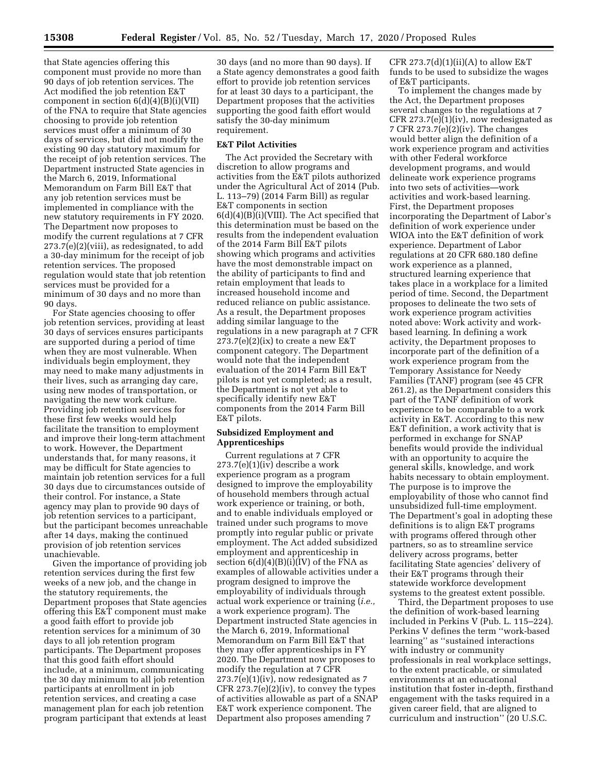that State agencies offering this component must provide no more than 90 days of job retention services. The Act modified the job retention E&T component in section  $6(d)(4)(B)(i)(VII)$ of the FNA to require that State agencies choosing to provide job retention services must offer a minimum of 30 days of services, but did not modify the existing 90 day statutory maximum for the receipt of job retention services. The Department instructed State agencies in the March 6, 2019, Informational Memorandum on Farm Bill E&T that any job retention services must be implemented in compliance with the new statutory requirements in FY 2020. The Department now proposes to modify the current regulations at 7 CFR 273.7(e)(2)(viii), as redesignated, to add a 30-day minimum for the receipt of job retention services. The proposed regulation would state that job retention services must be provided for a minimum of 30 days and no more than 90 days.

For State agencies choosing to offer job retention services, providing at least 30 days of services ensures participants are supported during a period of time when they are most vulnerable. When individuals begin employment, they may need to make many adjustments in their lives, such as arranging day care, using new modes of transportation, or navigating the new work culture. Providing job retention services for these first few weeks would help facilitate the transition to employment and improve their long-term attachment to work. However, the Department understands that, for many reasons, it may be difficult for State agencies to maintain job retention services for a full 30 days due to circumstances outside of their control. For instance, a State agency may plan to provide 90 days of job retention services to a participant, but the participant becomes unreachable after 14 days, making the continued provision of job retention services unachievable.

Given the importance of providing job retention services during the first few weeks of a new job, and the change in the statutory requirements, the Department proposes that State agencies offering this E&T component must make a good faith effort to provide job retention services for a minimum of 30 days to all job retention program participants. The Department proposes that this good faith effort should include, at a minimum, communicating the 30 day minimum to all job retention participants at enrollment in job retention services, and creating a case management plan for each job retention program participant that extends at least

30 days (and no more than 90 days). If a State agency demonstrates a good faith effort to provide job retention services for at least 30 days to a participant, the Department proposes that the activities supporting the good faith effort would satisfy the 30-day minimum requirement.

### **E&T Pilot Activities**

The Act provided the Secretary with discretion to allow programs and activities from the E&T pilots authorized under the Agricultural Act of 2014 (Pub. L. 113–79) (2014 Farm Bill) as regular E&T components in section 6(d)(4)(B)(i)(VIII). The Act specified that this determination must be based on the results from the independent evaluation of the 2014 Farm Bill E&T pilots showing which programs and activities have the most demonstrable impact on the ability of participants to find and retain employment that leads to increased household income and reduced reliance on public assistance. As a result, the Department proposes adding similar language to the regulations in a new paragraph at 7 CFR  $273.7(e)(2)(ix)$  to create a new E&T component category. The Department would note that the independent evaluation of the 2014 Farm Bill E&T pilots is not yet completed; as a result, the Department is not yet able to specifically identify new E&T components from the 2014 Farm Bill E&T pilots.

## **Subsidized Employment and Apprenticeships**

Current regulations at 7 CFR  $273.7(e)(1)(iv)$  describe a work experience program as a program designed to improve the employability of household members through actual work experience or training, or both, and to enable individuals employed or trained under such programs to move promptly into regular public or private employment. The Act added subsidized employment and apprenticeship in section  $6(d)(4)(B)(i)(IV)$  of the FNA as examples of allowable activities under a program designed to improve the employability of individuals through actual work experience or training (*i.e.,*  a work experience program). The Department instructed State agencies in the March 6, 2019, Informational Memorandum on Farm Bill E&T that they may offer apprenticeships in FY 2020. The Department now proposes to modify the regulation at 7 CFR  $273.7(e)(1)(iv)$ , now redesignated as 7  $CFR 273.7(e)(2)(iv)$ , to convey the types of activities allowable as part of a SNAP E&T work experience component. The Department also proposes amending 7

CFR  $273.7(d)(1)(ii)(A)$  to allow E&T funds to be used to subsidize the wages of E&T participants.

To implement the changes made by the Act, the Department proposes several changes to the regulations at 7 CFR 273.7(e)(1)(iv), now redesignated as 7 CFR 273.7(e)(2)(iv). The changes would better align the definition of a work experience program and activities with other Federal workforce development programs, and would delineate work experience programs into two sets of activities—work activities and work-based learning. First, the Department proposes incorporating the Department of Labor's definition of work experience under WIOA into the E&T definition of work experience. Department of Labor regulations at 20 CFR 680.180 define work experience as a planned, structured learning experience that takes place in a workplace for a limited period of time. Second, the Department proposes to delineate the two sets of work experience program activities noted above: Work activity and workbased learning. In defining a work activity, the Department proposes to incorporate part of the definition of a work experience program from the Temporary Assistance for Needy Families (TANF) program (see 45 CFR 261.2), as the Department considers this part of the TANF definition of work experience to be comparable to a work activity in E&T. According to this new E&T definition, a work activity that is performed in exchange for SNAP benefits would provide the individual with an opportunity to acquire the general skills, knowledge, and work habits necessary to obtain employment. The purpose is to improve the employability of those who cannot find unsubsidized full-time employment. The Department's goal in adopting these definitions is to align E&T programs with programs offered through other partners, so as to streamline service delivery across programs, better facilitating State agencies' delivery of their E&T programs through their statewide workforce development systems to the greatest extent possible.

Third, the Department proposes to use the definition of work-based learning included in Perkins V (Pub. L. 115–224). Perkins V defines the term ''work-based learning'' as ''sustained interactions with industry or community professionals in real workplace settings, to the extent practicable, or simulated environments at an educational institution that foster in-depth, firsthand engagement with the tasks required in a given career field, that are aligned to curriculum and instruction'' (20 U.S.C.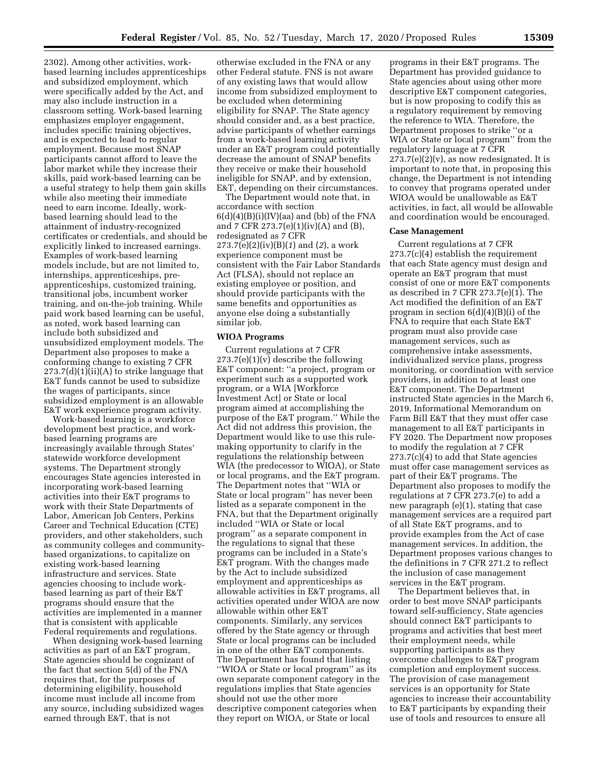2302). Among other activities, workbased learning includes apprenticeships and subsidized employment, which were specifically added by the Act, and may also include instruction in a classroom setting. Work-based learning emphasizes employer engagement, includes specific training objectives, and is expected to lead to regular employment. Because most SNAP participants cannot afford to leave the labor market while they increase their skills, paid work-based learning can be a useful strategy to help them gain skills while also meeting their immediate need to earn income. Ideally, workbased learning should lead to the attainment of industry-recognized certificates or credentials, and should be explicitly linked to increased earnings. Examples of work-based learning models include, but are not limited to, internships, apprenticeships, preapprenticeships, customized training, transitional jobs, incumbent worker training, and on-the-job training. While paid work based learning can be useful, as noted, work based learning can include both subsidized and unsubsidized employment models. The Department also proposes to make a conforming change to existing 7 CFR 273.7(d)(1)(ii)(A) to strike language that E&T funds cannot be used to subsidize the wages of participants, since subsidized employment is an allowable E&T work experience program activity.

Work-based learning is a workforce development best practice, and workbased learning programs are increasingly available through States' statewide workforce development systems. The Department strongly encourages State agencies interested in incorporating work-based learning activities into their E&T programs to work with their State Departments of Labor, American Job Centers, Perkins Career and Technical Education (CTE) providers, and other stakeholders, such as community colleges and communitybased organizations, to capitalize on existing work-based learning infrastructure and services. State agencies choosing to include workbased learning as part of their E&T programs should ensure that the activities are implemented in a manner that is consistent with applicable Federal requirements and regulations.

When designing work-based learning activities as part of an E&T program, State agencies should be cognizant of the fact that section 5(d) of the FNA requires that, for the purposes of determining eligibility, household income must include all income from any source, including subsidized wages earned through E&T, that is not

otherwise excluded in the FNA or any other Federal statute. FNS is not aware of any existing laws that would allow income from subsidized employment to be excluded when determining eligibility for SNAP. The State agency should consider and, as a best practice, advise participants of whether earnings from a work-based learning activity under an E&T program could potentially decrease the amount of SNAP benefits they receive or make their household ineligible for SNAP, and by extension, E&T, depending on their circumstances.

The Department would note that, in accordance with section  $6(d)(4)(B)(i)(IV)(aa)$  and (bb) of the FNA and 7 CFR 273.7(e)(1)(iv)(A) and (B), redesignated as 7 CFR 273.7(e)(2)(iv)(B)(*1*) and (*2*), a work experience component must be consistent with the Fair Labor Standards Act (FLSA), should not replace an existing employee or position, and should provide participants with the same benefits and opportunities as anyone else doing a substantially similar job.

### **WIOA Programs**

Current regulations at 7 CFR 273.7(e)(1)(v) describe the following E&T component: ''a project, program or experiment such as a supported work program, or a WIA [Workforce Investment Act] or State or local program aimed at accomplishing the purpose of the E&T program.'' While the Act did not address this provision, the Department would like to use this rulemaking opportunity to clarify in the regulations the relationship between WIA (the predecessor to WIOA), or State or local programs, and the E&T program. The Department notes that ''WIA or State or local program'' has never been listed as a separate component in the FNA, but that the Department originally included ''WIA or State or local program'' as a separate component in the regulations to signal that these programs can be included in a State's E&T program. With the changes made by the Act to include subsidized employment and apprenticeships as allowable activities in E&T programs, all activities operated under WIOA are now allowable within other E&T components. Similarly, any services offered by the State agency or through State or local programs can be included in one of the other E&T components. The Department has found that listing ''WIOA or State or local program'' as its own separate component category in the regulations implies that State agencies should not use the other more descriptive component categories when they report on WIOA, or State or local

programs in their E&T programs. The Department has provided guidance to State agencies about using other more descriptive E&T component categories, but is now proposing to codify this as a regulatory requirement by removing the reference to WIA. Therefore, the Department proposes to strike ''or a WIA or State or local program'' from the regulatory language at 7 CFR  $273.7(e)(2)(v)$ , as now redesignated. It is important to note that, in proposing this change, the Department is not intending to convey that programs operated under WIOA would be unallowable as E&T activities, in fact, all would be allowable and coordination would be encouraged.

### **Case Management**

Current regulations at 7 CFR 273.7(c)(4) establish the requirement that each State agency must design and operate an E&T program that must consist of one or more E&T components as described in 7 CFR 273.7(e)(1). The Act modified the definition of an E&T program in section  $6(d)(4)(B)(i)$  of the FNA to require that each State E&T program must also provide case management services, such as comprehensive intake assessments, individualized service plans, progress monitoring, or coordination with service providers, in addition to at least one E&T component. The Department instructed State agencies in the March 6, 2019, Informational Memorandum on Farm Bill E&T that they must offer case management to all E&T participants in FY 2020. The Department now proposes to modify the regulation at 7 CFR 273.7(c)(4) to add that State agencies must offer case management services as part of their E&T programs. The Department also proposes to modify the regulations at 7 CFR 273.7(e) to add a new paragraph (e)(1), stating that case management services are a required part of all State E&T programs, and to provide examples from the Act of case management services. In addition, the Department proposes various changes to the definitions in 7 CFR 271.2 to reflect the inclusion of case management services in the E&T program.

The Department believes that, in order to best move SNAP participants toward self-sufficiency, State agencies should connect E&T participants to programs and activities that best meet their employment needs, while supporting participants as they overcome challenges to E&T program completion and employment success. The provision of case management services is an opportunity for State agencies to increase their accountability to E&T participants by expanding their use of tools and resources to ensure all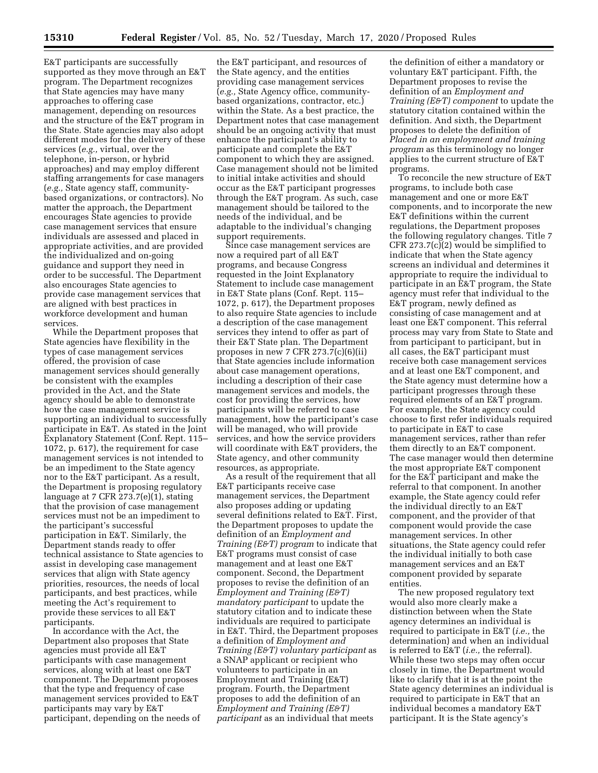E&T participants are successfully supported as they move through an E&T program. The Department recognizes that State agencies may have many approaches to offering case management, depending on resources and the structure of the E&T program in the State. State agencies may also adopt different modes for the delivery of these services (*e.g.,* virtual, over the telephone, in-person, or hybrid approaches) and may employ different staffing arrangements for case managers (*e.g.,* State agency staff, communitybased organizations, or contractors). No matter the approach, the Department encourages State agencies to provide case management services that ensure individuals are assessed and placed in appropriate activities, and are provided the individualized and on-going guidance and support they need in order to be successful. The Department also encourages State agencies to provide case management services that are aligned with best practices in workforce development and human services.

While the Department proposes that State agencies have flexibility in the types of case management services offered, the provision of case management services should generally be consistent with the examples provided in the Act, and the State agency should be able to demonstrate how the case management service is supporting an individual to successfully participate in E&T. As stated in the Joint Explanatory Statement (Conf. Rept. 115– 1072, p. 617), the requirement for case management services is not intended to be an impediment to the State agency nor to the E&T participant. As a result, the Department is proposing regulatory language at 7 CFR 273.7(e)(1), stating that the provision of case management services must not be an impediment to the participant's successful participation in E&T. Similarly, the Department stands ready to offer technical assistance to State agencies to assist in developing case management services that align with State agency priorities, resources, the needs of local participants, and best practices, while meeting the Act's requirement to provide these services to all E&T participants.

In accordance with the Act, the Department also proposes that State agencies must provide all E&T participants with case management services, along with at least one E&T component. The Department proposes that the type and frequency of case management services provided to E&T participants may vary by E&T participant, depending on the needs of

the E&T participant, and resources of the State agency, and the entities providing case management services (*e.g.,* State Agency office, communitybased organizations, contractor, etc.) within the State. As a best practice, the Department notes that case management should be an ongoing activity that must enhance the participant's ability to participate and complete the E&T component to which they are assigned. Case management should not be limited to initial intake activities and should occur as the E&T participant progresses through the E&T program. As such, case management should be tailored to the needs of the individual, and be adaptable to the individual's changing support requirements.

Since case management services are now a required part of all E&T programs, and because Congress requested in the Joint Explanatory Statement to include case management in E&T State plans (Conf. Rept. 115– 1072, p. 617), the Department proposes to also require State agencies to include a description of the case management services they intend to offer as part of their E&T State plan. The Department proposes in new 7 CFR  $273.7(c)(6)(ii)$ that State agencies include information about case management operations, including a description of their case management services and models, the cost for providing the services, how participants will be referred to case management, how the participant's case will be managed, who will provide services, and how the service providers will coordinate with E&T providers, the State agency, and other community resources, as appropriate.

As a result of the requirement that all E&T participants receive case management services, the Department also proposes adding or updating several definitions related to E&T. First, the Department proposes to update the definition of an *Employment and Training (E&T) program* to indicate that E&T programs must consist of case management and at least one E&T component. Second, the Department proposes to revise the definition of an *Employment and Training (E&T) mandatory participant* to update the statutory citation and to indicate these individuals are required to participate in E&T. Third, the Department proposes a definition of *Employment and Training (E&T) voluntary participant* as a SNAP applicant or recipient who volunteers to participate in an Employment and Training (E&T) program. Fourth, the Department proposes to add the definition of an *Employment and Training (E&T) participant* as an individual that meets

the definition of either a mandatory or voluntary E&T participant. Fifth, the Department proposes to revise the definition of an *Employment and Training (E&T) component* to update the statutory citation contained within the definition. And sixth, the Department proposes to delete the definition of *Placed in an employment and training program* as this terminology no longer applies to the current structure of E&T programs.

To reconcile the new structure of E&T programs, to include both case management and one or more E&T components, and to incorporate the new E&T definitions within the current regulations, the Department proposes the following regulatory changes. Title 7 CFR 273.7(c)(2) would be simplified to indicate that when the State agency screens an individual and determines it appropriate to require the individual to participate in an E&T program, the State agency must refer that individual to the E&T program, newly defined as consisting of case management and at least one E&T component. This referral process may vary from State to State and from participant to participant, but in all cases, the E&T participant must receive both case management services and at least one E&T component, and the State agency must determine how a participant progresses through these required elements of an E&T program. For example, the State agency could choose to first refer individuals required to participate in E&T to case management services, rather than refer them directly to an E&T component. The case manager would then determine the most appropriate E&T component for the E&T participant and make the referral to that component. In another example, the State agency could refer the individual directly to an E&T component, and the provider of that component would provide the case management services. In other situations, the State agency could refer the individual initially to both case management services and an E&T component provided by separate entities.

The new proposed regulatory text would also more clearly make a distinction between when the State agency determines an individual is required to participate in E&T (*i.e.,* the determination) and when an individual is referred to E&T (*i.e.,* the referral). While these two steps may often occur closely in time, the Department would like to clarify that it is at the point the State agency determines an individual is required to participate in E&T that an individual becomes a mandatory E&T participant. It is the State agency's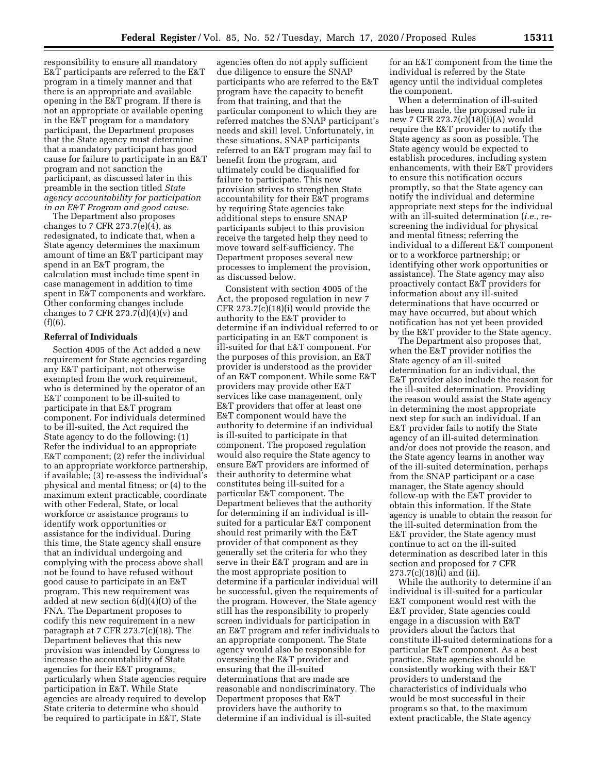responsibility to ensure all mandatory E&T participants are referred to the E&T program in a timely manner and that there is an appropriate and available opening in the E&T program. If there is not an appropriate or available opening in the E&T program for a mandatory participant, the Department proposes that the State agency must determine that a mandatory participant has good cause for failure to participate in an E&T program and not sanction the participant, as discussed later in this preamble in the section titled *State agency accountability for participation in an E&T Program and good cause.* 

The Department also proposes changes to 7 CFR  $273.7(e)(4)$ , as redesignated, to indicate that, when a State agency determines the maximum amount of time an E&T participant may spend in an E&T program, the calculation must include time spent in case management in addition to time spent in E&T components and workfare. Other conforming changes include changes to 7 CFR  $273.7(d)(4)(v)$  and (f)(6).

#### **Referral of Individuals**

Section 4005 of the Act added a new requirement for State agencies regarding any E&T participant, not otherwise exempted from the work requirement, who is determined by the operator of an E&T component to be ill-suited to participate in that E&T program component. For individuals determined to be ill-suited, the Act required the State agency to do the following: (1) Refer the individual to an appropriate E&T component; (2) refer the individual to an appropriate workforce partnership, if available; (3) re-assess the individual's physical and mental fitness; or (4) to the maximum extent practicable, coordinate with other Federal, State, or local workforce or assistance programs to identify work opportunities or assistance for the individual. During this time, the State agency shall ensure that an individual undergoing and complying with the process above shall not be found to have refused without good cause to participate in an E&T program. This new requirement was added at new section 6(d)(4)(O) of the FNA. The Department proposes to codify this new requirement in a new paragraph at 7 CFR  $273.7(c)(18)$ . The Department believes that this new provision was intended by Congress to increase the accountability of State agencies for their E&T programs, particularly when State agencies require participation in E&T. While State agencies are already required to develop State criteria to determine who should be required to participate in E&T, State

agencies often do not apply sufficient due diligence to ensure the SNAP participants who are referred to the E&T program have the capacity to benefit from that training, and that the particular component to which they are referred matches the SNAP participant's needs and skill level. Unfortunately, in these situations, SNAP participants referred to an E&T program may fail to benefit from the program, and ultimately could be disqualified for failure to participate. This new provision strives to strengthen State accountability for their E&T programs by requiring State agencies take additional steps to ensure SNAP participants subject to this provision receive the targeted help they need to move toward self-sufficiency. The Department proposes several new processes to implement the provision, as discussed below.

Consistent with section 4005 of the Act, the proposed regulation in new 7 CFR 273.7(c)(18)(i) would provide the authority to the E&T provider to determine if an individual referred to or participating in an E&T component is ill-suited for that E&T component. For the purposes of this provision, an E&T provider is understood as the provider of an E&T component. While some E&T providers may provide other E&T services like case management, only E&T providers that offer at least one E&T component would have the authority to determine if an individual is ill-suited to participate in that component. The proposed regulation would also require the State agency to ensure E&T providers are informed of their authority to determine what constitutes being ill-suited for a particular E&T component. The Department believes that the authority for determining if an individual is illsuited for a particular E&T component should rest primarily with the E&T provider of that component as they generally set the criteria for who they serve in their E&T program and are in the most appropriate position to determine if a particular individual will be successful, given the requirements of the program. However, the State agency still has the responsibility to properly screen individuals for participation in an E&T program and refer individuals to an appropriate component. The State agency would also be responsible for overseeing the E&T provider and ensuring that the ill-suited determinations that are made are reasonable and nondiscriminatory. The Department proposes that E&T providers have the authority to determine if an individual is ill-suited

for an E&T component from the time the individual is referred by the State agency until the individual completes the component.

When a determination of ill-suited has been made, the proposed rule in new 7 CFR 273.7(c)(18)(i)(A) would require the E&T provider to notify the State agency as soon as possible. The State agency would be expected to establish procedures, including system enhancements, with their E&T providers to ensure this notification occurs promptly, so that the State agency can notify the individual and determine appropriate next steps for the individual with an ill-suited determination (*i.e.,* rescreening the individual for physical and mental fitness; referring the individual to a different E&T component or to a workforce partnership; or identifying other work opportunities or assistance). The State agency may also proactively contact E&T providers for information about any ill-suited determinations that have occurred or may have occurred, but about which notification has not yet been provided by the E&T provider to the State agency.

The Department also proposes that, when the E&T provider notifies the State agency of an ill-suited determination for an individual, the E&T provider also include the reason for the ill-suited determination. Providing the reason would assist the State agency in determining the most appropriate next step for such an individual. If an E&T provider fails to notify the State agency of an ill-suited determination and/or does not provide the reason, and the State agency learns in another way of the ill-suited determination, perhaps from the SNAP participant or a case manager, the State agency should follow-up with the E&T provider to obtain this information. If the State agency is unable to obtain the reason for the ill-suited determination from the E&T provider, the State agency must continue to act on the ill-suited determination as described later in this section and proposed for 7 CFR 273.7(c)(18)(i) and (ii).

While the authority to determine if an individual is ill-suited for a particular E&T component would rest with the E&T provider, State agencies could engage in a discussion with E&T providers about the factors that constitute ill-suited determinations for a particular E&T component. As a best practice, State agencies should be consistently working with their E&T providers to understand the characteristics of individuals who would be most successful in their programs so that, to the maximum extent practicable, the State agency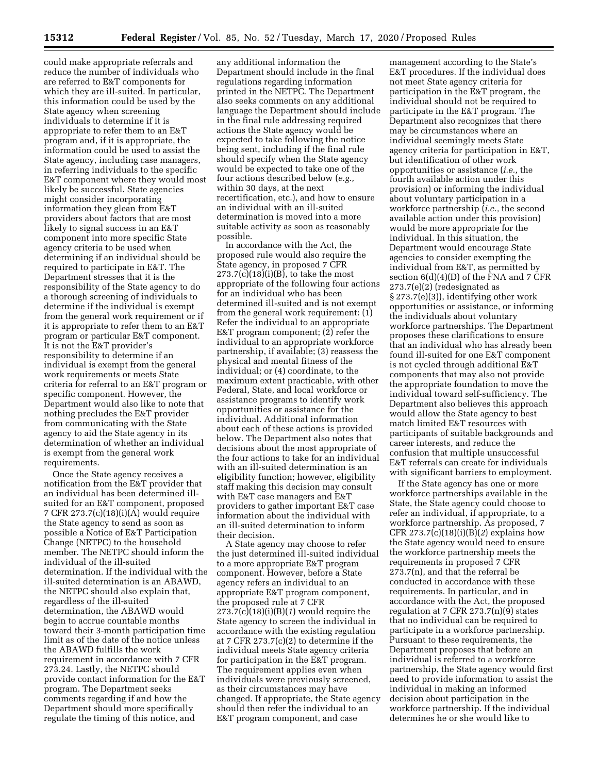could make appropriate referrals and reduce the number of individuals who are referred to E&T components for which they are ill-suited. In particular, this information could be used by the State agency when screening individuals to determine if it is appropriate to refer them to an E&T program and, if it is appropriate, the information could be used to assist the State agency, including case managers, in referring individuals to the specific E&T component where they would most likely be successful. State agencies might consider incorporating information they glean from E&T providers about factors that are most likely to signal success in an E&T component into more specific State agency criteria to be used when determining if an individual should be required to participate in E&T. The Department stresses that it is the responsibility of the State agency to do a thorough screening of individuals to determine if the individual is exempt from the general work requirement or if it is appropriate to refer them to an E&T program or particular E&T component. It is not the E&T provider's responsibility to determine if an individual is exempt from the general work requirements or meets State criteria for referral to an E&T program or specific component. However, the Department would also like to note that nothing precludes the E&T provider from communicating with the State agency to aid the State agency in its determination of whether an individual is exempt from the general work requirements.

Once the State agency receives a notification from the E&T provider that an individual has been determined illsuited for an E&T component, proposed 7 CFR 273.7(c)(18)(i)(A) would require the State agency to send as soon as possible a Notice of E&T Participation Change (NETPC) to the household member. The NETPC should inform the individual of the ill-suited determination. If the individual with the ill-suited determination is an ABAWD, the NETPC should also explain that, regardless of the ill-suited determination, the ABAWD would begin to accrue countable months toward their 3-month participation time limit as of the date of the notice unless the ABAWD fulfills the work requirement in accordance with 7 CFR 273.24. Lastly, the NETPC should provide contact information for the E&T program. The Department seeks comments regarding if and how the Department should more specifically regulate the timing of this notice, and

any additional information the Department should include in the final regulations regarding information printed in the NETPC. The Department also seeks comments on any additional language the Department should include in the final rule addressing required actions the State agency would be expected to take following the notice being sent, including if the final rule should specify when the State agency would be expected to take one of the four actions described below (*e.g.,*  within 30 days, at the next recertification, etc.), and how to ensure an individual with an ill-suited determination is moved into a more suitable activity as soon as reasonably possible.

In accordance with the Act, the proposed rule would also require the State agency, in proposed 7 CFR  $273.7(c)(18)(i)(B)$ , to take the most appropriate of the following four actions for an individual who has been determined ill-suited and is not exempt from the general work requirement: (1) Refer the individual to an appropriate E&T program component; (2) refer the individual to an appropriate workforce partnership, if available; (3) reassess the physical and mental fitness of the individual; or (4) coordinate, to the maximum extent practicable, with other Federal, State, and local workforce or assistance programs to identify work opportunities or assistance for the individual. Additional information about each of these actions is provided below. The Department also notes that decisions about the most appropriate of the four actions to take for an individual with an ill-suited determination is an eligibility function; however, eligibility staff making this decision may consult with E&T case managers and E&T providers to gather important E&T case information about the individual with an ill-suited determination to inform their decision.

A State agency may choose to refer the just determined ill-suited individual to a more appropriate E&T program component. However, before a State agency refers an individual to an appropriate E&T program component, the proposed rule at 7 CFR 273.7(c)(18)(i)(B)(*1*) would require the State agency to screen the individual in accordance with the existing regulation at 7 CFR 273.7(c)(2) to determine if the individual meets State agency criteria for participation in the E&T program. The requirement applies even when individuals were previously screened, as their circumstances may have changed. If appropriate, the State agency should then refer the individual to an E&T program component, and case

management according to the State's E&T procedures. If the individual does not meet State agency criteria for participation in the E&T program, the individual should not be required to participate in the E&T program. The Department also recognizes that there may be circumstances where an individual seemingly meets State agency criteria for participation in E&T, but identification of other work opportunities or assistance (*i.e.,* the fourth available action under this provision) or informing the individual about voluntary participation in a workforce partnership (*i.e.,* the second available action under this provision) would be more appropriate for the individual. In this situation, the Department would encourage State agencies to consider exempting the individual from E&T, as permitted by section 6(d)(4)(D) of the FNA and 7 CFR 273.7(e)(2) (redesignated as § 273.7(e)(3)), identifying other work opportunities or assistance, or informing the individuals about voluntary workforce partnerships. The Department proposes these clarifications to ensure that an individual who has already been found ill-suited for one E&T component is not cycled through additional E&T components that may also not provide the appropriate foundation to move the individual toward self-sufficiency. The Department also believes this approach would allow the State agency to best match limited E&T resources with participants of suitable backgrounds and career interests, and reduce the confusion that multiple unsuccessful E&T referrals can create for individuals with significant barriers to employment.

If the State agency has one or more workforce partnerships available in the State, the State agency could choose to refer an individual, if appropriate, to a workforce partnership. As proposed, 7 CFR 273.7(c)(18)(i)(B)(*2*) explains how the State agency would need to ensure the workforce partnership meets the requirements in proposed 7 CFR 273.7(n), and that the referral be conducted in accordance with these requirements. In particular, and in accordance with the Act, the proposed regulation at 7 CFR  $273.7(n)(9)$  states that no individual can be required to participate in a workforce partnership. Pursuant to these requirements, the Department proposes that before an individual is referred to a workforce partnership, the State agency would first need to provide information to assist the individual in making an informed decision about participation in the workforce partnership. If the individual determines he or she would like to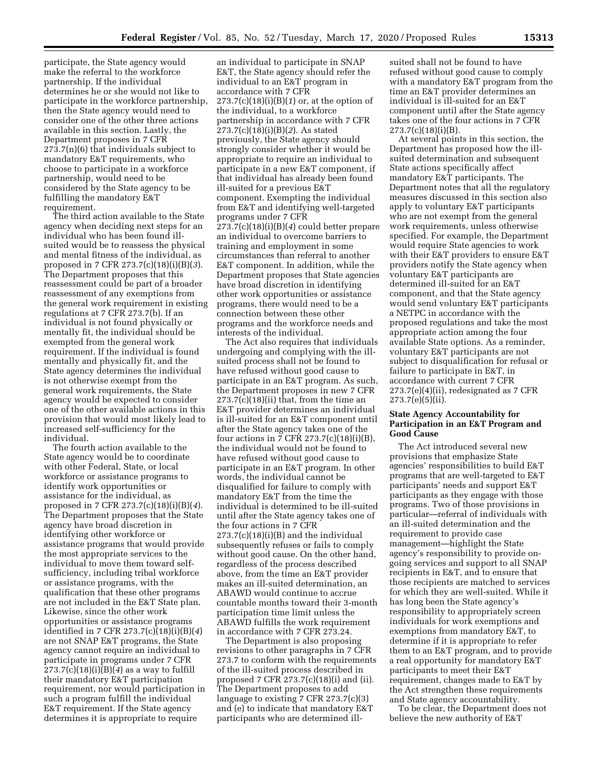participate, the State agency would make the referral to the workforce partnership. If the individual determines he or she would not like to participate in the workforce partnership, then the State agency would need to consider one of the other three actions available in this section. Lastly, the Department proposes in 7 CFR 273.7(n)(6) that individuals subject to mandatory E&T requirements, who choose to participate in a workforce partnership, would need to be considered by the State agency to be fulfilling the mandatory E&T requirement.

The third action available to the State agency when deciding next steps for an individual who has been found illsuited would be to reassess the physical and mental fitness of the individual, as proposed in 7 CFR 273.7(c)(18)(i)(B)(*3*). The Department proposes that this reassessment could be part of a broader reassessment of any exemptions from the general work requirement in existing regulations at 7 CFR 273.7(b). If an individual is not found physically or mentally fit, the individual should be exempted from the general work requirement. If the individual is found mentally and physically fit, and the State agency determines the individual is not otherwise exempt from the general work requirements, the State agency would be expected to consider one of the other available actions in this provision that would most likely lead to increased self-sufficiency for the individual.

The fourth action available to the State agency would be to coordinate with other Federal, State, or local workforce or assistance programs to identify work opportunities or assistance for the individual, as proposed in 7 CFR 273.7(c)(18)(i)(B)(*4*). The Department proposes that the State agency have broad discretion in identifying other workforce or assistance programs that would provide the most appropriate services to the individual to move them toward selfsufficiency, including tribal workforce or assistance programs, with the qualification that these other programs are not included in the E&T State plan. Likewise, since the other work opportunities or assistance programs identified in 7 CFR 273.7(c)(18)(i)(B)(*4*) are not SNAP E&T programs, the State agency cannot require an individual to participate in programs under 7 CFR  $273.7(c)(18)(i)(B)(4)$  as a way to fulfill their mandatory E&T participation requirement, nor would participation in such a program fulfill the individual E&T requirement. If the State agency determines it is appropriate to require

an individual to participate in SNAP E&T, the State agency should refer the individual to an E&T program in accordance with 7 CFR 273.7(c)(18)(i)(B)(*1*) or, at the option of the individual, to a workforce partnership in accordance with 7 CFR 273.7(c)(18)(i)(B)(*2*). As stated previously, the State agency should strongly consider whether it would be appropriate to require an individual to participate in a new E&T component, if that individual has already been found ill-suited for a previous E&T component. Exempting the individual from E&T and identifying well-targeted programs under 7 CFR 273.7(c)(18)(i)(B)(*4*) could better prepare an individual to overcome barriers to training and employment in some circumstances than referral to another E&T component. In addition, while the Department proposes that State agencies have broad discretion in identifying other work opportunities or assistance programs, there would need to be a connection between these other programs and the workforce needs and interests of the individual.

The Act also requires that individuals undergoing and complying with the illsuited process shall not be found to have refused without good cause to participate in an E&T program. As such, the Department proposes in new 7 CFR  $273.7(c)(18)(ii)$  that, from the time an E&T provider determines an individual is ill-suited for an E&T component until after the State agency takes one of the four actions in 7 CFR 273.7(c)(18)(i)(B), the individual would not be found to have refused without good cause to participate in an E&T program. In other words, the individual cannot be disqualified for failure to comply with mandatory E&T from the time the individual is determined to be ill-suited until after the State agency takes one of the four actions in 7 CFR  $273.7(c)(18)(i)(B)$  and the individual subsequently refuses or fails to comply without good cause. On the other hand, regardless of the process described above, from the time an E&T provider makes an ill-suited determination, an ABAWD would continue to accrue countable months toward their 3-month participation time limit unless the ABAWD fulfills the work requirement in accordance with 7 CFR 273.24.

The Department is also proposing revisions to other paragraphs in 7 CFR 273.7 to conform with the requirements of the ill-suited process described in proposed 7 CFR 273.7(c)(18)(i) and (ii). The Department proposes to add language to existing 7 CFR 273.7(c)(3) and (e) to indicate that mandatory E&T participants who are determined illsuited shall not be found to have refused without good cause to comply with a mandatory E&T program from the time an E&T provider determines an individual is ill-suited for an E&T component until after the State agency takes one of the four actions in 7 CFR 273.7(c)(18)(i)(B).

At several points in this section, the Department has proposed how the illsuited determination and subsequent State actions specifically affect mandatory E&T participants. The Department notes that all the regulatory measures discussed in this section also apply to voluntary E&T participants who are not exempt from the general work requirements, unless otherwise specified. For example, the Department would require State agencies to work with their E&T providers to ensure E&T providers notify the State agency when voluntary E&T participants are determined ill-suited for an E&T component, and that the State agency would send voluntary E&T participants a NETPC in accordance with the proposed regulations and take the most appropriate action among the four available State options. As a reminder, voluntary E&T participants are not subject to disqualification for refusal or failure to participate in E&T, in accordance with current 7 CFR 273.7(e)(4)(ii), redesignated as 7 CFR  $273.7(e)(5)(ii)$ .

## **State Agency Accountability for Participation in an E&T Program and Good Cause**

The Act introduced several new provisions that emphasize State agencies' responsibilities to build E&T programs that are well-targeted to E&T participants' needs and support E&T participants as they engage with those programs. Two of those provisions in particular—referral of individuals with an ill-suited determination and the requirement to provide case management—highlight the State agency's responsibility to provide ongoing services and support to all SNAP recipients in E&T, and to ensure that those recipients are matched to services for which they are well-suited. While it has long been the State agency's responsibility to appropriately screen individuals for work exemptions and exemptions from mandatory E&T, to determine if it is appropriate to refer them to an E&T program, and to provide a real opportunity for mandatory E&T participants to meet their E&T requirement, changes made to E&T by the Act strengthen these requirements and State agency accountability.

To be clear, the Department does not believe the new authority of E&T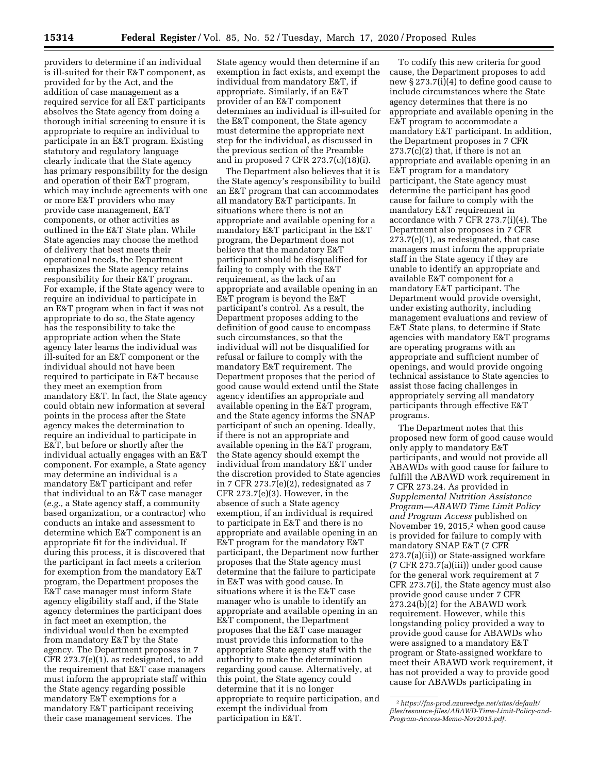providers to determine if an individual is ill-suited for their E&T component, as provided for by the Act, and the addition of case management as a required service for all E&T participants absolves the State agency from doing a thorough initial screening to ensure it is appropriate to require an individual to participate in an E&T program. Existing statutory and regulatory language clearly indicate that the State agency has primary responsibility for the design and operation of their E&T program, which may include agreements with one or more E&T providers who may provide case management, E&T components, or other activities as outlined in the E&T State plan. While State agencies may choose the method of delivery that best meets their operational needs, the Department emphasizes the State agency retains responsibility for their E&T program. For example, if the State agency were to require an individual to participate in an E&T program when in fact it was not appropriate to do so, the State agency has the responsibility to take the appropriate action when the State agency later learns the individual was ill-suited for an E&T component or the individual should not have been required to participate in E&T because they meet an exemption from mandatory E&T. In fact, the State agency could obtain new information at several points in the process after the State agency makes the determination to require an individual to participate in E&T, but before or shortly after the individual actually engages with an E&T component. For example, a State agency may determine an individual is a mandatory E&T participant and refer that individual to an E&T case manager (*e.g.,* a State agency staff, a community based organization, or a contractor) who conducts an intake and assessment to determine which E&T component is an appropriate fit for the individual. If during this process, it is discovered that the participant in fact meets a criterion for exemption from the mandatory E&T program, the Department proposes the E&T case manager must inform State agency eligibility staff and, if the State agency determines the participant does in fact meet an exemption, the individual would then be exempted from mandatory E&T by the State agency. The Department proposes in 7 CFR 273.7(e)(1), as redesignated, to add the requirement that E&T case managers must inform the appropriate staff within the State agency regarding possible mandatory E&T exemptions for a mandatory E&T participant receiving their case management services. The

State agency would then determine if an exemption in fact exists, and exempt the individual from mandatory E&T, if appropriate. Similarly, if an E&T provider of an E&T component determines an individual is ill-suited for the E&T component, the State agency must determine the appropriate next step for the individual, as discussed in the previous section of the Preamble and in proposed 7 CFR 273.7(c)(18)(i).

The Department also believes that it is the State agency's responsibility to build an E&T program that can accommodates all mandatory E&T participants. In situations where there is not an appropriate and available opening for a mandatory E&T participant in the E&T program, the Department does not believe that the mandatory E&T participant should be disqualified for failing to comply with the E&T requirement, as the lack of an appropriate and available opening in an E&T program is beyond the E&T participant's control. As a result, the Department proposes adding to the definition of good cause to encompass such circumstances, so that the individual will not be disqualified for refusal or failure to comply with the mandatory E&T requirement. The Department proposes that the period of good cause would extend until the State agency identifies an appropriate and available opening in the E&T program, and the State agency informs the SNAP participant of such an opening. Ideally, if there is not an appropriate and available opening in the E&T program, the State agency should exempt the individual from mandatory E&T under the discretion provided to State agencies in 7 CFR 273.7(e)(2), redesignated as 7 CFR 273.7(e)(3). However, in the absence of such a State agency exemption, if an individual is required to participate in E&T and there is no appropriate and available opening in an E&T program for the mandatory E&T participant, the Department now further proposes that the State agency must determine that the failure to participate in E&T was with good cause. In situations where it is the E&T case manager who is unable to identify an appropriate and available opening in an E&T component, the Department proposes that the E&T case manager must provide this information to the appropriate State agency staff with the authority to make the determination regarding good cause. Alternatively, at this point, the State agency could determine that it is no longer appropriate to require participation, and exempt the individual from participation in E&T.

To codify this new criteria for good cause, the Department proposes to add new § 273.7(i)(4) to define good cause to include circumstances where the State agency determines that there is no appropriate and available opening in the E&T program to accommodate a mandatory E&T participant. In addition, the Department proposes in 7 CFR  $273.7(c)(2)$  that, if there is not an appropriate and available opening in an E&T program for a mandatory participant, the State agency must determine the participant has good cause for failure to comply with the mandatory E&T requirement in accordance with 7 CFR 273.7(i)(4). The Department also proposes in 7 CFR 273.7(e)(1), as redesignated, that case managers must inform the appropriate staff in the State agency if they are unable to identify an appropriate and available E&T component for a mandatory E&T participant. The Department would provide oversight, under existing authority, including management evaluations and review of E&T State plans, to determine if State agencies with mandatory E&T programs are operating programs with an appropriate and sufficient number of openings, and would provide ongoing technical assistance to State agencies to assist those facing challenges in appropriately serving all mandatory participants through effective E&T programs.

The Department notes that this proposed new form of good cause would only apply to mandatory E&T participants, and would not provide all ABAWDs with good cause for failure to fulfill the ABAWD work requirement in 7 CFR 273.24. As provided in *Supplemental Nutrition Assistance Program—ABAWD Time Limit Policy and Program Access* published on November 19, 2015,<sup>2</sup> when good cause is provided for failure to comply with mandatory SNAP E&T (7 CFR 273.7(a)(ii)) or State-assigned workfare (7 CFR 273.7(a)(iii)) under good cause for the general work requirement at 7 CFR 273.7(i), the State agency must also provide good cause under 7 CFR 273.24(b)(2) for the ABAWD work requirement. However, while this longstanding policy provided a way to provide good cause for ABAWDs who were assigned to a mandatory E&T program or State-assigned workfare to meet their ABAWD work requirement, it has not provided a way to provide good cause for ABAWDs participating in

<sup>2</sup>*[https://fns-prod.azureedge.net/sites/default/](https://fns-prod.azureedge.net/sites/default/files/resource-files/ABAWD-Time-Limit-Policy-and-Program-Access-Memo-Nov2015.pdf) [files/resource-files/ABAWD-Time-Limit-Policy-and-](https://fns-prod.azureedge.net/sites/default/files/resource-files/ABAWD-Time-Limit-Policy-and-Program-Access-Memo-Nov2015.pdf)[Program-Access-Memo-Nov2015.pdf.](https://fns-prod.azureedge.net/sites/default/files/resource-files/ABAWD-Time-Limit-Policy-and-Program-Access-Memo-Nov2015.pdf)*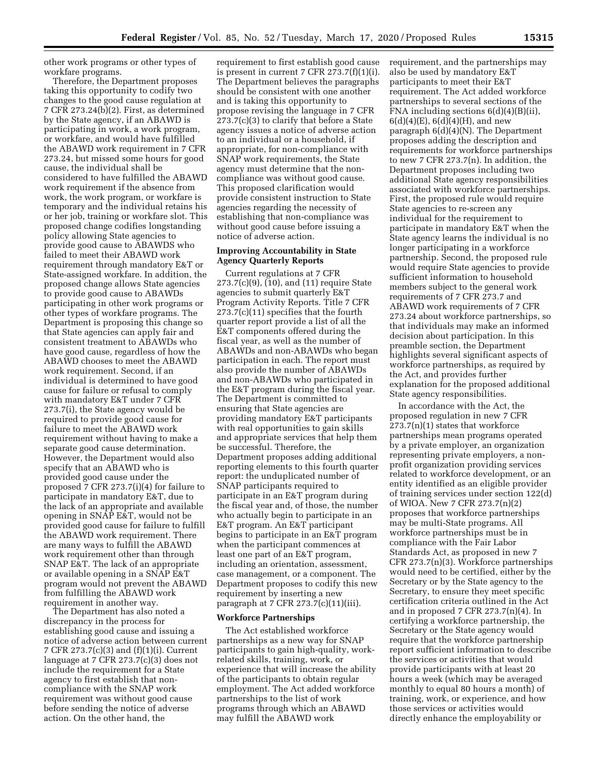other work programs or other types of workfare programs.

Therefore, the Department proposes taking this opportunity to codify two changes to the good cause regulation at 7 CFR 273.24(b)(2). First, as determined by the State agency, if an ABAWD is participating in work, a work program, or workfare, and would have fulfilled the ABAWD work requirement in 7 CFR 273.24, but missed some hours for good cause, the individual shall be considered to have fulfilled the ABAWD work requirement if the absence from work, the work program, or workfare is temporary and the individual retains his or her job, training or workfare slot. This proposed change codifies longstanding policy allowing State agencies to provide good cause to ABAWDS who failed to meet their ABAWD work requirement through mandatory E&T or State-assigned workfare. In addition, the proposed change allows State agencies to provide good cause to ABAWDs participating in other work programs or other types of workfare programs. The Department is proposing this change so that State agencies can apply fair and consistent treatment to ABAWDs who have good cause, regardless of how the ABAWD chooses to meet the ABAWD work requirement. Second, if an individual is determined to have good cause for failure or refusal to comply with mandatory E&T under 7 CFR 273.7(i), the State agency would be required to provide good cause for failure to meet the ABAWD work requirement without having to make a separate good cause determination. However, the Department would also specify that an ABAWD who is provided good cause under the proposed 7 CFR 273.7(i)(4) for failure to participate in mandatory E&T, due to the lack of an appropriate and available opening in SNAP E&T, would not be provided good cause for failure to fulfill the ABAWD work requirement. There are many ways to fulfill the ABAWD work requirement other than through SNAP E&T. The lack of an appropriate or available opening in a SNAP E&T program would not prevent the ABAWD from fulfilling the ABAWD work requirement in another way.

The Department has also noted a discrepancy in the process for establishing good cause and issuing a notice of adverse action between current 7 CFR 273.7(c)(3) and (f)(1)(i). Current language at 7 CFR 273.7(c)(3) does not include the requirement for a State agency to first establish that noncompliance with the SNAP work requirement was without good cause before sending the notice of adverse action. On the other hand, the

requirement to first establish good cause is present in current 7 CFR  $273.7(f)(1)(i)$ . The Department believes the paragraphs should be consistent with one another and is taking this opportunity to propose revising the language in 7 CFR 273.7(c)(3) to clarify that before a State agency issues a notice of adverse action to an individual or a household, if appropriate, for non-compliance with SNAP work requirements, the State agency must determine that the noncompliance was without good cause. This proposed clarification would provide consistent instruction to State agencies regarding the necessity of establishing that non-compliance was without good cause before issuing a notice of adverse action.

## **Improving Accountability in State Agency Quarterly Reports**

Current regulations at 7 CFR 273.7(c)(9), (10), and (11) require State agencies to submit quarterly E&T Program Activity Reports. Title 7 CFR 273.7(c)(11) specifies that the fourth quarter report provide a list of all the E&T components offered during the fiscal year, as well as the number of ABAWDs and non-ABAWDs who began participation in each. The report must also provide the number of ABAWDs and non-ABAWDs who participated in the E&T program during the fiscal year. The Department is committed to ensuring that State agencies are providing mandatory E&T participants with real opportunities to gain skills and appropriate services that help them be successful. Therefore, the Department proposes adding additional reporting elements to this fourth quarter report: the unduplicated number of SNAP participants required to participate in an E&T program during the fiscal year and, of those, the number who actually begin to participate in an E&T program. An E&T participant begins to participate in an E&T program when the participant commences at least one part of an E&T program, including an orientation, assessment, case management, or a component. The Department proposes to codify this new requirement by inserting a new paragraph at 7 CFR  $273.7(c)(11)(iii)$ .

## **Workforce Partnerships**

The Act established workforce partnerships as a new way for SNAP participants to gain high-quality, workrelated skills, training, work, or experience that will increase the ability of the participants to obtain regular employment. The Act added workforce partnerships to the list of work programs through which an ABAWD may fulfill the ABAWD work

requirement, and the partnerships may also be used by mandatory E&T participants to meet their E&T requirement. The Act added workforce partnerships to several sections of the FNA including sections 6(d)(4)(B)(ii),  $6(d)(4)(E), 6(d)(4)(H),$  and new paragraph 6(d)(4)(N). The Department proposes adding the description and requirements for workforce partnerships to new 7 CFR 273.7(n). In addition, the Department proposes including two additional State agency responsibilities associated with workforce partnerships. First, the proposed rule would require State agencies to re-screen any individual for the requirement to participate in mandatory E&T when the State agency learns the individual is no longer participating in a workforce partnership. Second, the proposed rule would require State agencies to provide sufficient information to household members subject to the general work requirements of 7 CFR 273.7 and ABAWD work requirements of 7 CFR 273.24 about workforce partnerships, so that individuals may make an informed decision about participation. In this preamble section, the Department highlights several significant aspects of workforce partnerships, as required by the Act, and provides further explanation for the proposed additional State agency responsibilities.

In accordance with the Act, the proposed regulation in new 7 CFR 273.7(n)(1) states that workforce partnerships mean programs operated by a private employer, an organization representing private employers, a nonprofit organization providing services related to workforce development, or an entity identified as an eligible provider of training services under section 122(d) of WIOA. New 7 CFR 273.7(n)(2) proposes that workforce partnerships may be multi-State programs. All workforce partnerships must be in compliance with the Fair Labor Standards Act, as proposed in new 7 CFR 273.7(n)(3). Workforce partnerships would need to be certified, either by the Secretary or by the State agency to the Secretary, to ensure they meet specific certification criteria outlined in the Act and in proposed 7 CFR 273.7(n)(4). In certifying a workforce partnership, the Secretary or the State agency would require that the workforce partnership report sufficient information to describe the services or activities that would provide participants with at least 20 hours a week (which may be averaged monthly to equal 80 hours a month) of training, work, or experience, and how those services or activities would directly enhance the employability or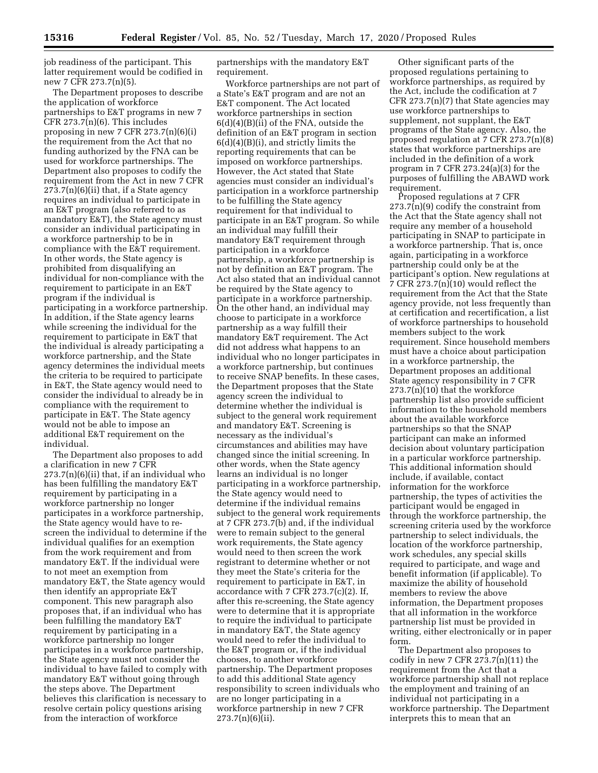job readiness of the participant. This latter requirement would be codified in new 7 CFR 273.7(n)(5).

The Department proposes to describe the application of workforce partnerships to E&T programs in new 7  $CFR 273.7(n)(6)$ . This includes proposing in new 7 CFR  $273.7(n)(6)(i)$ the requirement from the Act that no funding authorized by the FNA can be used for workforce partnerships. The Department also proposes to codify the requirement from the Act in new 7 CFR  $273.7(n)(6)(ii)$  that, if a State agency requires an individual to participate in an E&T program (also referred to as mandatory E&T), the State agency must consider an individual participating in a workforce partnership to be in compliance with the E&T requirement. In other words, the State agency is prohibited from disqualifying an individual for non-compliance with the requirement to participate in an E&T program if the individual is participating in a workforce partnership. In addition, if the State agency learns while screening the individual for the requirement to participate in E&T that the individual is already participating a workforce partnership, and the State agency determines the individual meets the criteria to be required to participate in E&T, the State agency would need to consider the individual to already be in compliance with the requirement to participate in E&T. The State agency would not be able to impose an additional E&T requirement on the individual.

The Department also proposes to add a clarification in new 7 CFR  $273.7(n)(6)(ii)$  that, if an individual who has been fulfilling the mandatory E&T requirement by participating in a workforce partnership no longer participates in a workforce partnership, the State agency would have to rescreen the individual to determine if the individual qualifies for an exemption from the work requirement and from mandatory E&T. If the individual were to not meet an exemption from mandatory E&T, the State agency would then identify an appropriate E&T component. This new paragraph also proposes that, if an individual who has been fulfilling the mandatory E&T requirement by participating in a workforce partnership no longer participates in a workforce partnership, the State agency must not consider the individual to have failed to comply with mandatory E&T without going through the steps above. The Department believes this clarification is necessary to resolve certain policy questions arising from the interaction of workforce

partnerships with the mandatory E&T requirement.

Workforce partnerships are not part of a State's E&T program and are not an E&T component. The Act located workforce partnerships in section 6(d)(4)(B)(ii) of the FNA, outside the definition of an E&T program in section 6(d)(4)(B)(i), and strictly limits the reporting requirements that can be imposed on workforce partnerships. However, the Act stated that State agencies must consider an individual's participation in a workforce partnership to be fulfilling the State agency requirement for that individual to participate in an E&T program. So while an individual may fulfill their mandatory E&T requirement through participation in a workforce partnership, a workforce partnership is not by definition an E&T program. The Act also stated that an individual cannot be required by the State agency to participate in a workforce partnership. On the other hand, an individual may choose to participate in a workforce partnership as a way fulfill their mandatory E&T requirement. The Act did not address what happens to an individual who no longer participates in a workforce partnership, but continues to receive SNAP benefits. In these cases, the Department proposes that the State agency screen the individual to determine whether the individual is subject to the general work requirement and mandatory E&T. Screening is necessary as the individual's circumstances and abilities may have changed since the initial screening. In other words, when the State agency learns an individual is no longer participating in a workforce partnership, the State agency would need to determine if the individual remains subject to the general work requirements at 7 CFR 273.7(b) and, if the individual were to remain subject to the general work requirements, the State agency would need to then screen the work registrant to determine whether or not they meet the State's criteria for the requirement to participate in E&T, in accordance with 7 CFR 273.7(c)(2). If, after this re-screening, the State agency were to determine that it is appropriate to require the individual to participate in mandatory E&T, the State agency would need to refer the individual to the E&T program or, if the individual chooses, to another workforce partnership. The Department proposes to add this additional State agency responsibility to screen individuals who are no longer participating in a workforce partnership in new 7 CFR 273.7(n)(6)(ii).

Other significant parts of the proposed regulations pertaining to workforce partnerships, as required by the Act, include the codification at 7 CFR  $273.7(n)(7)$  that State agencies may use workforce partnerships to supplement, not supplant, the E&T programs of the State agency. Also, the proposed regulation at  $\bar{7}$  CFR 273.7(n)(8) states that workforce partnerships are included in the definition of a work program in 7 CFR 273.24(a)(3) for the purposes of fulfilling the ABAWD work requirement.

Proposed regulations at 7 CFR  $273.7(n)(9)$  codify the constraint from the Act that the State agency shall not require any member of a household participating in SNAP to participate in a workforce partnership. That is, once again, participating in a workforce partnership could only be at the participant's option. New regulations at  $7$  CFR 273.7(n)(10) would reflect the requirement from the Act that the State agency provide, not less frequently than at certification and recertification, a list of workforce partnerships to household members subject to the work requirement. Since household members must have a choice about participation in a workforce partnership, the Department proposes an additional State agency responsibility in 7 CFR  $273.7(n)(10)$  that the workforce partnership list also provide sufficient information to the household members about the available workforce partnerships so that the SNAP participant can make an informed decision about voluntary participation in a particular workforce partnership. This additional information should include, if available, contact information for the workforce partnership, the types of activities the participant would be engaged in through the workforce partnership, the screening criteria used by the workforce partnership to select individuals, the location of the workforce partnership, work schedules, any special skills required to participate, and wage and benefit information (if applicable). To maximize the ability of household members to review the above information, the Department proposes that all information in the workforce partnership list must be provided in writing, either electronically or in paper form.

The Department also proposes to codify in new 7 CFR  $273.7(n)(11)$  the requirement from the Act that a workforce partnership shall not replace the employment and training of an individual not participating in a workforce partnership. The Department interprets this to mean that an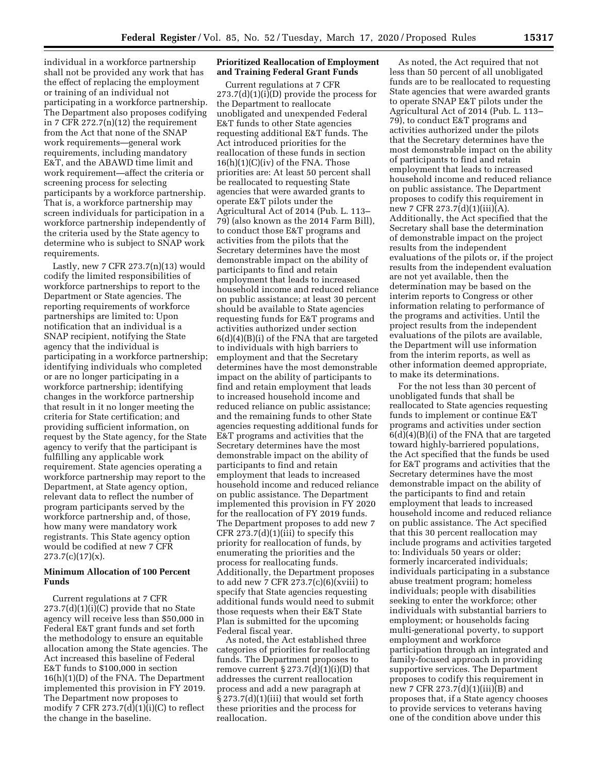individual in a workforce partnership shall not be provided any work that has the effect of replacing the employment or training of an individual not participating in a workforce partnership. The Department also proposes codifying in 7 CFR 272.7(n)(12) the requirement from the Act that none of the SNAP work requirements—general work requirements, including mandatory E&T, and the ABAWD time limit and work requirement—affect the criteria or screening process for selecting participants by a workforce partnership. That is, a workforce partnership may screen individuals for participation in a workforce partnership independently of the criteria used by the State agency to determine who is subject to SNAP work requirements.

Lastly, new 7 CFR  $273.7(n)(13)$  would codify the limited responsibilities of workforce partnerships to report to the Department or State agencies. The reporting requirements of workforce partnerships are limited to: Upon notification that an individual is a SNAP recipient, notifying the State agency that the individual is participating in a workforce partnership; identifying individuals who completed or are no longer participating in a workforce partnership; identifying changes in the workforce partnership that result in it no longer meeting the criteria for State certification; and providing sufficient information, on request by the State agency, for the State agency to verify that the participant is fulfilling any applicable work requirement. State agencies operating a workforce partnership may report to the Department, at State agency option, relevant data to reflect the number of program participants served by the workforce partnership and, of those, how many were mandatory work registrants. This State agency option would be codified at new 7 CFR  $273.7(c)(17)(x)$ .

## **Minimum Allocation of 100 Percent Funds**

Current regulations at 7 CFR  $273.7(d)(1)(i)(C)$  provide that no State agency will receive less than \$50,000 in Federal E&T grant funds and set forth the methodology to ensure an equitable allocation among the State agencies. The Act increased this baseline of Federal E&T funds to \$100,000 in section 16(h)(1)(D) of the FNA. The Department implemented this provision in FY 2019. The Department now proposes to modify 7 CFR  $273.7(d)(1)(i)(C)$  to reflect the change in the baseline.

### **Prioritized Reallocation of Employment and Training Federal Grant Funds**

Current regulations at 7 CFR  $273.7(d)(1)(i)(D)$  provide the process for the Department to reallocate unobligated and unexpended Federal E&T funds to other State agencies requesting additional E&T funds. The Act introduced priorities for the reallocation of these funds in section  $16(h)(1)(C)(iv)$  of the FNA. Those priorities are: At least 50 percent shall be reallocated to requesting State agencies that were awarded grants to operate E&T pilots under the Agricultural Act of 2014 (Pub. L. 113– 79) (also known as the 2014 Farm Bill), to conduct those E&T programs and activities from the pilots that the Secretary determines have the most demonstrable impact on the ability of participants to find and retain employment that leads to increased household income and reduced reliance on public assistance; at least 30 percent should be available to State agencies requesting funds for E&T programs and activities authorized under section  $6(d)(4)(B)(i)$  of the FNA that are targeted to individuals with high barriers to employment and that the Secretary determines have the most demonstrable impact on the ability of participants to find and retain employment that leads to increased household income and reduced reliance on public assistance; and the remaining funds to other State agencies requesting additional funds for E&T programs and activities that the Secretary determines have the most demonstrable impact on the ability of participants to find and retain employment that leads to increased household income and reduced reliance on public assistance. The Department implemented this provision in FY 2020 for the reallocation of FY 2019 funds. The Department proposes to add new 7 CFR  $273.7(d)(1)(iii)$  to specify this priority for reallocation of funds, by enumerating the priorities and the process for reallocating funds. Additionally, the Department proposes to add new 7 CFR  $273.7(c)(6)(xviii)$  to specify that State agencies requesting additional funds would need to submit those requests when their E&T State Plan is submitted for the upcoming Federal fiscal year.

As noted, the Act established three categories of priorities for reallocating funds. The Department proposes to remove current  $\S 273.7(d)(1)(i)(D)$  that addresses the current reallocation process and add a new paragraph at § 273.7(d)(1)(iii) that would set forth these priorities and the process for reallocation.

As noted, the Act required that not less than 50 percent of all unobligated funds are to be reallocated to requesting State agencies that were awarded grants to operate SNAP E&T pilots under the Agricultural Act of 2014 (Pub. L. 113– 79), to conduct E&T programs and activities authorized under the pilots that the Secretary determines have the most demonstrable impact on the ability of participants to find and retain employment that leads to increased household income and reduced reliance on public assistance. The Department proposes to codify this requirement in new 7 CFR 273.7(d)(1)(iii)(A). Additionally, the Act specified that the Secretary shall base the determination of demonstrable impact on the project results from the independent evaluations of the pilots or, if the project results from the independent evaluation are not yet available, then the determination may be based on the interim reports to Congress or other information relating to performance of the programs and activities. Until the project results from the independent evaluations of the pilots are available, the Department will use information from the interim reports, as well as other information deemed appropriate, to make its determinations.

For the not less than 30 percent of unobligated funds that shall be reallocated to State agencies requesting funds to implement or continue E&T programs and activities under section  $6(d)(4)(B)(i)$  of the FNA that are targeted toward highly-barriered populations, the Act specified that the funds be used for E&T programs and activities that the Secretary determines have the most demonstrable impact on the ability of the participants to find and retain employment that leads to increased household income and reduced reliance on public assistance. The Act specified that this 30 percent reallocation may include programs and activities targeted to: Individuals 50 years or older; formerly incarcerated individuals; individuals participating in a substance abuse treatment program; homeless individuals; people with disabilities seeking to enter the workforce; other individuals with substantial barriers to employment; or households facing multi-generational poverty, to support employment and workforce participation through an integrated and family-focused approach in providing supportive services. The Department proposes to codify this requirement in new 7 CFR 273.7(d)(1)(iii)(B) and proposes that, if a State agency chooses to provide services to veterans having one of the condition above under this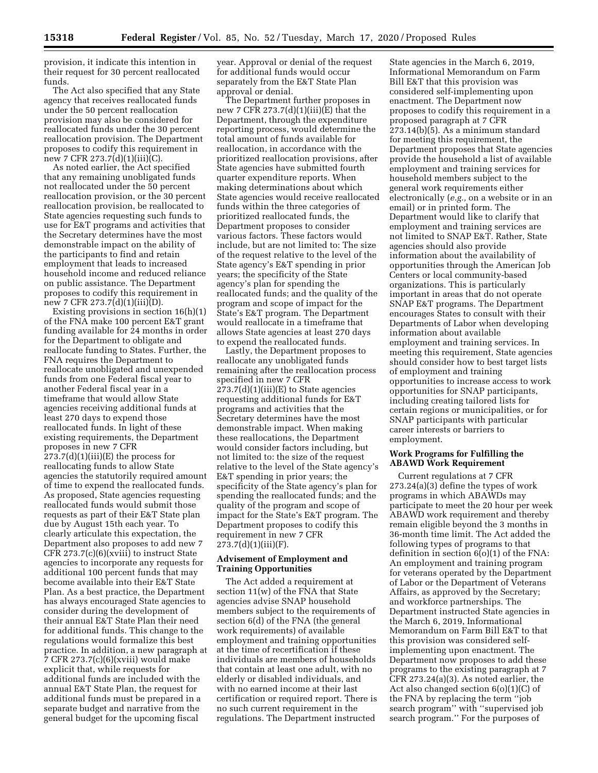provision, it indicate this intention in their request for 30 percent reallocated funds.

The Act also specified that any State agency that receives reallocated funds under the 50 percent reallocation provision may also be considered for reallocated funds under the 30 percent reallocation provision. The Department proposes to codify this requirement in new 7 CFR 273.7(d)(1)(iii)(C).

As noted earlier, the Act specified that any remaining unobligated funds not reallocated under the 50 percent reallocation provision, or the 30 percent reallocation provision, be reallocated to State agencies requesting such funds to use for E&T programs and activities that the Secretary determines have the most demonstrable impact on the ability of the participants to find and retain employment that leads to increased household income and reduced reliance on public assistance. The Department proposes to codify this requirement in new 7 CFR 273.7(d)(1)(iii)(D).

Existing provisions in section 16(h)(1) of the FNA make 100 percent E&T grant funding available for 24 months in order for the Department to obligate and reallocate funding to States. Further, the FNA requires the Department to reallocate unobligated and unexpended funds from one Federal fiscal year to another Federal fiscal year in a timeframe that would allow State agencies receiving additional funds at least 270 days to expend those reallocated funds. In light of these existing requirements, the Department proposes in new 7 CFR  $273.7(d)(1)(iii)(E)$  the process for reallocating funds to allow State agencies the statutorily required amount of time to expend the reallocated funds. As proposed, State agencies requesting reallocated funds would submit those requests as part of their E&T State plan due by August 15th each year. To clearly articulate this expectation, the Department also proposes to add new 7 CFR 273.7(c)(6)(xviii) to instruct State agencies to incorporate any requests for additional 100 percent funds that may become available into their E&T State Plan. As a best practice, the Department has always encouraged State agencies to consider during the development of their annual E&T State Plan their need for additional funds. This change to the regulations would formalize this best practice. In addition, a new paragraph at 7 CFR 273.7(c)(6)(xviii) would make explicit that, while requests for additional funds are included with the annual E&T State Plan, the request for additional funds must be prepared in a separate budget and narrative from the general budget for the upcoming fiscal

year. Approval or denial of the request for additional funds would occur separately from the E&T State Plan approval or denial.

The Department further proposes in new 7 CFR 273.7(d)(1)(iii)(E) that the Department, through the expenditure reporting process, would determine the total amount of funds available for reallocation, in accordance with the prioritized reallocation provisions, after State agencies have submitted fourth quarter expenditure reports. When making determinations about which State agencies would receive reallocated funds within the three categories of prioritized reallocated funds, the Department proposes to consider various factors. These factors would include, but are not limited to: The size of the request relative to the level of the State agency's E&T spending in prior years; the specificity of the State agency's plan for spending the reallocated funds; and the quality of the program and scope of impact for the State's E&T program. The Department would reallocate in a timeframe that allows State agencies at least 270 days to expend the reallocated funds.

Lastly, the Department proposes to reallocate any unobligated funds remaining after the reallocation process specified in new 7 CFR  $273.7(d)(1)(iii)(E)$  to State agencies requesting additional funds for E&T programs and activities that the Secretary determines have the most demonstrable impact. When making these reallocations, the Department would consider factors including, but not limited to: the size of the request relative to the level of the State agency's E&T spending in prior years; the specificity of the State agency's plan for spending the reallocated funds; and the quality of the program and scope of impact for the State's E&T program. The Department proposes to codify this requirement in new 7 CFR 273.7(d)(1)(iii)(F).

### **Advisement of Employment and Training Opportunities**

The Act added a requirement at section 11(w) of the FNA that State agencies advise SNAP household members subject to the requirements of section 6(d) of the FNA (the general work requirements) of available employment and training opportunities at the time of recertification if these individuals are members of households that contain at least one adult, with no elderly or disabled individuals, and with no earned income at their last certification or required report. There is no such current requirement in the regulations. The Department instructed

State agencies in the March 6, 2019, Informational Memorandum on Farm Bill E&T that this provision was considered self-implementing upon enactment. The Department now proposes to codify this requirement in a proposed paragraph at 7 CFR 273.14(b)(5). As a minimum standard for meeting this requirement, the Department proposes that State agencies provide the household a list of available employment and training services for household members subject to the general work requirements either electronically (*e.g.,* on a website or in an email) or in printed form. The Department would like to clarify that employment and training services are not limited to SNAP E&T. Rather, State agencies should also provide information about the availability of opportunities through the American Job Centers or local community-based organizations. This is particularly important in areas that do not operate SNAP E&T programs. The Department encourages States to consult with their Departments of Labor when developing information about available employment and training services. In meeting this requirement, State agencies should consider how to best target lists of employment and training opportunities to increase access to work opportunities for SNAP participants, including creating tailored lists for certain regions or municipalities, or for SNAP participants with particular career interests or barriers to employment.

### **Work Programs for Fulfilling the ABAWD Work Requirement**

Current regulations at 7 CFR 273.24(a)(3) define the types of work programs in which ABAWDs may participate to meet the 20 hour per week ABAWD work requirement and thereby remain eligible beyond the 3 months in 36-month time limit. The Act added the following types of programs to that definition in section 6(o)(1) of the FNA: An employment and training program for veterans operated by the Department of Labor or the Department of Veterans Affairs, as approved by the Secretary; and workforce partnerships. The Department instructed State agencies in the March 6, 2019, Informational Memorandum on Farm Bill E&T to that this provision was considered selfimplementing upon enactment. The Department now proposes to add these programs to the existing paragraph at 7 CFR 273.24(a)(3). As noted earlier, the Act also changed section 6(o)(1)(C) of the FNA by replacing the term ''job search program'' with ''supervised job search program.'' For the purposes of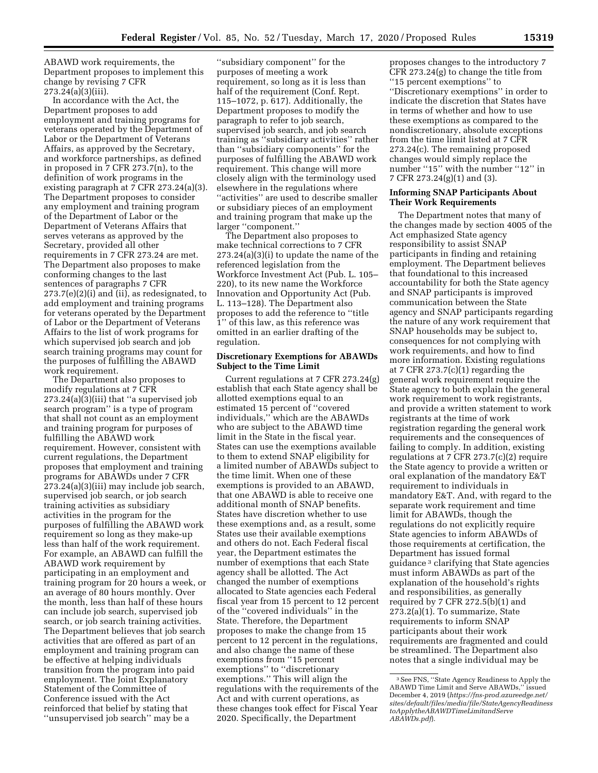ABAWD work requirements, the Department proposes to implement this change by revising 7 CFR 273.24(a)(3)(iii).

In accordance with the Act, the Department proposes to add employment and training programs for veterans operated by the Department of Labor or the Department of Veterans Affairs, as approved by the Secretary, and workforce partnerships, as defined in proposed in 7 CFR 273.7(n), to the definition of work programs in the existing paragraph at 7 CFR 273.24(a)(3). The Department proposes to consider any employment and training program of the Department of Labor or the Department of Veterans Affairs that serves veterans as approved by the Secretary, provided all other requirements in 7 CFR 273.24 are met. The Department also proposes to make conforming changes to the last sentences of paragraphs 7 CFR  $273.7(e)(2)(i)$  and (ii), as redesignated, to add employment and training programs for veterans operated by the Department of Labor or the Department of Veterans Affairs to the list of work programs for which supervised job search and job search training programs may count for the purposes of fulfilling the ABAWD work requirement.

The Department also proposes to modify regulations at 7 CFR  $273.24(a)(3)(iii)$  that "a supervised job search program'' is a type of program that shall not count as an employment and training program for purposes of fulfilling the ABAWD work requirement. However, consistent with current regulations, the Department proposes that employment and training programs for ABAWDs under 7 CFR 273.24(a)(3)(iii) may include job search, supervised job search, or job search training activities as subsidiary activities in the program for the purposes of fulfilling the ABAWD work requirement so long as they make-up less than half of the work requirement. For example, an ABAWD can fulfill the ABAWD work requirement by participating in an employment and training program for 20 hours a week, or an average of 80 hours monthly. Over the month, less than half of these hours can include job search, supervised job search, or job search training activities. The Department believes that job search activities that are offered as part of an employment and training program can be effective at helping individuals transition from the program into paid employment. The Joint Explanatory Statement of the Committee of Conference issued with the Act reinforced that belief by stating that ''unsupervised job search'' may be a

''subsidiary component'' for the purposes of meeting a work requirement, so long as it is less than half of the requirement (Conf. Rept. 115–1072, p. 617). Additionally, the Department proposes to modify the paragraph to refer to job search, supervised job search, and job search training as ''subsidiary activities'' rather than ''subsidiary components'' for the purposes of fulfilling the ABAWD work requirement. This change will more closely align with the terminology used elsewhere in the regulations where ''activities'' are used to describe smaller or subsidiary pieces of an employment and training program that make up the larger ''component.''

The Department also proposes to make technical corrections to 7 CFR 273.24(a)(3)(i) to update the name of the referenced legislation from the Workforce Investment Act (Pub. L. 105– 220), to its new name the Workforce Innovation and Opportunity Act (Pub. L. 113–128). The Department also proposes to add the reference to ''title 1'' of this law, as this reference was omitted in an earlier drafting of the regulation.

### **Discretionary Exemptions for ABAWDs Subject to the Time Limit**

Current regulations at 7 CFR 273.24(g) establish that each State agency shall be allotted exemptions equal to an estimated 15 percent of ''covered individuals,'' which are the ABAWDs who are subject to the ABAWD time limit in the State in the fiscal year. States can use the exemptions available to them to extend SNAP eligibility for a limited number of ABAWDs subject to the time limit. When one of these exemptions is provided to an ABAWD, that one ABAWD is able to receive one additional month of SNAP benefits. States have discretion whether to use these exemptions and, as a result, some States use their available exemptions and others do not. Each Federal fiscal year, the Department estimates the number of exemptions that each State agency shall be allotted. The Act changed the number of exemptions allocated to State agencies each Federal fiscal year from 15 percent to 12 percent of the ''covered individuals'' in the State. Therefore, the Department proposes to make the change from 15 percent to 12 percent in the regulations, and also change the name of these exemptions from ''15 percent exemptions'' to ''discretionary exemptions." This will align the regulations with the requirements of the Act and with current operations, as these changes took effect for Fiscal Year 2020. Specifically, the Department

proposes changes to the introductory 7 CFR 273.24(g) to change the title from ''15 percent exemptions'' to ''Discretionary exemptions'' in order to indicate the discretion that States have in terms of whether and how to use these exemptions as compared to the nondiscretionary, absolute exceptions from the time limit listed at 7 CFR 273.24(c). The remaining proposed changes would simply replace the number ''15'' with the number ''12'' in 7 CFR 273.24(g)(1) and (3).

## **Informing SNAP Participants About Their Work Requirements**

The Department notes that many of the changes made by section 4005 of the Act emphasized State agency responsibility to assist SNAP participants in finding and retaining employment. The Department believes that foundational to this increased accountability for both the State agency and SNAP participants is improved communication between the State agency and SNAP participants regarding the nature of any work requirement that SNAP households may be subject to, consequences for not complying with work requirements, and how to find more information. Existing regulations at 7 CFR  $273.7(c)(1)$  regarding the general work requirement require the State agency to both explain the general work requirement to work registrants, and provide a written statement to work registrants at the time of work registration regarding the general work requirements and the consequences of failing to comply. In addition, existing regulations at 7 CFR 273.7(c)(2) require the State agency to provide a written or oral explanation of the mandatory E&T requirement to individuals in mandatory E&T. And, with regard to the separate work requirement and time limit for ABAWDs, though the regulations do not explicitly require State agencies to inform ABAWDs of those requirements at certification, the Department has issued formal guidance 3 clarifying that State agencies must inform ABAWDs as part of the explanation of the household's rights and responsibilities, as generally required by 7 CFR 272.5(b)(1) and  $273.2(a)(1)$ . To summarize, State requirements to inform SNAP participants about their work requirements are fragmented and could be streamlined. The Department also notes that a single individual may be

<sup>3</sup>See FNS, ''State Agency Readiness to Apply the ABAWD Time Limit and Serve ABAWDs,'' issued December 4, 2019 (*[https://fns-prod.azureedge.net/](https://fns-prod.azureedge.net/sites/default/files/media/file/StateAgencyReadinesstoApplytheABAWDTimeLimitandServeABAWDs.pdf)  [sites/default/files/media/file/StateAgencyReadiness](https://fns-prod.azureedge.net/sites/default/files/media/file/StateAgencyReadinesstoApplytheABAWDTimeLimitandServeABAWDs.pdf) [toApplytheABAWDTimeLimitandServe](https://fns-prod.azureedge.net/sites/default/files/media/file/StateAgencyReadinesstoApplytheABAWDTimeLimitandServeABAWDs.pdf) [ABAWDs.pdf](https://fns-prod.azureedge.net/sites/default/files/media/file/StateAgencyReadinesstoApplytheABAWDTimeLimitandServeABAWDs.pdf)*).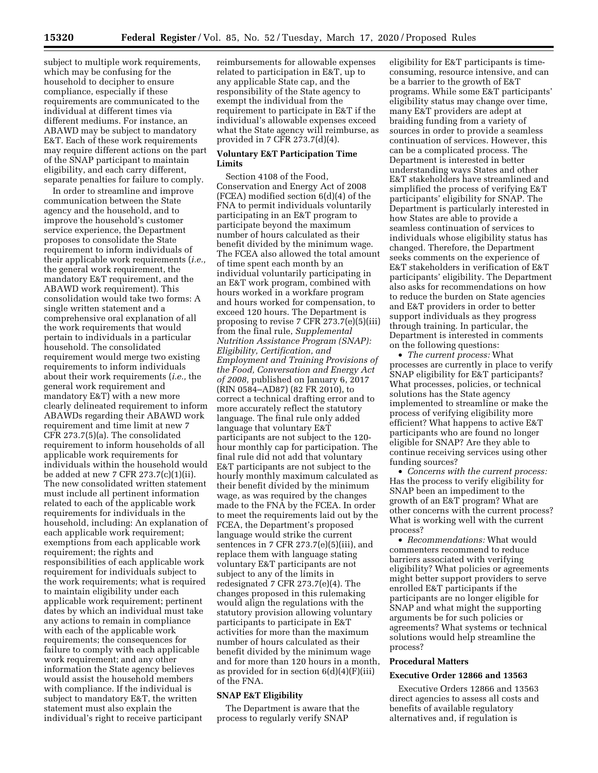subject to multiple work requirements, which may be confusing for the household to decipher to ensure compliance, especially if these requirements are communicated to the individual at different times via different mediums. For instance, an ABAWD may be subject to mandatory E&T. Each of these work requirements may require different actions on the part of the SNAP participant to maintain eligibility, and each carry different, separate penalties for failure to comply.

In order to streamline and improve communication between the State agency and the household, and to improve the household's customer service experience, the Department proposes to consolidate the State requirement to inform individuals of their applicable work requirements (*i.e.,*  the general work requirement, the mandatory E&T requirement, and the ABAWD work requirement). This consolidation would take two forms: A single written statement and a comprehensive oral explanation of all the work requirements that would pertain to individuals in a particular household. The consolidated requirement would merge two existing requirements to inform individuals about their work requirements (*i.e.,* the general work requirement and mandatory E&T) with a new more clearly delineated requirement to inform ABAWDs regarding their ABAWD work requirement and time limit at new 7 CFR 273.7(5)(a). The consolidated requirement to inform households of all applicable work requirements for individuals within the household would be added at new 7 CFR 273.7(c)(1)(ii). The new consolidated written statement must include all pertinent information related to each of the applicable work requirements for individuals in the household, including: An explanation of each applicable work requirement; exemptions from each applicable work requirement; the rights and responsibilities of each applicable work requirement for individuals subject to the work requirements; what is required to maintain eligibility under each applicable work requirement; pertinent dates by which an individual must take any actions to remain in compliance with each of the applicable work requirements; the consequences for failure to comply with each applicable work requirement; and any other information the State agency believes would assist the household members with compliance. If the individual is subject to mandatory E&T, the written statement must also explain the individual's right to receive participant

reimbursements for allowable expenses related to participation in E&T, up to any applicable State cap, and the responsibility of the State agency to exempt the individual from the requirement to participate in E&T if the individual's allowable expenses exceed what the State agency will reimburse, as provided in 7 CFR 273.7(d)(4).

## **Voluntary E&T Participation Time Limits**

Section 4108 of the Food, Conservation and Energy Act of 2008 (FCEA) modified section 6(d)(4) of the FNA to permit individuals voluntarily participating in an E&T program to participate beyond the maximum number of hours calculated as their benefit divided by the minimum wage. The FCEA also allowed the total amount of time spent each month by an individual voluntarily participating in an E&T work program, combined with hours worked in a workfare program and hours worked for compensation, to exceed 120 hours. The Department is proposing to revise 7 CFR 273.7(e)(5)(iii) from the final rule, *Supplemental Nutrition Assistance Program (SNAP): Eligibility, Certification, and Employment and Training Provisions of the Food, Conversation and Energy Act of 2008,* published on January 6, 2017 (RIN 0584–AD87) (82 FR 2010), to correct a technical drafting error and to more accurately reflect the statutory language. The final rule only added language that voluntary E&T participants are not subject to the 120 hour monthly cap for participation. The final rule did not add that voluntary E&T participants are not subject to the hourly monthly maximum calculated as their benefit divided by the minimum wage, as was required by the changes made to the FNA by the FCEA. In order to meet the requirements laid out by the FCEA, the Department's proposed language would strike the current sentences in 7 CFR 273.7(e)(5)(iii), and replace them with language stating voluntary E&T participants are not subject to any of the limits in redesignated 7 CFR 273.7(e)(4). The changes proposed in this rulemaking would align the regulations with the statutory provision allowing voluntary participants to participate in E&T activities for more than the maximum number of hours calculated as their benefit divided by the minimum wage and for more than 120 hours in a month, as provided for in section  $6(d)(4)(F)(iii)$ of the FNA.

## **SNAP E&T Eligibility**

The Department is aware that the process to regularly verify SNAP

eligibility for E&T participants is timeconsuming, resource intensive, and can be a barrier to the growth of E&T programs. While some E&T participants' eligibility status may change over time, many E&T providers are adept at braiding funding from a variety of sources in order to provide a seamless continuation of services. However, this can be a complicated process. The Department is interested in better understanding ways States and other E&T stakeholders have streamlined and simplified the process of verifying E&T participants' eligibility for SNAP. The Department is particularly interested in how States are able to provide a seamless continuation of services to individuals whose eligibility status has changed. Therefore, the Department seeks comments on the experience of E&T stakeholders in verification of E&T participants' eligibility. The Department also asks for recommendations on how to reduce the burden on State agencies and E&T providers in order to better support individuals as they progress through training. In particular, the Department is interested in comments on the following questions:

• *The current process:* What processes are currently in place to verify SNAP eligibility for E&T participants? What processes, policies, or technical solutions has the State agency implemented to streamline or make the process of verifying eligibility more efficient? What happens to active E&T participants who are found no longer eligible for SNAP? Are they able to continue receiving services using other funding sources?

• *Concerns with the current process:*  Has the process to verify eligibility for SNAP been an impediment to the growth of an E&T program? What are other concerns with the current process? What is working well with the current process?

• *Recommendations:* What would commenters recommend to reduce barriers associated with verifying eligibility? What policies or agreements might better support providers to serve enrolled E&T participants if the participants are no longer eligible for SNAP and what might the supporting arguments be for such policies or agreements? What systems or technical solutions would help streamline the process?

## **Procedural Matters**

### **Executive Order 12866 and 13563**

Executive Orders 12866 and 13563 direct agencies to assess all costs and benefits of available regulatory alternatives and, if regulation is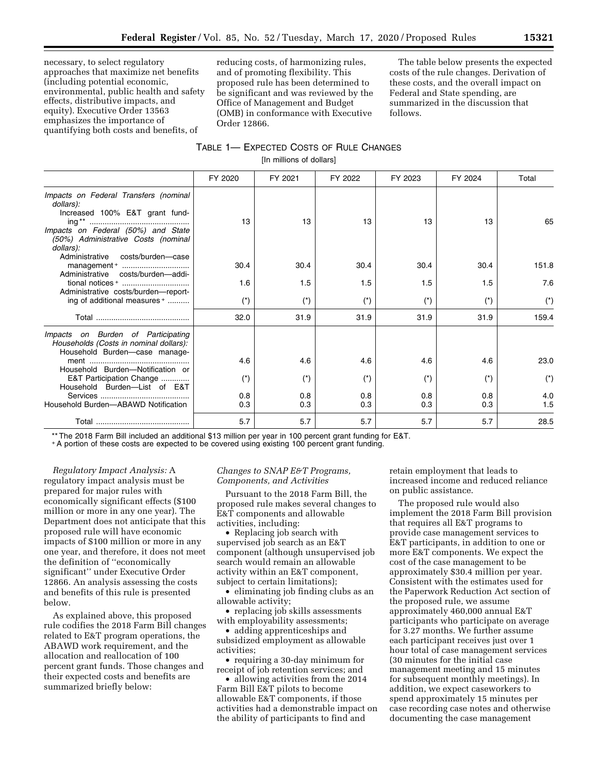necessary, to select regulatory approaches that maximize net benefits (including potential economic, environmental, public health and safety effects, distributive impacts, and equity). Executive Order 13563 emphasizes the importance of quantifying both costs and benefits, of

reducing costs, of harmonizing rules, and of promoting flexibility. This proposed rule has been determined to be significant and was reviewed by the Office of Management and Budget (OMB) in conformance with Executive Order 12866.

The table below presents the expected costs of the rule changes. Derivation of these costs, and the overall impact on Federal and State spending, are summarized in the discussion that follows.

# TABLE 1— EXPECTED COSTS OF RULE CHANGES [In millions of dollars]

|                                                                                                                                                                                                                                                      | FY 2020                    | FY 2021                    | FY 2022                    | FY 2023                                    | FY 2024                    | Total                       |
|------------------------------------------------------------------------------------------------------------------------------------------------------------------------------------------------------------------------------------------------------|----------------------------|----------------------------|----------------------------|--------------------------------------------|----------------------------|-----------------------------|
| Impacts on Federal Transfers (nominal<br>dollars):<br>Increased 100% E&T grant fund-<br>Impacts on Federal (50%) and State<br>(50%) Administrative Costs (nominal<br>dollars):                                                                       | 13                         | 13                         | 13                         | 13                                         | 13                         | 65                          |
| costs/burden—case<br>Administrative<br>Administrative costs/burden-addi-                                                                                                                                                                             | 30.4                       | 30.4                       | 30.4                       | 30.4                                       | 30.4                       | 151.8                       |
| tional notices +                                                                                                                                                                                                                                     | 1.6                        | 1.5                        | 1.5                        | 1.5                                        | 1.5                        | 7.6                         |
| Administrative costs/burden-report-<br>ing of additional measures +                                                                                                                                                                                  | $(*)$                      | $(*)$                      | $(*)$                      | $(*)$                                      | $(*)$                      | $(*)$                       |
|                                                                                                                                                                                                                                                      | 32.0                       | 31.9                       | 31.9                       | 31.9                                       | 31.9                       | 159.4                       |
| Impacts on Burden of Participating<br>Households (Costs in nominal dollars):<br>Household Burden-case manage-<br>Household Burden-Notification or<br>E&T Participation Change<br>Household Burden-List of E&T<br>Household Burden-ABAWD Notification | 4.6<br>$(*)$<br>0.8<br>0.3 | 4.6<br>$(*)$<br>0.8<br>0.3 | 4.6<br>$(*)$<br>0.8<br>0.3 | 4.6<br>$(\dot{\phantom{a}})$<br>0.8<br>0.3 | 4.6<br>$(*)$<br>0.8<br>0.3 | 23.0<br>$(*)$<br>4.0<br>1.5 |
|                                                                                                                                                                                                                                                      |                            |                            |                            |                                            |                            |                             |
|                                                                                                                                                                                                                                                      | 5.7                        | 5.7                        | 5.7                        | 5.7                                        | 5.7                        | 28.5                        |

\*\* The 2018 Farm Bill included an additional \$13 million per year in 100 percent grant funding for E&T.

+A portion of these costs are expected to be covered using existing 100 percent grant funding.

*Regulatory Impact Analysis:* A regulatory impact analysis must be prepared for major rules with economically significant effects (\$100 million or more in any one year). The Department does not anticipate that this proposed rule will have economic impacts of \$100 million or more in any one year, and therefore, it does not meet the definition of ''economically significant'' under Executive Order 12866. An analysis assessing the costs and benefits of this rule is presented below.

As explained above, this proposed rule codifies the 2018 Farm Bill changes related to E&T program operations, the ABAWD work requirement, and the allocation and reallocation of 100 percent grant funds. Those changes and their expected costs and benefits are summarized briefly below:

### *Changes to SNAP E&T Programs, Components, and Activities*

Pursuant to the 2018 Farm Bill, the proposed rule makes several changes to E&T components and allowable activities, including:

• Replacing job search with supervised job search as an E&T component (although unsupervised job search would remain an allowable activity within an E&T component, subject to certain limitations);

• eliminating job finding clubs as an allowable activity;

• replacing job skills assessments with employability assessments;

• adding apprenticeships and subsidized employment as allowable activities;

• requiring a 30-day minimum for receipt of job retention services; and

• allowing activities from the 2014 Farm Bill E&T pilots to become allowable E&T components, if those activities had a demonstrable impact on the ability of participants to find and

retain employment that leads to increased income and reduced reliance on public assistance.

The proposed rule would also implement the 2018 Farm Bill provision that requires all E&T programs to provide case management services to E&T participants, in addition to one or more E&T components. We expect the cost of the case management to be approximately \$30.4 million per year. Consistent with the estimates used for the Paperwork Reduction Act section of the proposed rule, we assume approximately 460,000 annual E&T participants who participate on average for 3.27 months. We further assume each participant receives just over 1 hour total of case management services (30 minutes for the initial case management meeting and 15 minutes for subsequent monthly meetings). In addition, we expect caseworkers to spend approximately 15 minutes per case recording case notes and otherwise documenting the case management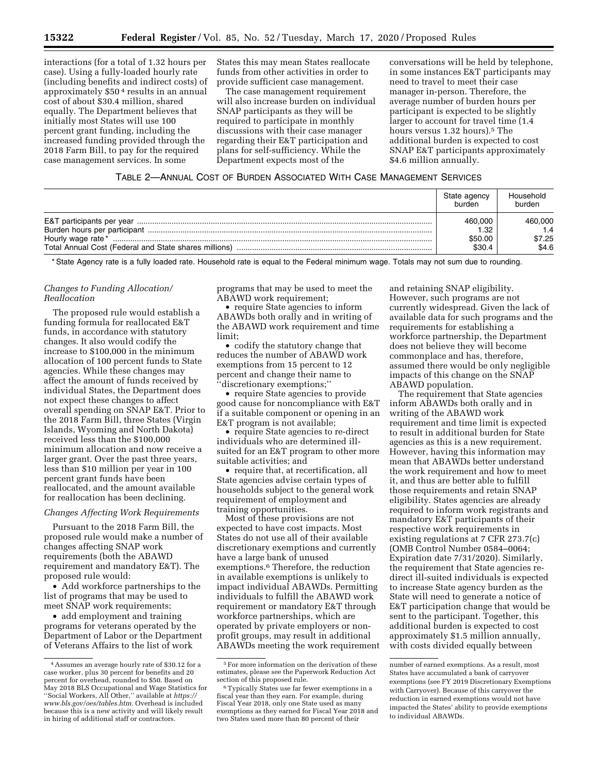interactions (for a total of 1.32 hours per case). Using a fully-loaded hourly rate (including benefits and indirect costs) of approximately \$50 4 results in an annual cost of about \$30.4 million, shared equally. The Department believes that initially most States will use 100 percent grant funding, including the increased funding provided through the 2018 Farm Bill, to pay for the required case management services. In some

States this may mean States reallocate funds from other activities in order to provide sufficient case management.

The case management requirement will also increase burden on individual SNAP participants as they will be required to participate in monthly discussions with their case manager regarding their E&T participation and plans for self-sufficiency. While the Department expects most of the

conversations will be held by telephone, in some instances E&T participants may need to travel to meet their case manager in-person. Therefore, the average number of burden hours per participant is expected to be slightly larger to account for travel time (1.4 hours versus 1.32 hours).<sup>5</sup> The additional burden is expected to cost SNAP E&T participants approximately \$4.6 million annually.

| Table 2—Annual Cost of Burden Associated With Case Management Services |
|------------------------------------------------------------------------|
|------------------------------------------------------------------------|

|                   | State agency<br>burden               | Household<br>burden               |
|-------------------|--------------------------------------|-----------------------------------|
| Hourly wage rate* | 460,000<br>1.32<br>\$50.00<br>\$30.4 | 460,000<br>1.4<br>\$7.25<br>\$4.6 |

\* State Agency rate is a fully loaded rate. Household rate is equal to the Federal minimum wage. Totals may not sum due to rounding.

## *Changes to Funding Allocation/ Reallocation*

The proposed rule would establish a funding formula for reallocated E&T funds, in accordance with statutory changes. It also would codify the increase to \$100,000 in the minimum allocation of 100 percent funds to State agencies. While these changes may affect the amount of funds received by individual States, the Department does not expect these changes to affect overall spending on SNAP E&T. Prior to the 2018 Farm Bill, three States (Virgin Islands, Wyoming and North Dakota) received less than the \$100,000 minimum allocation and now receive a larger grant. Over the past three years, less than \$10 million per year in 100 percent grant funds have been reallocated, and the amount available for reallocation has been declining.

# *Changes Affecting Work Requirements*

Pursuant to the 2018 Farm Bill, the proposed rule would make a number of changes affecting SNAP work requirements (both the ABAWD requirement and mandatory E&T). The proposed rule would:

• Add workforce partnerships to the list of programs that may be used to meet SNAP work requirements;

• add employment and training programs for veterans operated by the Department of Labor or the Department of Veterans Affairs to the list of work

programs that may be used to meet the ABAWD work requirement;

• require State agencies to inform ABAWDs both orally and in writing of the ABAWD work requirement and time limit;

• codify the statutory change that reduces the number of ABAWD work exemptions from 15 percent to 12 percent and change their name to ''discretionary exemptions;''

• require State agencies to provide good cause for noncompliance with E&T if a suitable component or opening in an E&T program is not available;

• require State agencies to re-direct individuals who are determined illsuited for an E&T program to other more suitable activities; and

• require that, at recertification, all State agencies advise certain types of households subject to the general work requirement of employment and training opportunities.

Most of these provisions are not expected to have cost impacts. Most States do not use all of their available discretionary exemptions and currently have a large bank of unused exemptions.6 Therefore, the reduction in available exemptions is unlikely to impact individual ABAWDs. Permitting individuals to fulfill the ABAWD work requirement or mandatory E&T through workforce partnerships, which are operated by private employers or nonprofit groups, may result in additional ABAWDs meeting the work requirement

and retaining SNAP eligibility. However, such programs are not currently widespread. Given the lack of available data for such programs and the requirements for establishing a workforce partnership, the Department does not believe they will become commonplace and has, therefore, assumed there would be only negligible impacts of this change on the SNAP ABAWD population.

The requirement that State agencies inform ABAWDs both orally and in writing of the ABAWD work requirement and time limit is expected to result in additional burden for State agencies as this is a new requirement. However, having this information may mean that ABAWDs better understand the work requirement and how to meet it, and thus are better able to fulfill those requirements and retain SNAP eligibility. States agencies are already required to inform work registrants and mandatory E&T participants of their respective work requirements in existing regulations at 7 CFR 273.7(c) (OMB Control Number 0584–0064; Expiration date 7/31/2020). Similarly, the requirement that State agencies redirect ill-suited individuals is expected to increase State agency burden as the State will need to generate a notice of E&T participation change that would be sent to the participant. Together, this additional burden is expected to cost approximately \$1.5 million annually, with costs divided equally between

<sup>4</sup>Assumes an average hourly rate of \$30.12 for a case worker, plus 30 percent for benefits and 20 percent for overhead, rounded to \$50. Based on May 2018 BLS Occupational and Wage Statistics for ''Social Workers, All Other,'' available at *[https://](https://www.bls.gov/oes/tables.htm) [www.bls.gov/oes/tables.htm.](https://www.bls.gov/oes/tables.htm)* Overhead is included because this is a new activity and will likely result in hiring of additional staff or contractors.

<sup>5</sup>For more information on the derivation of these estimates, please see the Paperwork Reduction Act

<sup>&</sup>lt;sup>6</sup>Typically States use far fewer exemptions in a fiscal year than they earn. For example, during Fiscal Year 2018, only one State used as many exemptions as they earned for Fiscal Year 2018 and two States used more than 80 percent of their

number of earned exemptions. As a result, most States have accumulated a bank of carryover exemptions (see FY 2019 Discretionary Exemptions with Carryover). Because of this carryover the reduction in earned exemptions would not have impacted the States' ability to provide exemptions to individual ABAWDs.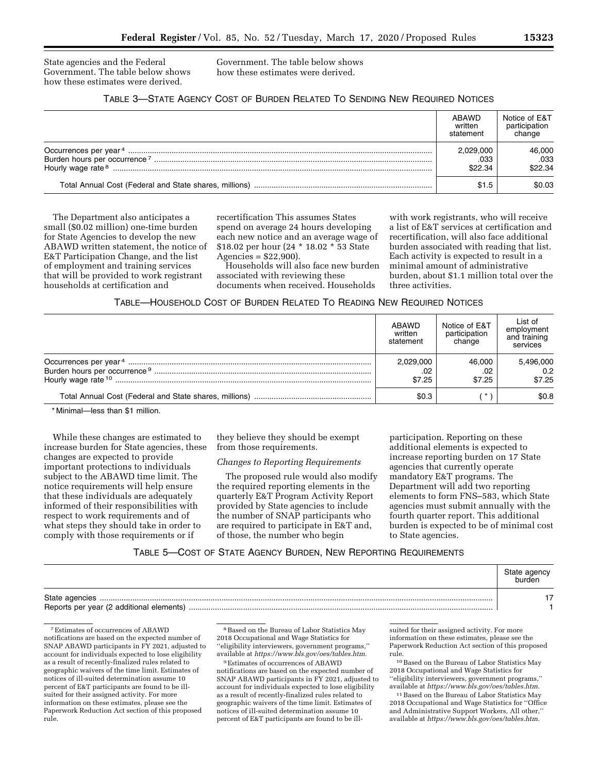State agencies and the Federal Government. The table below shows how these estimates were derived.

Government. The table below shows how these estimates were derived.

# TABLE 3—STATE AGENCY COST OF BURDEN RELATED TO SENDING NEW REQUIRED NOTICES

|                               | ABAWD<br>written<br>statement | Notice of E&T<br>participation<br>change |
|-------------------------------|-------------------------------|------------------------------------------|
| Hourly wage rate <sup>8</sup> | 2,029,000<br>.033<br>\$22.34  | 46,000<br>.033<br>\$22.34                |
|                               | \$1.5                         | \$0.03                                   |

The Department also anticipates a small (\$0.02 million) one-time burden for State Agencies to develop the new ABAWD written statement, the notice of E&T Participation Change, and the list of employment and training services that will be provided to work registrant households at certification and

recertification This assumes States spend on average 24 hours developing each new notice and an average wage of \$18.02 per hour (24 \* 18.02 \* 53 State Agencies = \$22,900).

Households will also face new burden associated with reviewing these documents when received. Households

with work registrants, who will receive a list of E&T services at certification and recertification, will also face additional burden associated with reading that list. Each activity is expected to result in a minimal amount of administrative burden, about \$1.1 million total over the three activities.

TABLE—HOUSEHOLD COST OF BURDEN RELATED TO READING NEW REQUIRED NOTICES

| ABAWD<br>written<br>statement | Notice of E&T<br>participation<br>change | List of<br>employment<br>and training<br>services |
|-------------------------------|------------------------------------------|---------------------------------------------------|
| 2,029,000<br>.02<br>\$7.25    | 46.000<br>.02<br>\$7.25                  | 5,496,000<br>0.2<br>\$7.25                        |
| \$0.3                         |                                          | \$0.8                                             |

\* Minimal—less than \$1 million.

While these changes are estimated to increase burden for State agencies, these changes are expected to provide important protections to individuals subject to the ABAWD time limit. The notice requirements will help ensure that these individuals are adequately informed of their responsibilities with respect to work requirements and of what steps they should take in order to comply with those requirements or if

they believe they should be exempt from those requirements.

## *Changes to Reporting Requirements*

The proposed rule would also modify the required reporting elements in the quarterly E&T Program Activity Report provided by State agencies to include the number of SNAP participants who are required to participate in E&T and, of those, the number who begin

participation. Reporting on these additional elements is expected to increase reporting burden on 17 State agencies that currently operate mandatory E&T programs. The Department will add two reporting elements to form FNS–583, which State agencies must submit annually with the fourth quarter report. This additional burden is expected to be of minimal cost to State agencies.

| TABLE 5-COST OF STATE AGENCY BURDEN, NEW REPORTING REQUIREMENTS |  |  |  |  |
|-----------------------------------------------------------------|--|--|--|--|
|-----------------------------------------------------------------|--|--|--|--|

| State agency<br>burden |
|------------------------|
|                        |

<sup>7</sup>Estimates of occurrences of ABAWD notifications are based on the expected number of SNAP ABAWD participants in FY 2021, adjusted to account for individuals expected to lose eligibility as a result of recently-finalized rules related to geographic waivers of the time limit. Estimates of notices of ill-suited determination assume 10 percent of E&T participants are found to be illsuited for their assigned activity. For more information on these estimates, please see the Paperwork Reduction Act section of this proposed rule.

8Based on the Bureau of Labor Statistics May 2018 Occupational and Wage Statistics for ''eligibility interviewers, government programs,'' available at *[https://www.bls.gov/oes/tables.htm.](https://www.bls.gov/oes/tables.htm)*  9Estimates of occurrences of ABAWD

notifications are based on the expected number of SNAP ABAWD participants in FY 2021, adjusted to account for individuals expected to lose eligibility as a result of recently-finalized rules related to geographic waivers of the time limit. Estimates of notices of ill-suited determination assume 10 percent of E&T participants are found to be ill-

suited for their assigned activity. For more information on these estimates, please see the Paperwork Reduction Act section of this proposed rule.

10Based on the Bureau of Labor Statistics May 2018 Occupational and Wage Statistics for ''eligibility interviewers, government programs,'' available at *[https://www.bls.gov/oes/tables.htm.](https://www.bls.gov/oes/tables.htm)* 

11Based on the Bureau of Labor Statistics May 2018 Occupational and Wage Statistics for ''Office and Administrative Support Workers, All other,'' available at *[https://www.bls.gov/oes/tables.htm.](https://www.bls.gov/oes/tables.htm)*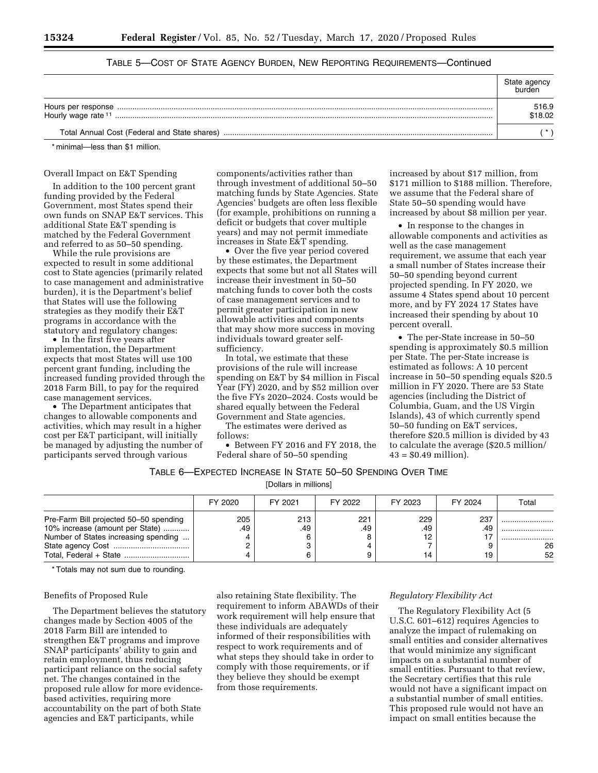| Hourly wage rate 11                          | 516.9<br>\$18.02 |
|----------------------------------------------|------------------|
| Total Annual Cost (Federal and State shares) |                  |

# TABLE 5—COST OF STATE AGENCY BURDEN, NEW REPORTING REQUIREMENTS—Continued

\* minimal—less than \$1 million.

### Overall Impact on E&T Spending

In addition to the 100 percent grant funding provided by the Federal Government, most States spend their own funds on SNAP E&T services. This additional State E&T spending is matched by the Federal Government and referred to as 50–50 spending.

While the rule provisions are expected to result in some additional cost to State agencies (primarily related to case management and administrative burden), it is the Department's belief that States will use the following strategies as they modify their E&T programs in accordance with the statutory and regulatory changes:

• In the first five years after implementation, the Department expects that most States will use 100 percent grant funding, including the increased funding provided through the 2018 Farm Bill, to pay for the required case management services.

• The Department anticipates that changes to allowable components and activities, which may result in a higher cost per E&T participant, will initially be managed by adjusting the number of participants served through various

components/activities rather than through investment of additional 50–50 matching funds by State Agencies. State Agencies' budgets are often less flexible (for example, prohibitions on running a deficit or budgets that cover multiple years) and may not permit immediate increases in State E&T spending.

• Over the five year period covered by these estimates, the Department expects that some but not all States will increase their investment in 50–50 matching funds to cover both the costs of case management services and to permit greater participation in new allowable activities and components that may show more success in moving individuals toward greater selfsufficiency.

In total, we estimate that these provisions of the rule will increase spending on E&T by \$4 million in Fiscal Year (FY) 2020, and by \$52 million over the five FYs 2020–2024. Costs would be shared equally between the Federal Government and State agencies.

The estimates were derived as follows:

• Between FY 2016 and FY 2018, the Federal share of 50–50 spending

increased by about \$17 million, from \$171 million to \$188 million. Therefore, we assume that the Federal share of State 50–50 spending would have increased by about \$8 million per year.

• In response to the changes in allowable components and activities as well as the case management requirement, we assume that each year a small number of States increase their 50–50 spending beyond current projected spending. In FY 2020, we assume 4 States spend about 10 percent more, and by FY 2024 17 States have increased their spending by about 10 percent overall.

• The per-State increase in 50–50 spending is approximately \$0.5 million per State. The per-State increase is estimated as follows: A 10 percent increase in 50–50 spending equals \$20.5 million in FY 2020. There are 53 State agencies (including the District of Columbia, Guam, and the US Virgin Islands), 43 of which currently spend 50–50 funding on E&T services, therefore \$20.5 million is divided by 43 to calculate the average (\$20.5 million/  $43 = $0.49$  million).

# TABLE 6—EXPECTED INCREASE IN STATE 50–50 SPENDING OVER TIME

[Dollars in millions]

|                                                                                                                   | FY 2020    | FY 2021    | FY 2022    | FY 2023                | FY 2024          | Total            |
|-------------------------------------------------------------------------------------------------------------------|------------|------------|------------|------------------------|------------------|------------------|
| Pre-Farm Bill projected 50-50 spending<br>10% increase (amount per State)<br>Number of States increasing spending | 205<br>.49 | 213<br>.49 | 221<br>.49 | 229<br>.49<br>12<br>14 | 237<br>.49<br>19 | <br><br>26<br>52 |

\* Totals may not sum due to rounding.

### Benefits of Proposed Rule

The Department believes the statutory changes made by Section 4005 of the 2018 Farm Bill are intended to strengthen E&T programs and improve SNAP participants' ability to gain and retain employment, thus reducing participant reliance on the social safety net. The changes contained in the proposed rule allow for more evidencebased activities, requiring more accountability on the part of both State agencies and E&T participants, while

also retaining State flexibility. The requirement to inform ABAWDs of their work requirement will help ensure that these individuals are adequately informed of their responsibilities with respect to work requirements and of what steps they should take in order to comply with those requirements, or if they believe they should be exempt from those requirements.

### *Regulatory Flexibility Act*

The Regulatory Flexibility Act (5 U.S.C. 601–612) requires Agencies to analyze the impact of rulemaking on small entities and consider alternatives that would minimize any significant impacts on a substantial number of small entities. Pursuant to that review, the Secretary certifies that this rule would not have a significant impact on a substantial number of small entities. This proposed rule would not have an impact on small entities because the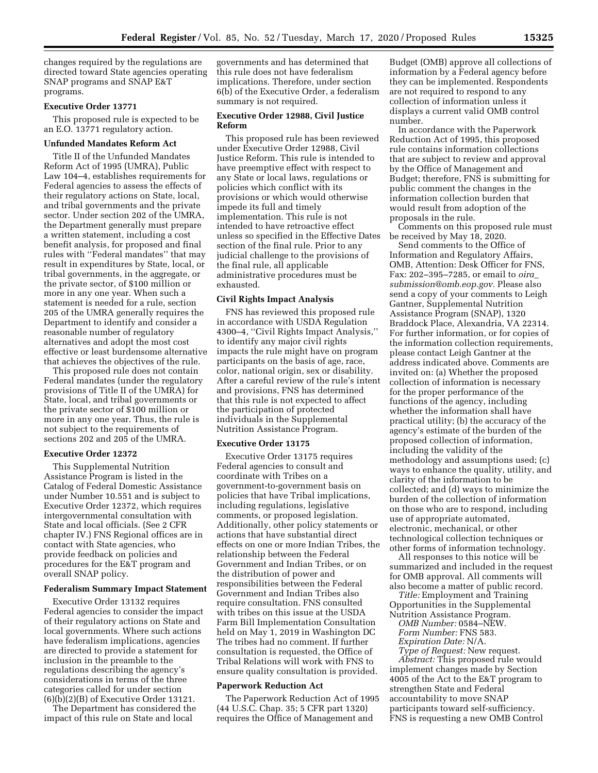changes required by the regulations are directed toward State agencies operating SNAP programs and SNAP E&T programs.

#### **Executive Order 13771**

This proposed rule is expected to be an E.O. 13771 regulatory action.

### **Unfunded Mandates Reform Act**

Title II of the Unfunded Mandates Reform Act of 1995 (UMRA), Public Law 104–4, establishes requirements for Federal agencies to assess the effects of their regulatory actions on State, local, and tribal governments and the private sector. Under section 202 of the UMRA, the Department generally must prepare a written statement, including a cost benefit analysis, for proposed and final rules with ''Federal mandates'' that may result in expenditures by State, local, or tribal governments, in the aggregate, or the private sector, of \$100 million or more in any one year. When such a statement is needed for a rule, section 205 of the UMRA generally requires the Department to identify and consider a reasonable number of regulatory alternatives and adopt the most cost effective or least burdensome alternative that achieves the objectives of the rule.

This proposed rule does not contain Federal mandates (under the regulatory provisions of Title II of the UMRA) for State, local, and tribal governments or the private sector of \$100 million or more in any one year. Thus, the rule is not subject to the requirements of sections 202 and 205 of the UMRA.

#### **Executive Order 12372**

This Supplemental Nutrition Assistance Program is listed in the Catalog of Federal Domestic Assistance under Number 10.551 and is subject to Executive Order 12372, which requires intergovernmental consultation with State and local officials. (See 2 CFR chapter IV.) FNS Regional offices are in contact with State agencies, who provide feedback on policies and procedures for the E&T program and overall SNAP policy.

## **Federalism Summary Impact Statement**

Executive Order 13132 requires Federal agencies to consider the impact of their regulatory actions on State and local governments. Where such actions have federalism implications, agencies are directed to provide a statement for inclusion in the preamble to the regulations describing the agency's considerations in terms of the three categories called for under section (6)(b)(2)(B) of Executive Order 13121.

The Department has considered the impact of this rule on State and local

governments and has determined that this rule does not have federalism implications. Therefore, under section 6(b) of the Executive Order, a federalism summary is not required.

## **Executive Order 12988, Civil Justice Reform**

This proposed rule has been reviewed under Executive Order 12988, Civil Justice Reform. This rule is intended to have preemptive effect with respect to any State or local laws, regulations or policies which conflict with its provisions or which would otherwise impede its full and timely implementation. This rule is not intended to have retroactive effect unless so specified in the Effective Dates section of the final rule. Prior to any judicial challenge to the provisions of the final rule, all applicable administrative procedures must be exhausted.

# **Civil Rights Impact Analysis**

FNS has reviewed this proposed rule in accordance with USDA Regulation 4300–4, ''Civil Rights Impact Analysis,'' to identify any major civil rights impacts the rule might have on program participants on the basis of age, race, color, national origin, sex or disability. After a careful review of the rule's intent and provisions, FNS has determined that this rule is not expected to affect the participation of protected individuals in the Supplemental Nutrition Assistance Program.

### **Executive Order 13175**

Executive Order 13175 requires Federal agencies to consult and coordinate with Tribes on a government-to-government basis on policies that have Tribal implications, including regulations, legislative comments, or proposed legislation. Additionally, other policy statements or actions that have substantial direct effects on one or more Indian Tribes, the relationship between the Federal Government and Indian Tribes, or on the distribution of power and responsibilities between the Federal Government and Indian Tribes also require consultation. FNS consulted with tribes on this issue at the USDA Farm Bill Implementation Consultation held on May 1, 2019 in Washington DC The tribes had no comment. If further consultation is requested, the Office of Tribal Relations will work with FNS to ensure quality consultation is provided.

## **Paperwork Reduction Act**

The Paperwork Reduction Act of 1995 (44 U.S.C. Chap. 35; 5 CFR part 1320) requires the Office of Management and

Budget (OMB) approve all collections of information by a Federal agency before they can be implemented. Respondents are not required to respond to any collection of information unless it displays a current valid OMB control number.

In accordance with the Paperwork Reduction Act of 1995, this proposed rule contains information collections that are subject to review and approval by the Office of Management and Budget; therefore, FNS is submitting for public comment the changes in the information collection burden that would result from adoption of the proposals in the rule.

Comments on this proposed rule must be received by May 18, 2020.

Send comments to the Office of Information and Regulatory Affairs, OMB, Attention: Desk Officer for FNS, Fax: 202–395–7285, or email to *[oira](mailto:oira_submission@omb.eop.gov)*\_ *[submission@omb.eop.gov.](mailto:oira_submission@omb.eop.gov)* Please also send a copy of your comments to Leigh Gantner, Supplemental Nutrition Assistance Program (SNAP), 1320 Braddock Place, Alexandria, VA 22314. For further information, or for copies of the information collection requirements, please contact Leigh Gantner at the address indicated above. Comments are invited on: (a) Whether the proposed collection of information is necessary for the proper performance of the functions of the agency, including whether the information shall have practical utility; (b) the accuracy of the agency's estimate of the burden of the proposed collection of information, including the validity of the methodology and assumptions used; (c) ways to enhance the quality, utility, and clarity of the information to be collected; and (d) ways to minimize the burden of the collection of information on those who are to respond, including use of appropriate automated, electronic, mechanical, or other technological collection techniques or other forms of information technology.

All responses to this notice will be summarized and included in the request for OMB approval. All comments will also become a matter of public record.

*Title:* Employment and Training Opportunities in the Supplemental Nutrition Assistance Program.

*OMB Number:* 0584–NEW. *Form Number:* FNS 583.

*Expiration Date:* N/A.

*Type of Request:* New request.

*Abstract:* This proposed rule would implement changes made by Section 4005 of the Act to the E&T program to strengthen State and Federal accountability to move SNAP participants toward self-sufficiency. FNS is requesting a new OMB Control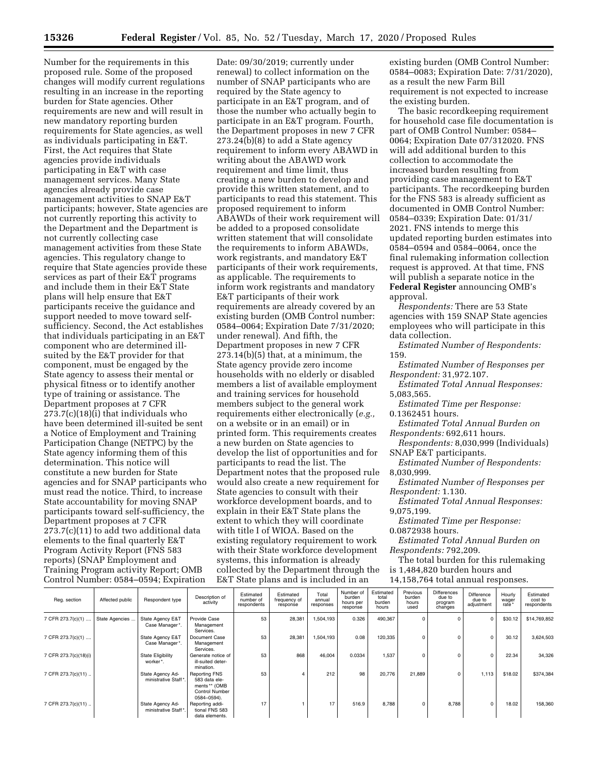Number for the requirements in this proposed rule. Some of the proposed changes will modify current regulations resulting in an increase in the reporting burden for State agencies. Other requirements are new and will result in new mandatory reporting burden requirements for State agencies, as well as individuals participating in E&T. First, the Act requires that State agencies provide individuals participating in E&T with case management services. Many State agencies already provide case management activities to SNAP E&T participants; however, State agencies are not currently reporting this activity to the Department and the Department is not currently collecting case management activities from these State agencies. This regulatory change to require that State agencies provide these services as part of their E&T programs and include them in their E&T State plans will help ensure that E&T participants receive the guidance and support needed to move toward selfsufficiency. Second, the Act establishes that individuals participating in an E&T component who are determined illsuited by the E&T provider for that component, must be engaged by the State agency to assess their mental or physical fitness or to identify another type of training or assistance. The Department proposes at 7 CFR 273.7(c)(18)(i) that individuals who have been determined ill-suited be sent a Notice of Employment and Training Participation Change (NETPC) by the State agency informing them of this determination. This notice will constitute a new burden for State agencies and for SNAP participants who must read the notice. Third, to increase State accountability for moving SNAP participants toward self-sufficiency, the Department proposes at 7 CFR 273.7(c)(11) to add two additional data elements to the final quarterly E&T Program Activity Report (FNS 583 reports) (SNAP Employment and Training Program activity Report; OMB Control Number: 0584–0594; Expiration

Date: 09/30/2019; currently under renewal) to collect information on the number of SNAP participants who are required by the State agency to participate in an E&T program, and of those the number who actually begin to participate in an E&T program. Fourth, the Department proposes in new 7 CFR 273.24(b)(8) to add a State agency requirement to inform every ABAWD in writing about the ABAWD work requirement and time limit, thus creating a new burden to develop and provide this written statement, and to participants to read this statement. This proposed requirement to inform ABAWDs of their work requirement will be added to a proposed consolidate written statement that will consolidate the requirements to inform ABAWDs, work registrants, and mandatory E&T participants of their work requirements, as applicable. The requirements to inform work registrants and mandatory E&T participants of their work requirements are already covered by an existing burden (OMB Control number: 0584–0064; Expiration Date 7/31/2020; under renewal). And fifth, the Department proposes in new 7 CFR 273.14(b)(5) that, at a minimum, the State agency provide zero income households with no elderly or disabled members a list of available employment and training services for household members subject to the general work requirements either electronically (*e.g.,*  on a website or in an email) or in printed form. This requirements creates a new burden on State agencies to develop the list of opportunities and for participants to read the list. The Department notes that the proposed rule would also create a new requirement for State agencies to consult with their workforce development boards, and to explain in their E&T State plans the extent to which they will coordinate with title I of WIOA. Based on the existing regulatory requirement to work with their State workforce development systems, this information is already collected by the Department through the E&T State plans and is included in an

existing burden (OMB Control Number: 0584–0083; Expiration Date: 7/31/2020), as a result the new Farm Bill requirement is not expected to increase the existing burden.

The basic recordkeeping requirement for household case file documentation is part of OMB Control Number: 0584– 0064; Expiration Date 07/312020. FNS will add additional burden to this collection to accommodate the increased burden resulting from providing case management to E&T participants. The recordkeeping burden for the FNS 583 is already sufficient as documented in OMB Control Number: 0584–0339; Expiration Date: 01/31/ 2021. FNS intends to merge this updated reporting burden estimates into 0584–0594 and 0584–0064, once the final rulemaking information collection request is approved. At that time, FNS will publish a separate notice in the **Federal Register** announcing OMB's

approval.

*Respondents:* There are 53 State agencies with 159 SNAP State agencies employees who will participate in this data collection.

*Estimated Number of Respondents:*  159.

*Estimated Number of Responses per Respondent:* 31,972.107.

*Estimated Total Annual Responses:*  5,083,565.

*Estimated Time per Response:*  0.1362451 hours.

*Estimated Total Annual Burden on Respondents:* 692,611 hours.

*Respondents:* 8,030,999 (Individuals) SNAP E&T participants.

*Estimated Number of Respondents:*  8,030,999.

*Estimated Number of Responses per Respondent:* 1.130.

*Estimated Total Annual Responses:*  9,075,199.

*Estimated Time per Response:*  0.0872938 hours.

*Estimated Total Annual Burden on* 

*Respondents:* 792,209.

The total burden for this rulemaking is 1,484,820 burden hours and 14,158,764 total annual responses.

| Reg. section          | Affected public | Respondent type                          | Description of<br>activity                                                       | Estimated<br>number of<br>respondents | Estimated<br>frequency of<br>response | Total<br>annual<br>responses | Number of<br>burden<br>hours per<br>response | Estimated<br>total<br>burden<br>hours | Previous<br>burden<br>hours<br>used | <b>Differences</b><br>due to<br>program<br>changes | Difference<br>due to<br>adjustment | Hourly<br>wager<br>rate* | Estimated<br>cost to<br>respondents |
|-----------------------|-----------------|------------------------------------------|----------------------------------------------------------------------------------|---------------------------------------|---------------------------------------|------------------------------|----------------------------------------------|---------------------------------------|-------------------------------------|----------------------------------------------------|------------------------------------|--------------------------|-------------------------------------|
| 7 CFR 273.7(c)(1)     | State Agencies. | State Agency E&T<br>Case Manager*.       | Provide Case<br>Management<br>Services.                                          | 53                                    | 28,381                                | 1,504,193                    | 0.326                                        | 490,367                               |                                     |                                                    | $\mathbf 0$                        | \$30.12                  | \$14,769,852                        |
| 7 CFR 273.7(c)(1)     |                 | State Agency E&T<br>Case Manager*.       | Document Case<br>Management<br>Services.                                         | 53                                    | 28,381                                | 1.504.193                    | 0.08                                         | 120,335                               |                                     | $\Omega$                                           | $\Omega$                           | 30.12                    | 3,624,503                           |
| 7 CFR 273.7(c)(18)(i) |                 | <b>State Eligibility</b><br>worker*.     | Generate notice of<br>ill-suited deter-<br>mination.                             | 53                                    | 868                                   | 46.004                       | 0.0334                                       | 1.537                                 | $\Omega$                            | $\Omega$                                           | $\Omega$                           | 22.34                    | 34,326                              |
| 7 CFR 273.7(c)(11)    |                 | State Agency Ad-<br>ministrative Staff*. | Reporting FNS<br>583 data ele-<br>ments ** (OMB<br>Control Number<br>0584-0594). | 53                                    | 4                                     | 212                          | 98                                           | 20,776                                | 21,889                              | $\Omega$                                           | 1.113                              | \$18.02                  | \$374,384                           |
| 7 CFR 273.7(c)(11)    |                 | State Agency Ad-<br>ministrative Staff*. | Reporting addi-<br>tional FNS 583<br>data elements.                              | 17                                    |                                       | 17                           | 516.9                                        | 8,788                                 | $\Omega$                            | 8.788                                              | $\Omega$                           | 18.02                    | 158,360                             |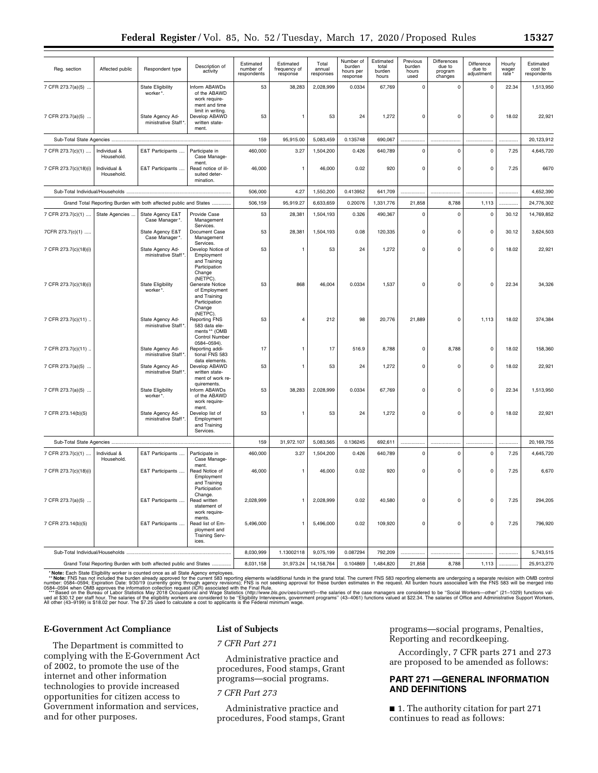|                                                                   |                            |                                                                   | Description of                                                                                 | Estimated                | Estimated                | Total               | Number of                       | Estimated<br>total | Previous<br>burden | Differences                  | Difference           | Hourly         | Estimated              |
|-------------------------------------------------------------------|----------------------------|-------------------------------------------------------------------|------------------------------------------------------------------------------------------------|--------------------------|--------------------------|---------------------|---------------------------------|--------------------|--------------------|------------------------------|----------------------|----------------|------------------------|
| Reg. section                                                      | Affected public            | Respondent type                                                   | activity                                                                                       | number of<br>respondents | frequency of<br>response | annual<br>responses | burden<br>hours per<br>response | burden<br>hours    | hours<br>used      | due to<br>program<br>changes | due to<br>adjustment | wager<br>rate* | cost to<br>respondents |
| 7 CFR 273.7(a)(5)                                                 |                            | <b>State Eligibility</b><br>worker*.                              | Inform ABAWDs<br>of the ABAWD<br>work require-                                                 | 53                       | 38,283                   | 2,028,999           | 0.0334                          | 67,769             | $\mathsf 0$        | $\mathsf{o}$                 | $\mathbf 0$          | 22.34          | 1,513,950              |
| 7 CFR 273.7(a)(5)                                                 |                            | State Agency Ad-<br>ministrative Staff*                           | ment and time<br>limit in writing.<br>Develop ABAWD<br>written state-<br>ment.                 | 53                       | 1                        | 53                  | 24                              | 1,272              | $\mathbf 0$        | $\mathsf{o}$                 | $\mathbf 0$          | 18.02          | 22,921                 |
|                                                                   |                            |                                                                   |                                                                                                | 159                      | 95,915.00                | 5,083,459           | 0.135748                        | 690,067            | .                  |                              |                      |                | 20,123,912             |
| 7 CFR 273.7(c)(1)                                                 | Individual &<br>Household. | E&T Participants                                                  | Participate in<br>Case Manage-                                                                 | 460,000                  | 3.27                     | 1,504,200           | 0.426                           | 640,789            | $\mathbf 0$        | 0                            | $\mathbf 0$          | 7.25           | 4,645,720              |
| 7 CFR 273.7(c)(18)(i)                                             | Individual &<br>Household. | E&T Participants                                                  | ment.<br>Read notice of ill-<br>suited deter-<br>mination.                                     | 46,000                   | $\mathbf{1}$             | 46,000              | 0.02                            | 920                | $\mathbf 0$        | $\mathsf{o}$                 | $\mathbf 0$          | 7.25           | 6670                   |
|                                                                   |                            |                                                                   |                                                                                                | 506,000                  | 4.27                     | 1,550,200           | 0.413952                        | 641,709            | .                  |                              |                      |                | 4,652,390              |
| Grand Total Reporting Burden with both affected public and States |                            | 506,159                                                           | 95,919.27                                                                                      | 6,633,659                | 0.20076                  | 1,331,776           | 21,858                          | 8,788              | 1,113              |                              | 24,776,302           |                |                        |
| 7 CFR 273.7(c)(1)                                                 | State Agencies             | State Agency E&T<br>Case Manager*.                                | Provide Case<br>Management                                                                     | 53                       | 28,381                   | 1,504,193           | 0.326                           | 490,367            | $\mathbf 0$        | $\mathbf 0$                  | $\mathbf 0$          | 30.12          | 14,769,852             |
| 7CFR 273.7(c)(1)                                                  |                            | State Agency E&T<br>Case Manager*.                                | Services.<br>Document Case<br>Management                                                       | 53                       | 28,381                   | 1,504,193           | 0.08                            | 120,335            | $\mathbf 0$        | $\mathsf{o}$                 | $\mathbf 0$          | 30.12          | 3,624,503              |
| 7 CFR 273.7(c)(18)(i)                                             |                            | State Agency Ad-<br>ministrative Staff*                           | Services.<br>Develop Notice of<br>Employment<br>and Training<br>Participation                  | 53                       | $\mathbf{1}$             | 53                  | 24                              | 1,272              | $\mathbf 0$        | $\mathbf 0$                  | $\mathbf 0$          | 18.02          | 22,921                 |
| 7 CFR 273.7(c)(18)(i)                                             |                            | <b>State Eligibility</b><br>worker*.                              | Change<br>(NETPC).<br>Generate Notice<br>of Employment<br>and Training<br>Participation        | 53                       | 868                      | 46,004              | 0.0334                          | 1,537              | $\mathbf 0$        | $\mathbf 0$                  | $\mathbf 0$          | 22.34          | 34,326                 |
| 7 CFR 273.7(c)(11)                                                |                            | State Agency Ad-<br>ministrative Staff*                           | Change<br>(NETPC).<br><b>Reporting FNS</b><br>583 data ele-<br>ments ** (OMB<br>Control Number | 53                       | 4                        | 212                 | 98                              | 20,776             | 21,889             | $\mathbf 0$                  | 1,113                | 18.02          | 374,384                |
| 7 CFR 273.7(c)(11)                                                |                            | State Agency Ad-<br>ministrative Staff*                           | 0584-0594).<br>Reporting addi-<br>tional FNS 583                                               | 17                       | $\mathbf{1}$             | 17                  | 516.9                           | 8,788              | $\mathsf 0$        | 8,788                        | $\mathbf 0$          | 18.02          | 158,360                |
| 7 CFR 273.7(a)(5)                                                 |                            | State Agency Ad-<br>ministrative Staff*                           | data elements.<br>Develop ABAWD<br>written state-<br>ment of work re-                          | 53                       | $\mathbf{1}$             | 53                  | 24                              | 1,272              | $\mathbf 0$        | $\mathsf{o}$                 | $\mathbf 0$          | 18.02          | 22,921                 |
| 7 CFR 273.7(a)(5)                                                 |                            | <b>State Eligibility</b><br>worker*.                              | quirements.<br>Inform ABAWDs<br>of the ABAWD<br>work require-                                  | 53                       | 38,283                   | 2,028,999           | 0.0334                          | 67,769             | $\mathbf 0$        | $\mathbf 0$                  | $\mathbf 0$          | 22.34          | 1,513,950              |
| 7 CFR 273.14(b)(5)                                                |                            | State Agency Ad-<br>ministrative Staff*.                          | ment.<br>Develop list of<br>Employment<br>and Training<br>Services.                            | 53                       | 1                        | 53                  | 24                              | 1,272              | $\mathbf 0$        | $\mathsf{o}$                 | $\mathbf 0$          | 18.02          | 22,921                 |
|                                                                   |                            |                                                                   |                                                                                                | 159                      | 31,972.107               | 5,083,565           | 0.136245                        | 692,611            | .                  |                              |                      |                | 20,169,755             |
| 7 CFR 273.7(c)(1)                                                 | Individual &<br>Household. | E&T Participants                                                  | Participate in<br>Case Manage-                                                                 | 460,000                  | 3.27                     | 1,504,200           | 0.426                           | 640,789            | $\mathbf 0$        | $\mathbf 0$                  | $\mathbf 0$          | 7.25           | 4,645,720              |
| 7 CFR 273.7(c)(18)(i)                                             |                            | E&T Participants                                                  | ment.<br>Read Notice of<br>Employment<br>and Training<br>Participation                         | 46,000                   | $\mathbf{1}$             | 46,000              | 0.02                            | 920                | $\mathbf 0$        | 0                            | $\mathbf 0$          | 7.25           | 6,670                  |
| 7 CFR 273.7(a)(5)                                                 |                            | E&T Participants                                                  | Change.<br>Read written<br>statement of<br>work require-                                       | 2,028,999                | 1                        | 2,028,999           | 0.02                            | 40,580             | 0                  | 0                            | $\pmb{0}$            | 7.25           | 294,205                |
| 7 CFR 273.14(b)(5)                                                |                            | E&T Participants                                                  | ments.<br>Read list of Em-<br>ployment and<br><b>Training Serv-</b><br>ices.                   | 5,496,000                | 1                        | 5,496,000           | 0.02                            | 109,920            | $\mathsf 0$        | $\mathsf 0$                  | $\mathbf 0$          | 7.25           | 796,920                |
| Sub-Total Individual/Households                                   |                            |                                                                   |                                                                                                | 8,030,999                | 1.13002118               | 9,075,199           | 0.087294                        | 792,209            |                    |                              |                      |                | 5,743,515              |
|                                                                   |                            | Grand Total Reporting Burden with both affected public and States |                                                                                                | 8,031,158                | 31,973.24                | 14, 158, 764        | 0.104869                        | 1,484,820          | 21,858             | 8,788                        | 1,113                |                | 25,913,270             |

\* **Not**e: ENS has not included the burden already approved for the current 583 reporting elements wadditional funds in the grand total. The current FNS 583 reporting elements are undergoing a separate revision with OMB con

## **E-Government Act Compliance**

The Department is committed to complying with the E-Government Act of 2002, to promote the use of the internet and other information technologies to provide increased opportunities for citizen access to Government information and services, and for other purposes.

# **List of Subjects**

*7 CFR Part 271* 

Administrative practice and procedures, Food stamps, Grant programs—social programs.

## *7 CFR Part 273*

Administrative practice and procedures, Food stamps, Grant programs—social programs, Penalties, Reporting and recordkeeping.

Accordingly, 7 CFR parts 271 and 273 are proposed to be amended as follows:

# **PART 271 —GENERAL INFORMATION AND DEFINITIONS**

■ 1. The authority citation for part 271 continues to read as follows: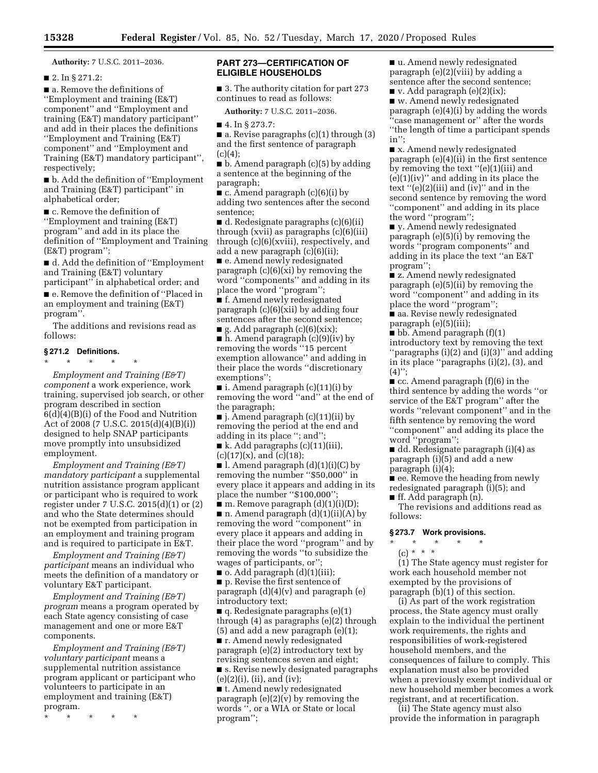**Authority:** 7 U.S.C. 2011–2036.

■ 2. In § 271.2:

■ a. Remove the definitions of ''Employment and training (E&T) component'' and ''Employment and training (E&T) mandatory participant'' and add in their places the definitions ''Employment and Training (E&T) component'' and ''Employment and Training (E&T) mandatory participant'', respectively;

■ b. Add the definition of "Employment" and Training (E&T) participant'' in alphabetical order;

■ c. Remove the definition of ''Employment and training (E&T) program'' and add in its place the definition of ''Employment and Training (E&T) program'';

■ d. Add the definition of "Employment" and Training (E&T) voluntary participant'' in alphabetical order; and ■ e. Remove the definition of "Placed in an employment and training (E&T) program''.

The additions and revisions read as follows:

### **§ 271.2 Definitions.**

\* \* \* \* \*

*Employment and Training (E&T) component* a work experience, work training, supervised job search, or other program described in section 6(d)(4)(B)(i) of the Food and Nutrition Act of 2008 (7 U.S.C. 2015(d)(4)(B)(i)) designed to help SNAP participants move promptly into unsubsidized employment.

*Employment and Training (E&T) mandatory participant* a supplemental nutrition assistance program applicant or participant who is required to work register under 7 U.S.C. 2015(d)(1) or (2) and who the State determines should not be exempted from participation in an employment and training program and is required to participate in E&T.

*Employment and Training (E&T) participant* means an individual who meets the definition of a mandatory or voluntary E&T participant.

*Employment and Training (E&T) program* means a program operated by each State agency consisting of case management and one or more E&T components.

*Employment and Training (E&T) voluntary participant* means a supplemental nutrition assistance program applicant or participant who volunteers to participate in an employment and training (E&T) program.

\* \* \* \* \*

# **PART 273—CERTIFICATION OF ELIGIBLE HOUSEHOLDS**

■ 3. The authority citation for part 273 continues to read as follows:

**Authority:** 7 U.S.C. 2011–2036.

■ 4. In § 273.7:

■ a. Revise paragraphs (c)(1) through (3) and the first sentence of paragraph  $(c)(4)$ :

 $\blacksquare$  b. Amend paragraph (c)(5) by adding a sentence at the beginning of the paragraph;

 $\blacksquare$  c. Amend paragraph (c)(6)(i) by adding two sentences after the second sentence;

■ d. Redesignate paragraphs (c)(6)(ii) through (xvii) as paragraphs (c)(6)(iii) through (c)(6)(xviii), respectively, and add a new paragraph (c)(6)(ii);

■ e. Amend newly redesignated paragraph (c)(6)(xi) by removing the word ''components'' and adding in its place the word ''program'';

■ f. Amend newly redesignated paragraph (c)(6)(xii) by adding four sentences after the second sentence;  $\blacksquare$  g. Add paragraph (c)(6)(xix);

■ h. Amend paragraph (c)(9)(iv) by removing the words ''15 percent exemption allowance'' and adding in their place the words ''discretionary exemptions'';

■ i. Amend paragraph  $(c)(11)(i)$  by removing the word ''and'' at the end of the paragraph;

 $\blacksquare$  j. Amend paragraph (c)(11)(ii) by removing the period at the end and adding in its place ''; and'';

 $\blacksquare$  k. Add paragraphs (c)(11)(iii),  $(c)(17)(x)$ , and  $(c)(18)$ ;

 $\blacksquare$  l. Amend paragraph  $(d)(1)(i)(C)$  by removing the number ''\$50,000'' in every place it appears and adding in its place the number "\$100,000";

■ m. Remove paragraph (d)(1)(i)(D);  $\blacksquare$  n. Amend paragraph  $(d)(1)(ii)(A)$  by removing the word ''component'' in every place it appears and adding in their place the word ''program'' and by removing the words ''to subsidize the wages of participants, or'';

■ o. Add paragraph (d)(1)(iii); ■ p. Revise the first sentence of paragraph  $(d)(4)(v)$  and paragraph  $(e)$ introductory text;

■ q. Redesignate paragraphs (e)(1) through (4) as paragraphs (e)(2) through (5) and add a new paragraph (e)(1);

■ r. Amend newly redesignated paragraph (e)(2) introductory text by revising sentences seven and eight;

■ s. Revise newly designated paragraphs  $(e)(2)(i)$ ,  $(ii)$ , and  $(iv)$ ;

■ t. Amend newly redesignated paragraph  $(e)(2)(v)$  by removing the words '', or a WIA or State or local program'';

■ u. Amend newly redesignated paragraph (e)(2)(viii) by adding a sentence after the second sentence;

 $\blacksquare$  v. Add paragraph (e)(2)(ix); ■ w. Amend newly redesignated paragraph (e)(4)(i) by adding the words ''case management or'' after the words ''the length of time a participant spends in'';

■ x. Amend newly redesignated paragraph (e)(4)(ii) in the first sentence by removing the text ''(e)(1)(iii) and (e)(1)(iv)'' and adding in its place the text " $(e)(2)(iii)$  and  $(iv)$ " and in the second sentence by removing the word ''component'' and adding in its place the word ''program'';

■ y. Amend newly redesignated paragraph (e)(5)(i) by removing the words ''program components'' and adding in its place the text ''an E&T program'';

■ z. Amend newly redesignated paragraph (e)(5)(ii) by removing the word ''component'' and adding in its place the word ''program'';

■ aa. Revise newly redesignated paragraph (e)(5)(iii);

■ bb. Amend paragraph (f)(1) introductory text by removing the text ''paragraphs (i)(2) and (i)(3)'' and adding in its place ''paragraphs (i)(2), (3), and  $(4)$ ";

 $\blacksquare$  cc. Amend paragraph (f)(6) in the third sentence by adding the words ''or service of the E&T program'' after the words ''relevant component'' and in the fifth sentence by removing the word ''component'' and adding its place the word ''program'';

■ dd. Redesignate paragraph (i)(4) as paragraph (i)(5) and add a new paragraph (i)(4);

■ ee. Remove the heading from newly redesignated paragraph (i)(5); and

■ ff. Add paragraph (n).

The revisions and additions read as follows:

## **§ 273.7 Work provisions.**

\* \* \* \* \*

(c) \* \* \* (1) The State agency must register for work each household member not exempted by the provisions of paragraph (b)(1) of this section.

(i) As part of the work registration process, the State agency must orally explain to the individual the pertinent work requirements, the rights and responsibilities of work-registered household members, and the consequences of failure to comply. This explanation must also be provided when a previously exempt individual or new household member becomes a work registrant, and at recertification.

(ii) The State agency must also provide the information in paragraph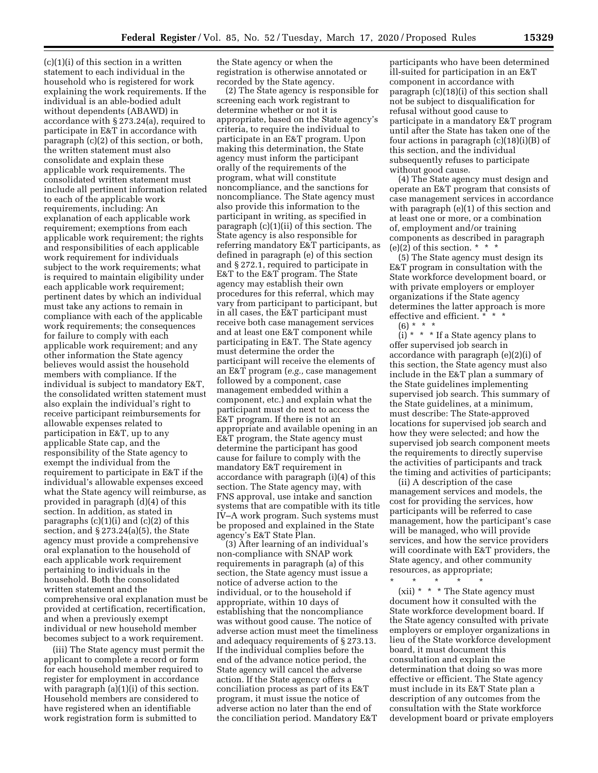$(c)(1)(i)$  of this section in a written statement to each individual in the household who is registered for work explaining the work requirements. If the individual is an able-bodied adult without dependents (ABAWD) in accordance with § 273.24(a), required to participate in E&T in accordance with paragraph (c)(2) of this section, or both, the written statement must also consolidate and explain these applicable work requirements. The consolidated written statement must include all pertinent information related to each of the applicable work requirements, including: An explanation of each applicable work requirement; exemptions from each applicable work requirement; the rights and responsibilities of each applicable work requirement for individuals subject to the work requirements; what is required to maintain eligibility under each applicable work requirement; pertinent dates by which an individual must take any actions to remain in compliance with each of the applicable work requirements; the consequences for failure to comply with each applicable work requirement; and any other information the State agency believes would assist the household members with compliance. If the individual is subject to mandatory E&T, the consolidated written statement must also explain the individual's right to receive participant reimbursements for allowable expenses related to participation in E&T, up to any applicable State cap, and the responsibility of the State agency to exempt the individual from the requirement to participate in E&T if the individual's allowable expenses exceed what the State agency will reimburse, as provided in paragraph (d)(4) of this section. In addition, as stated in paragraphs  $(c)(1)(i)$  and  $(c)(2)$  of this section, and § 273.24(a)(5), the State agency must provide a comprehensive oral explanation to the household of each applicable work requirement pertaining to individuals in the household. Both the consolidated written statement and the comprehensive oral explanation must be provided at certification, recertification, and when a previously exempt individual or new household member becomes subject to a work requirement.

(iii) The State agency must permit the applicant to complete a record or form for each household member required to register for employment in accordance with paragraph (a)(1)(i) of this section. Household members are considered to have registered when an identifiable work registration form is submitted to

the State agency or when the registration is otherwise annotated or recorded by the State agency.

(2) The State agency is responsible for screening each work registrant to determine whether or not it is appropriate, based on the State agency's criteria, to require the individual to participate in an E&T program. Upon making this determination, the State agency must inform the participant orally of the requirements of the program, what will constitute noncompliance, and the sanctions for noncompliance. The State agency must also provide this information to the participant in writing, as specified in paragraph (c)(1)(ii) of this section. The State agency is also responsible for referring mandatory E&T participants, as defined in paragraph (e) of this section and § 272.1, required to participate in E&T to the E&T program. The State agency may establish their own procedures for this referral, which may vary from participant to participant, but in all cases, the E&T participant must receive both case management services and at least one E&T component while participating in E&T. The State agency must determine the order the participant will receive the elements of an E&T program (*e.g.,* case management followed by a component, case management embedded within a component, etc.) and explain what the participant must do next to access the E&T program. If there is not an appropriate and available opening in an E&T program, the State agency must determine the participant has good cause for failure to comply with the mandatory E&T requirement in accordance with paragraph (i)(4) of this section. The State agency may, with FNS approval, use intake and sanction systems that are compatible with its title IV–A work program. Such systems must be proposed and explained in the State agency's E&T State Plan.

(3) After learning of an individual's non-compliance with SNAP work requirements in paragraph (a) of this section, the State agency must issue a notice of adverse action to the individual, or to the household if appropriate, within 10 days of establishing that the noncompliance was without good cause. The notice of adverse action must meet the timeliness and adequacy requirements of § 273.13. If the individual complies before the end of the advance notice period, the State agency will cancel the adverse action. If the State agency offers a conciliation process as part of its E&T program, it must issue the notice of adverse action no later than the end of the conciliation period. Mandatory E&T

participants who have been determined ill-suited for participation in an E&T component in accordance with paragraph (c)(18)(i) of this section shall not be subject to disqualification for refusal without good cause to participate in a mandatory E&T program until after the State has taken one of the four actions in paragraph (c)(18)(i)(B) of this section, and the individual subsequently refuses to participate without good cause.

(4) The State agency must design and operate an E&T program that consists of case management services in accordance with paragraph (e)(1) of this section and at least one or more, or a combination of, employment and/or training components as described in paragraph (e)(2) of this section.  $* * *$ 

(5) The State agency must design its E&T program in consultation with the State workforce development board, or with private employers or employer organizations if the State agency determines the latter approach is more effective and efficient. \* \* \*

 $(6) * *$ 

(i)  $*$   $*$   $*$  If a State agency plans to offer supervised job search in accordance with paragraph (e)(2)(i) of this section, the State agency must also include in the E&T plan a summary of the State guidelines implementing supervised job search. This summary of the State guidelines, at a minimum, must describe: The State-approved locations for supervised job search and how they were selected; and how the supervised job search component meets the requirements to directly supervise the activities of participants and track the timing and activities of participants;

(ii) A description of the case management services and models, the cost for providing the services, how participants will be referred to case management, how the participant's case will be managed, who will provide services, and how the service providers will coordinate with E&T providers, the State agency, and other community resources, as appropriate;

\* \* \* \* \*

(xii) \* \* \* The State agency must document how it consulted with the State workforce development board. If the State agency consulted with private employers or employer organizations in lieu of the State workforce development board, it must document this consultation and explain the determination that doing so was more effective or efficient. The State agency must include in its E&T State plan a description of any outcomes from the consultation with the State workforce development board or private employers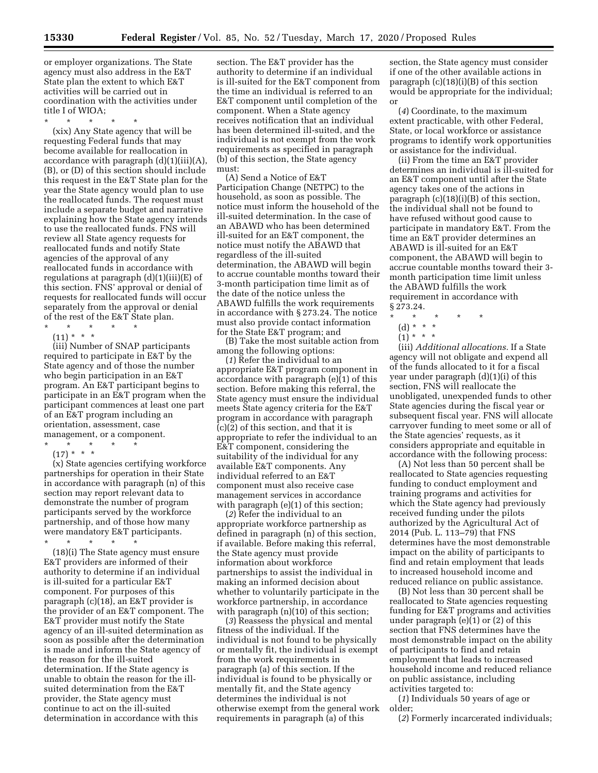or employer organizations. The State agency must also address in the E&T State plan the extent to which E&T activities will be carried out in coordination with the activities under title I of WIOA;

\* \* \* \* \*

(xix) Any State agency that will be requesting Federal funds that may become available for reallocation in accordance with paragraph (d)(1)(iii)(A), (B), or (D) of this section should include this request in the E&T State plan for the year the State agency would plan to use the reallocated funds. The request must include a separate budget and narrative explaining how the State agency intends to use the reallocated funds. FNS will review all State agency requests for reallocated funds and notify State agencies of the approval of any reallocated funds in accordance with regulations at paragraph (d)(1)(iii)(E) of this section. FNS' approval or denial of requests for reallocated funds will occur separately from the approval or denial of the rest of the E&T State plan.

\* \* \* \* \*  $(11) * * * *$ 

(iii) Number of SNAP participants required to participate in E&T by the State agency and of those the number who begin participation in an E&T program. An E&T participant begins to participate in an E&T program when the participant commences at least one part of an E&T program including an orientation, assessment, case management, or a component.

\* \* \* \* \*

 $(17) * * * *$ (x) State agencies certifying workforce partnerships for operation in their State in accordance with paragraph (n) of this section may report relevant data to demonstrate the number of program participants served by the workforce partnership, and of those how many were mandatory E&T participants.

\* \* \* \* \*

(18)(i) The State agency must ensure E&T providers are informed of their authority to determine if an individual is ill-suited for a particular E&T component. For purposes of this paragraph (c)(18), an E&T provider is the provider of an E&T component. The E&T provider must notify the State agency of an ill-suited determination as soon as possible after the determination is made and inform the State agency of the reason for the ill-suited determination. If the State agency is unable to obtain the reason for the illsuited determination from the E&T provider, the State agency must continue to act on the ill-suited determination in accordance with this

section. The E&T provider has the authority to determine if an individual is ill-suited for the E&T component from the time an individual is referred to an E&T component until completion of the component. When a State agency receives notification that an individual has been determined ill-suited, and the individual is not exempt from the work requirements as specified in paragraph (b) of this section, the State agency must:

(A) Send a Notice of E&T Participation Change (NETPC) to the household, as soon as possible. The notice must inform the household of the ill-suited determination. In the case of an ABAWD who has been determined ill-suited for an E&T component, the notice must notify the ABAWD that regardless of the ill-suited determination, the ABAWD will begin to accrue countable months toward their 3-month participation time limit as of the date of the notice unless the ABAWD fulfills the work requirements in accordance with § 273.24. The notice must also provide contact information for the State E&T program; and

(B) Take the most suitable action from among the following options:

(*1*) Refer the individual to an appropriate E&T program component in accordance with paragraph (e)(1) of this section. Before making this referral, the State agency must ensure the individual meets State agency criteria for the E&T program in accordance with paragraph (c)(2) of this section, and that it is appropriate to refer the individual to an E&T component, considering the suitability of the individual for any available E&T components. Any individual referred to an E&T component must also receive case management services in accordance with paragraph (e)(1) of this section;

(*2*) Refer the individual to an appropriate workforce partnership as defined in paragraph (n) of this section, if available. Before making this referral, the State agency must provide information about workforce partnerships to assist the individual in making an informed decision about whether to voluntarily participate in the workforce partnership, in accordance with paragraph  $(n)(10)$  of this section;

(*3*) Reassess the physical and mental fitness of the individual. If the individual is not found to be physically or mentally fit, the individual is exempt from the work requirements in paragraph (a) of this section. If the individual is found to be physically or mentally fit, and the State agency determines the individual is not otherwise exempt from the general work requirements in paragraph (a) of this

section, the State agency must consider if one of the other available actions in paragraph  $(c)(18)(i)(B)$  of this section would be appropriate for the individual; or

(*4*) Coordinate, to the maximum extent practicable, with other Federal, State, or local workforce or assistance programs to identify work opportunities or assistance for the individual.

(ii) From the time an E&T provider determines an individual is ill-suited for an E&T component until after the State agency takes one of the actions in paragraph (c)(18)(i)(B) of this section, the individual shall not be found to have refused without good cause to participate in mandatory E&T. From the time an E&T provider determines an ABAWD is ill-suited for an E&T component, the ABAWD will begin to accrue countable months toward their 3 month participation time limit unless the ABAWD fulfills the work requirement in accordance with § 273.24.

- \* \* \* \* \*
	- (d) \* \* \*
	- $(1) * * * *$

(iii) *Additional allocations.* If a State agency will not obligate and expend all of the funds allocated to it for a fiscal year under paragraph (d)(1)(i) of this section, FNS will reallocate the unobligated, unexpended funds to other State agencies during the fiscal year or subsequent fiscal year. FNS will allocate carryover funding to meet some or all of the State agencies' requests, as it considers appropriate and equitable in accordance with the following process:

(A) Not less than 50 percent shall be reallocated to State agencies requesting funding to conduct employment and training programs and activities for which the State agency had previously received funding under the pilots authorized by the Agricultural Act of 2014 (Pub. L. 113–79) that FNS determines have the most demonstrable impact on the ability of participants to find and retain employment that leads to increased household income and reduced reliance on public assistance.

(B) Not less than 30 percent shall be reallocated to State agencies requesting funding for E&T programs and activities under paragraph (e)(1) or (2) of this section that FNS determines have the most demonstrable impact on the ability of participants to find and retain employment that leads to increased household income and reduced reliance on public assistance, including activities targeted to:

(*1*) Individuals 50 years of age or older;

(*2*) Formerly incarcerated individuals;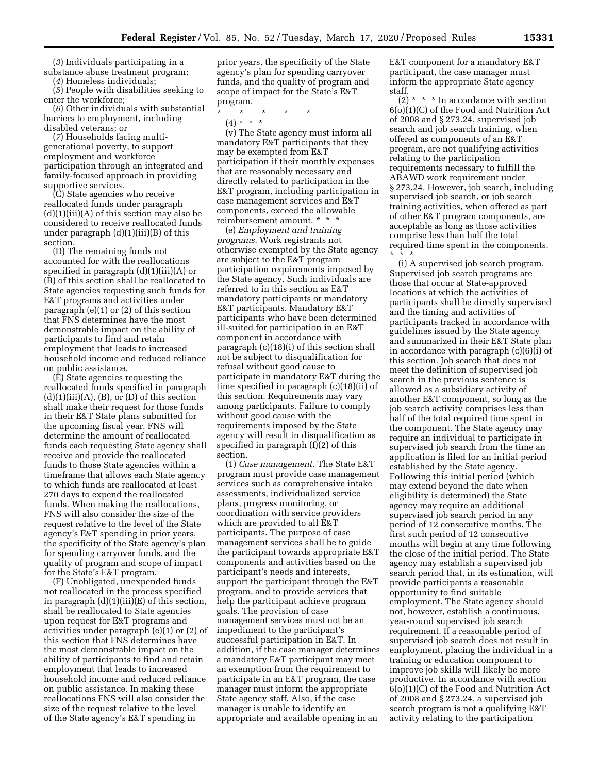(*3*) Individuals participating in a substance abuse treatment program;

(*4*) Homeless individuals;

(*5*) People with disabilities seeking to enter the workforce;

(*6*) Other individuals with substantial barriers to employment, including disabled veterans; or

(*7*) Households facing multigenerational poverty, to support employment and workforce participation through an integrated and family-focused approach in providing supportive services.

(C) State agencies who receive reallocated funds under paragraph  $(d)(1)(iii)(A)$  of this section may also be considered to receive reallocated funds under paragraph  $(d)(1)(iii)(B)$  of this section.

(D) The remaining funds not accounted for with the reallocations specified in paragraph (d)(1)(iii)(A) or (B) of this section shall be reallocated to State agencies requesting such funds for E&T programs and activities under paragraph (e)(1) or (2) of this section that FNS determines have the most demonstrable impact on the ability of participants to find and retain employment that leads to increased household income and reduced reliance on public assistance.

(E) State agencies requesting the reallocated funds specified in paragraph  $(d)(1)(iii)(A), (B), or (D)$  of this section shall make their request for those funds in their E&T State plans submitted for the upcoming fiscal year. FNS will determine the amount of reallocated funds each requesting State agency shall receive and provide the reallocated funds to those State agencies within a timeframe that allows each State agency to which funds are reallocated at least 270 days to expend the reallocated funds. When making the reallocations, FNS will also consider the size of the request relative to the level of the State agency's E&T spending in prior years, the specificity of the State agency's plan for spending carryover funds, and the quality of program and scope of impact for the State's E&T program.

(F) Unobligated, unexpended funds not reallocated in the process specified in paragraph (d)(1)(iii)(E) of this section, shall be reallocated to State agencies upon request for E&T programs and activities under paragraph (e)(1) or (2) of this section that FNS determines have the most demonstrable impact on the ability of participants to find and retain employment that leads to increased household income and reduced reliance on public assistance. In making these reallocations FNS will also consider the size of the request relative to the level of the State agency's E&T spending in

prior years, the specificity of the State agency's plan for spending carryover funds, and the quality of program and scope of impact for the State's E&T program.

\* \* \* \* \*

(4) \* \* \*

(v) The State agency must inform all mandatory E&T participants that they may be exempted from E&T participation if their monthly expenses that are reasonably necessary and directly related to participation in the E&T program, including participation in case management services and E&T components, exceed the allowable reimbursement amount. \* \* \*

(e) *Employment and training programs.* Work registrants not otherwise exempted by the State agency are subject to the E&T program participation requirements imposed by the State agency. Such individuals are referred to in this section as E&T mandatory participants or mandatory E&T participants. Mandatory E&T participants who have been determined ill-suited for participation in an E&T component in accordance with paragraph (c)(18)(i) of this section shall not be subject to disqualification for refusal without good cause to participate in mandatory E&T during the time specified in paragraph (c)(18)(ii) of this section. Requirements may vary among participants. Failure to comply without good cause with the requirements imposed by the State agency will result in disqualification as specified in paragraph (f)(2) of this section.

(1) *Case management.* The State E&T program must provide case management services such as comprehensive intake assessments, individualized service plans, progress monitoring, or coordination with service providers which are provided to all E&T participants. The purpose of case management services shall be to guide the participant towards appropriate E&T components and activities based on the participant's needs and interests, support the participant through the E&T program, and to provide services that help the participant achieve program goals. The provision of case management services must not be an impediment to the participant's successful participation in E&T. In addition, if the case manager determines a mandatory E&T participant may meet an exemption from the requirement to participate in an E&T program, the case manager must inform the appropriate State agency staff. Also, if the case manager is unable to identify an appropriate and available opening in an

E&T component for a mandatory E&T participant, the case manager must inform the appropriate State agency staff.

 $(2)$  \* \* \* In accordance with section 6(o)(1)(C) of the Food and Nutrition Act of 2008 and § 273.24, supervised job search and job search training, when offered as components of an E&T program, are not qualifying activities relating to the participation requirements necessary to fulfill the ABAWD work requirement under § 273.24. However, job search, including supervised job search, or job search training activities, when offered as part of other E&T program components, are acceptable as long as those activities comprise less than half the total required time spent in the components. \* \* \*

(i) A supervised job search program. Supervised job search programs are those that occur at State-approved locations at which the activities of participants shall be directly supervised and the timing and activities of participants tracked in accordance with guidelines issued by the State agency and summarized in their E&T State plan in accordance with paragraph (c)(6)(i) of this section. Job search that does not meet the definition of supervised job search in the previous sentence is allowed as a subsidiary activity of another E&T component, so long as the job search activity comprises less than half of the total required time spent in the component. The State agency may require an individual to participate in supervised job search from the time an application is filed for an initial period established by the State agency. Following this initial period (which may extend beyond the date when eligibility is determined) the State agency may require an additional supervised job search period in any period of 12 consecutive months. The first such period of 12 consecutive months will begin at any time following the close of the initial period. The State agency may establish a supervised job search period that, in its estimation, will provide participants a reasonable opportunity to find suitable employment. The State agency should not, however, establish a continuous, year-round supervised job search requirement. If a reasonable period of supervised job search does not result in employment, placing the individual in a training or education component to improve job skills will likely be more productive. In accordance with section 6(o)(1)(C) of the Food and Nutrition Act of 2008 and § 273.24, a supervised job search program is not a qualifying E&T activity relating to the participation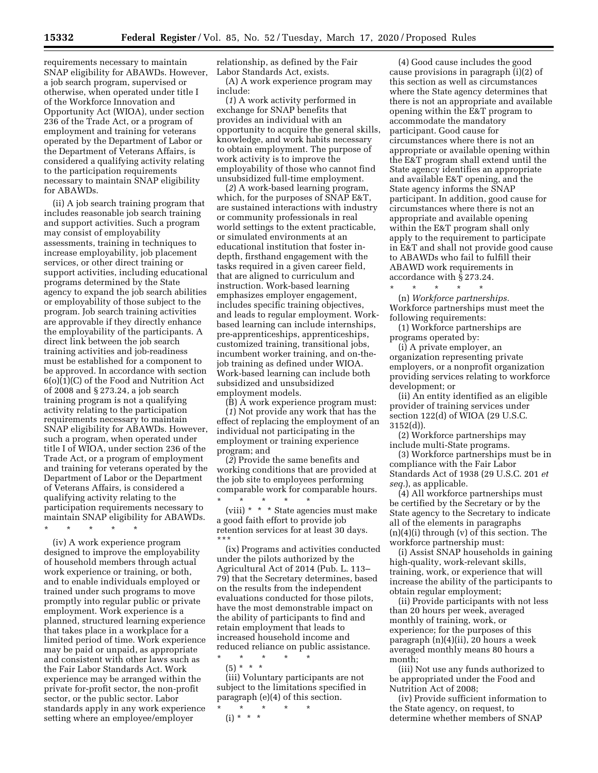requirements necessary to maintain SNAP eligibility for ABAWDs. However, a job search program, supervised or otherwise, when operated under title I of the Workforce Innovation and Opportunity Act (WIOA), under section 236 of the Trade Act, or a program of employment and training for veterans operated by the Department of Labor or the Department of Veterans Affairs, is considered a qualifying activity relating to the participation requirements necessary to maintain SNAP eligibility for ABAWDs.

(ii) A job search training program that includes reasonable job search training and support activities. Such a program may consist of employability assessments, training in techniques to increase employability, job placement services, or other direct training or support activities, including educational programs determined by the State agency to expand the job search abilities or employability of those subject to the program. Job search training activities are approvable if they directly enhance the employability of the participants. A direct link between the job search training activities and job-readiness must be established for a component to be approved. In accordance with section 6(o)(1)(C) of the Food and Nutrition Act of 2008 and § 273.24, a job search training program is not a qualifying activity relating to the participation requirements necessary to maintain SNAP eligibility for ABAWDs. However, such a program, when operated under title I of WIOA, under section 236 of the Trade Act, or a program of employment and training for veterans operated by the Department of Labor or the Department of Veterans Affairs, is considered a qualifying activity relating to the participation requirements necessary to maintain SNAP eligibility for ABAWDs. \* \* \* \* \*

(iv) A work experience program designed to improve the employability of household members through actual work experience or training, or both, and to enable individuals employed or trained under such programs to move promptly into regular public or private employment. Work experience is a planned, structured learning experience that takes place in a workplace for a limited period of time. Work experience may be paid or unpaid, as appropriate and consistent with other laws such as the Fair Labor Standards Act. Work experience may be arranged within the private for-profit sector, the non-profit sector, or the public sector. Labor standards apply in any work experience setting where an employee/employer

relationship, as defined by the Fair Labor Standards Act, exists.

(A) A work experience program may include:

(*1*) A work activity performed in exchange for SNAP benefits that provides an individual with an opportunity to acquire the general skills, knowledge, and work habits necessary to obtain employment. The purpose of work activity is to improve the employability of those who cannot find unsubsidized full-time employment.

(*2*) A work-based learning program, which, for the purposes of SNAP E&T, are sustained interactions with industry or community professionals in real world settings to the extent practicable, or simulated environments at an educational institution that foster indepth, firsthand engagement with the tasks required in a given career field, that are aligned to curriculum and instruction. Work-based learning emphasizes employer engagement, includes specific training objectives, and leads to regular employment. Workbased learning can include internships, pre-apprenticeships, apprenticeships, customized training, transitional jobs, incumbent worker training, and on-thejob training as defined under WIOA. Work-based learning can include both subsidized and unsubsidized employment models.

(B) A work experience program must: (*1*) Not provide any work that has the effect of replacing the employment of an individual not participating in the employment or training experience program; and

(*2*) Provide the same benefits and working conditions that are provided at the job site to employees performing comparable work for comparable hours. \* \* \* \* \*

(viii) \* \* \* State agencies must make a good faith effort to provide job retention services for at least 30 days. \*\*\*

(ix) Programs and activities conducted under the pilots authorized by the Agricultural Act of 2014 (Pub. L. 113– 79) that the Secretary determines, based on the results from the independent evaluations conducted for those pilots, have the most demonstrable impact on the ability of participants to find and retain employment that leads to increased household income and reduced reliance on public assistance. \* \* \* \* \*

(5) \* \* \*

(iii) Voluntary participants are not subject to the limitations specified in paragraph (e)(4) of this section.

\* \* \* \* \*  $(i) * * * *$ 

(4) Good cause includes the good cause provisions in paragraph (i)(2) of this section as well as circumstances where the State agency determines that there is not an appropriate and available opening within the E&T program to accommodate the mandatory participant. Good cause for circumstances where there is not an appropriate or available opening within the E&T program shall extend until the State agency identifies an appropriate and available E&T opening, and the State agency informs the SNAP participant. In addition, good cause for circumstances where there is not an appropriate and available opening within the E&T program shall only apply to the requirement to participate in E&T and shall not provide good cause to ABAWDs who fail to fulfill their ABAWD work requirements in accordance with § 273.24.

\* \* \* \* \* (n) *Workforce partnerships.*  Workforce partnerships must meet the following requirements:

(1) Workforce partnerships are programs operated by:

(i) A private employer, an organization representing private employers, or a nonprofit organization providing services relating to workforce development; or

(ii) An entity identified as an eligible provider of training services under section 122(d) of WIOA (29 U.S.C. 3152(d)).

(2) Workforce partnerships may include multi-State programs.

(3) Workforce partnerships must be in compliance with the Fair Labor Standards Act of 1938 (29 U.S.C. 201 *et seq.*), as applicable.

(4) All workforce partnerships must be certified by the Secretary or by the State agency to the Secretary to indicate all of the elements in paragraphs (n)(4)(i) through (v) of this section. The workforce partnership must:

(i) Assist SNAP households in gaining high-quality, work-relevant skills, training, work, or experience that will increase the ability of the participants to obtain regular employment;

(ii) Provide participants with not less than 20 hours per week, averaged monthly of training, work, or experience; for the purposes of this paragraph (n)(4)(ii), 20 hours a week averaged monthly means 80 hours a month;

(iii) Not use any funds authorized to be appropriated under the Food and Nutrition Act of 2008;

(iv) Provide sufficient information to the State agency, on request, to determine whether members of SNAP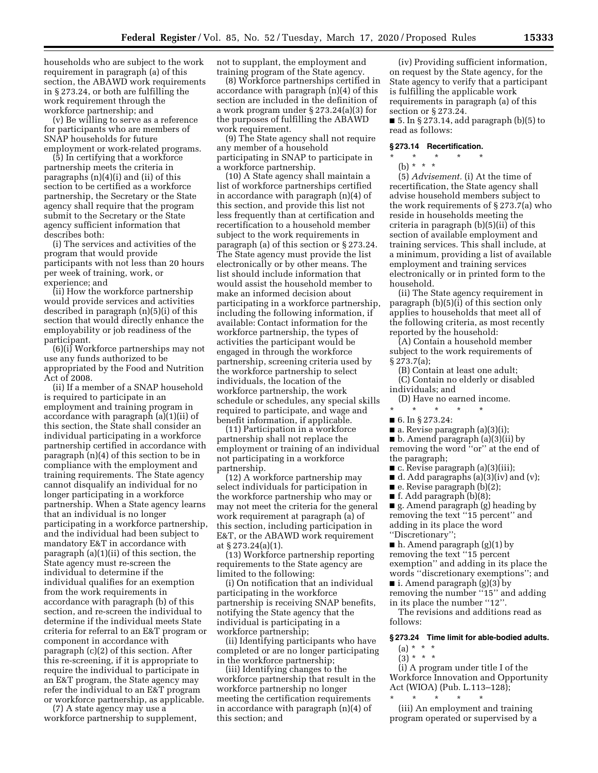households who are subject to the work requirement in paragraph (a) of this section, the ABAWD work requirements in § 273.24, or both are fulfilling the work requirement through the workforce partnership; and

(v) Be willing to serve as a reference for participants who are members of SNAP households for future employment or work-related programs.

(5) In certifying that a workforce partnership meets the criteria in paragraphs (n)(4)(i) and (ii) of this section to be certified as a workforce partnership, the Secretary or the State agency shall require that the program submit to the Secretary or the State agency sufficient information that describes both:

(i) The services and activities of the program that would provide participants with not less than 20 hours per week of training, work, or experience; and

(ii) How the workforce partnership would provide services and activities described in paragraph (n)(5)(i) of this section that would directly enhance the employability or job readiness of the participant.

(6)(i) Workforce partnerships may not use any funds authorized to be appropriated by the Food and Nutrition Act of 2008.

(ii) If a member of a SNAP household is required to participate in an employment and training program in accordance with paragraph (a)(1)(ii) of this section, the State shall consider an individual participating in a workforce partnership certified in accordance with paragraph (n)(4) of this section to be in compliance with the employment and training requirements. The State agency cannot disqualify an individual for no longer participating in a workforce partnership. When a State agency learns that an individual is no longer participating in a workforce partnership, and the individual had been subject to mandatory E&T in accordance with paragraph (a)(1)(ii) of this section, the State agency must re-screen the individual to determine if the individual qualifies for an exemption from the work requirements in accordance with paragraph (b) of this section, and re-screen the individual to determine if the individual meets State criteria for referral to an E&T program or component in accordance with paragraph (c)(2) of this section. After this re-screening, if it is appropriate to require the individual to participate in an E&T program, the State agency may refer the individual to an E&T program or workforce partnership, as applicable.

(7) A state agency may use a workforce partnership to supplement, not to supplant, the employment and training program of the State agency.

(8) Workforce partnerships certified in accordance with paragraph (n)(4) of this section are included in the definition of a work program under § 273.24(a)(3) for the purposes of fulfilling the ABAWD work requirement.

(9) The State agency shall not require any member of a household participating in SNAP to participate in a workforce partnership.

(10) A State agency shall maintain a list of workforce partnerships certified in accordance with paragraph (n)(4) of this section, and provide this list not less frequently than at certification and recertification to a household member subject to the work requirements in paragraph (a) of this section or § 273.24. The State agency must provide the list electronically or by other means. The list should include information that would assist the household member to make an informed decision about participating in a workforce partnership, including the following information, if available: Contact information for the workforce partnership, the types of activities the participant would be engaged in through the workforce partnership, screening criteria used by the workforce partnership to select individuals, the location of the workforce partnership, the work schedule or schedules, any special skills required to participate, and wage and benefit information, if applicable.

(11) Participation in a workforce partnership shall not replace the employment or training of an individual not participating in a workforce partnership.

(12) A workforce partnership may select individuals for participation in the workforce partnership who may or may not meet the criteria for the general work requirement at paragraph (a) of this section, including participation in E&T, or the ABAWD work requirement at § 273.24(a)(1).

(13) Workforce partnership reporting requirements to the State agency are limited to the following:

(i) On notification that an individual participating in the workforce partnership is receiving SNAP benefits, notifying the State agency that the individual is participating in a workforce partnership;

(ii) Identifying participants who have completed or are no longer participating in the workforce partnership;

(iii) Identifying changes to the workforce partnership that result in the workforce partnership no longer meeting the certification requirements in accordance with paragraph (n)(4) of this section; and

(iv) Providing sufficient information, on request by the State agency, for the State agency to verify that a participant is fulfilling the applicable work requirements in paragraph (a) of this section or § 273.24.

 $\blacksquare$  5. In § 273.14, add paragraph (b)(5) to read as follows:

### **§ 273.14 Recertification.**

\* \* \* \* \* (b) \* \* \*

(5) *Advisement.* (i) At the time of recertification, the State agency shall advise household members subject to the work requirements of § 273.7(a) who reside in households meeting the criteria in paragraph (b)(5)(ii) of this section of available employment and training services. This shall include, at a minimum, providing a list of available employment and training services electronically or in printed form to the household.

(ii) The State agency requirement in paragraph (b)(5)(i) of this section only applies to households that meet all of the following criteria, as most recently reported by the household:

(A) Contain a household member subject to the work requirements of § 273.7(a);

(B) Contain at least one adult;

(C) Contain no elderly or disabled individuals; and

(D) Have no earned income.

- \* \* \* \* \* ■ 6. In § 273.24:
- a. Revise paragraph (a)(3)(i);
- b. Amend paragraph (a)(3)(ii) by
- 
- removing the word ''or'' at the end of
- the paragraph; ■ c. Revise paragraph (a)(3)(iii);
- $\blacksquare$  d. Add paragraphs (a)(3)(iv) and (v);
- $\blacksquare$  e. Revise paragraph (b)(2);
- f. Add paragraph  $(b)(8)$ ;

■ g. Amend paragraph (g) heading by removing the text ''15 percent'' and adding in its place the word ''Discretionary'';

■ h. Amend paragraph (g)(1) by removing the text ''15 percent exemption'' and adding in its place the words ''discretionary exemptions''; and ■ i. Amend paragraph (g)(3) by removing the number "15" and adding

in its place the number ''12''. The revisions and additions read as

follows:

## **§ 273.24 Time limit for able-bodied adults.**

- (a) \* \* \*  $(3) * * * *$
- (i) A program under title I of the Workforce Innovation and Opportunity Act (WIOA) (Pub. L.113–128);

\* \* \* \* \* (iii) An employment and training program operated or supervised by a